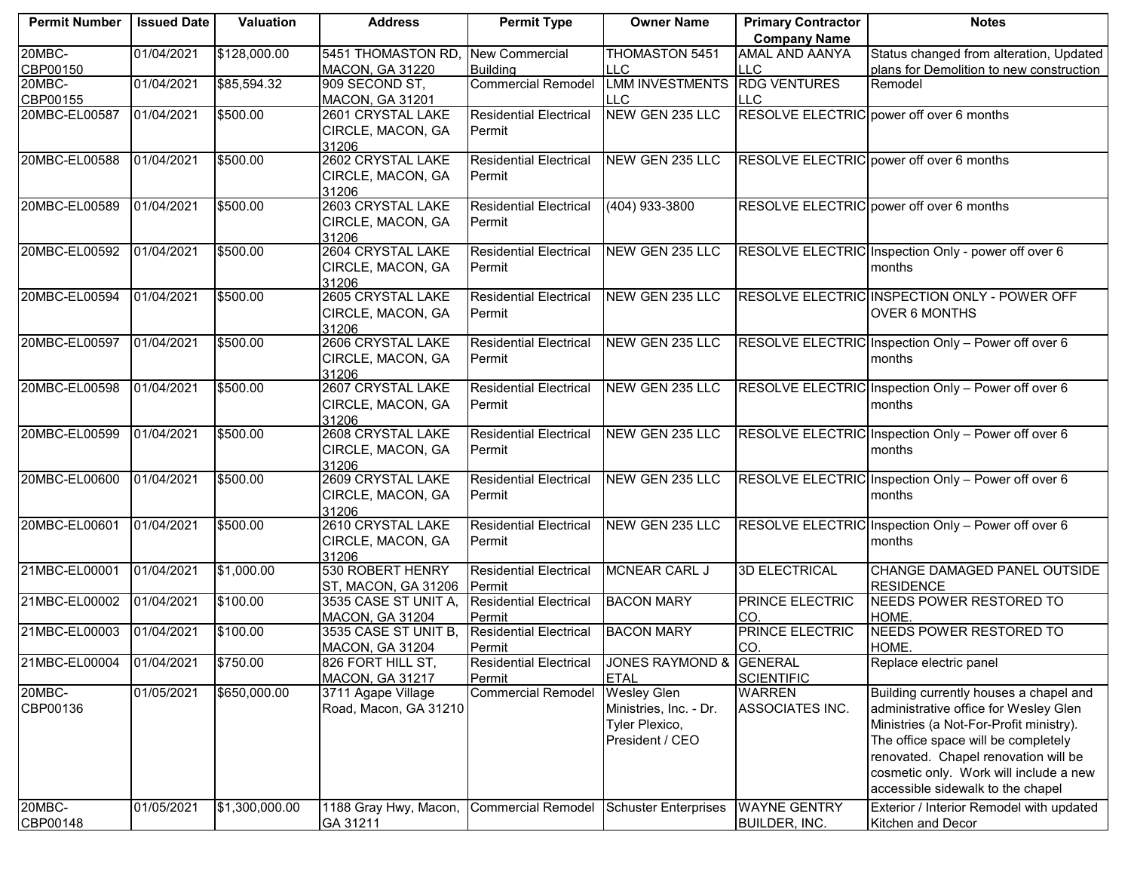| <b>Permit Number</b> | <b>Issued Date</b> | Valuation      | <b>Address</b>                              | <b>Permit Type</b>                      | <b>Owner Name</b>           | <b>Primary Contractor</b>          | <b>Notes</b>                                        |
|----------------------|--------------------|----------------|---------------------------------------------|-----------------------------------------|-----------------------------|------------------------------------|-----------------------------------------------------|
|                      |                    |                |                                             |                                         |                             | <b>Company Name</b>                |                                                     |
| 20MBC-               | 01/04/2021         | \$128,000.00   | 5451 THOMASTON RD,                          | New Commercial                          | <b>THOMASTON 5451</b>       | AMAL AND AANYA                     | Status changed from alteration, Updated             |
| CBP00150             |                    |                | <b>MACON, GA 31220</b>                      | <b>Building</b>                         | LLC.                        | <b>LLC</b>                         | plans for Demolition to new construction            |
| 20MBC-               | 01/04/2021         | \$85,594.32    | 909 SECOND ST,                              | <b>Commercial Remodel</b>               | <b>LMM INVESTMENTS</b>      | <b>RDG VENTURES</b>                | Remodel                                             |
| CBP00155             |                    |                | <b>MACON, GA 31201</b>                      |                                         | LLC.                        | <b>LLC</b>                         |                                                     |
| 20MBC-EL00587        | 01/04/2021         | \$500.00       | 2601 CRYSTAL LAKE                           | <b>Residential Electrical</b>           | NEW GEN 235 LLC             |                                    | RESOLVE ELECTRIC power off over 6 months            |
|                      |                    |                | CIRCLE, MACON, GA                           | Permit                                  |                             |                                    |                                                     |
|                      |                    |                | 31206                                       |                                         |                             |                                    |                                                     |
| 20MBC-EL00588        | 01/04/2021         | \$500.00       | 2602 CRYSTAL LAKE                           | <b>Residential Electrical</b>           | NEW GEN 235 LLC             |                                    | RESOLVE ELECTRIC power off over 6 months            |
|                      |                    |                | CIRCLE, MACON, GA                           | Permit                                  |                             |                                    |                                                     |
|                      |                    |                | 31206                                       |                                         |                             |                                    |                                                     |
| 20MBC-EL00589        | 01/04/2021         | \$500.00       | 2603 CRYSTAL LAKE                           | <b>Residential Electrical</b>           | (404) 933-3800              |                                    | RESOLVE ELECTRIC power off over 6 months            |
|                      |                    |                | CIRCLE, MACON, GA                           | Permit                                  |                             |                                    |                                                     |
|                      |                    |                | 31206                                       |                                         |                             |                                    |                                                     |
| 20MBC-EL00592        | 01/04/2021         | \$500.00       | 2604 CRYSTAL LAKE                           | <b>Residential Electrical</b>           | NEW GEN 235 LLC             |                                    | RESOLVE ELECTRIC Inspection Only - power off over 6 |
|                      |                    |                | CIRCLE, MACON, GA                           | Permit                                  |                             |                                    | months                                              |
| 20MBC-EL00594        | 01/04/2021         | \$500.00       | 31206<br>2605 CRYSTAL LAKE                  | <b>Residential Electrical</b>           | NEW GEN 235 LLC             |                                    | <b>RESOLVE ELECTRIC INSPECTION ONLY - POWER OFF</b> |
|                      |                    |                |                                             |                                         |                             |                                    | <b>OVER 6 MONTHS</b>                                |
|                      |                    |                | CIRCLE, MACON, GA<br>31206                  | Permit                                  |                             |                                    |                                                     |
| 20MBC-EL00597        | 01/04/2021         | \$500.00       | 2606 CRYSTAL LAKE                           | <b>Residential Electrical</b>           | NEW GEN 235 LLC             |                                    | RESOLVE ELECTRIC Inspection Only - Power off over 6 |
|                      |                    |                | CIRCLE, MACON, GA                           | Permit                                  |                             |                                    | months                                              |
|                      |                    |                | 31206                                       |                                         |                             |                                    |                                                     |
| 20MBC-EL00598        | 01/04/2021         | \$500.00       | 2607 CRYSTAL LAKE                           | <b>Residential Electrical</b>           | NEW GEN 235 LLC             |                                    | RESOLVE ELECTRIC Inspection Only - Power off over 6 |
|                      |                    |                | CIRCLE, MACON, GA                           | Permit                                  |                             |                                    | months                                              |
|                      |                    |                | 31206                                       |                                         |                             |                                    |                                                     |
| 20MBC-EL00599        | 01/04/2021         | \$500.00       | 2608 CRYSTAL LAKE                           | <b>Residential Electrical</b>           | NEW GEN 235 LLC             |                                    | RESOLVE ELECTRIC Inspection Only - Power off over 6 |
|                      |                    |                | CIRCLE, MACON, GA                           | Permit                                  |                             |                                    | months                                              |
|                      |                    |                | 31206                                       |                                         |                             |                                    |                                                     |
| 20MBC-EL00600        | 01/04/2021         | \$500.00       | 2609 CRYSTAL LAKE                           | <b>Residential Electrical</b>           | NEW GEN 235 LLC             |                                    | RESOLVE ELECTRIC Inspection Only - Power off over 6 |
|                      |                    |                | CIRCLE, MACON, GA                           | Permit                                  |                             |                                    | months                                              |
|                      |                    |                | 31206                                       |                                         |                             |                                    |                                                     |
| 20MBC-EL00601        | 01/04/2021         | \$500.00       | 2610 CRYSTAL LAKE                           | <b>Residential Electrical</b>           | NEW GEN 235 LLC             |                                    | RESOLVE ELECTRIC Inspection Only - Power off over 6 |
|                      |                    |                | CIRCLE, MACON, GA                           | Permit                                  |                             |                                    | months                                              |
|                      |                    |                | 31206                                       |                                         |                             |                                    |                                                     |
| 21MBC-EL00001        | 01/04/2021         | \$1,000.00     | 530 ROBERT HENRY                            | <b>Residential Electrical</b>           | <b>MCNEAR CARL J</b>        | <b>3D ELECTRICAL</b>               | CHANGE DAMAGED PANEL OUTSIDE                        |
|                      |                    |                | ST, MACON, GA 31206                         | Permit                                  |                             |                                    | <b>RESIDENCE</b>                                    |
| 21MBC-EL00002        | 01/04/2021         | \$100.00       | 3535 CASE ST UNIT A,                        | Residential Electrical                  | <b>BACON MARY</b>           | PRINCE ELECTRIC                    | <b>NEEDS POWER RESTORED TO</b>                      |
|                      |                    |                | <b>MACON, GA 31204</b>                      | Permit                                  |                             | CO.                                | HOME.                                               |
| 21MBC-EL00003        | 01/04/2021         | \$100.00       | 3535 CASE ST UNIT B,                        | <b>Residential Electrical</b>           | <b>BACON MARY</b>           | PRINCE ELECTRIC                    | NEEDS POWER RESTORED TO                             |
|                      |                    |                | <b>MACON, GA 31204</b><br>826 FORT HILL ST, | Permit<br><b>Residential Electrical</b> | JONES RAYMOND & GENERAL     | CO.                                | HOME.                                               |
| 21MBC-EL00004        | 01/04/2021         | \$750.00       |                                             |                                         |                             |                                    | Replace electric panel                              |
| 20MBC-               | 01/05/2021         | \$650,000.00   | MACON, GA 31217<br>3711 Agape Village       | Permit<br><b>Commercial Remodel</b>     | <b>ETAL</b><br>Wesley Glen  | <b>SCIENTIFIC</b><br><b>WARREN</b> | Building currently houses a chapel and              |
| CBP00136             |                    |                | Road, Macon, GA 31210                       |                                         | Ministries, Inc. - Dr.      | ASSOCIATES INC.                    | administrative office for Wesley Glen               |
|                      |                    |                |                                             |                                         | Tyler Plexico,              |                                    |                                                     |
|                      |                    |                |                                             |                                         |                             |                                    | Ministries (a Not-For-Profit ministry).             |
|                      |                    |                |                                             |                                         | President / CEO             |                                    | The office space will be completely                 |
|                      |                    |                |                                             |                                         |                             |                                    | renovated. Chapel renovation will be                |
|                      |                    |                |                                             |                                         |                             |                                    | cosmetic only. Work will include a new              |
|                      |                    |                |                                             |                                         |                             |                                    | accessible sidewalk to the chapel                   |
| 20MBC-               | 01/05/2021         | \$1,300,000.00 | 1188 Gray Hwy, Macon,                       | Commercial Remodel                      | <b>Schuster Enterprises</b> | <b>WAYNE GENTRY</b>                | Exterior / Interior Remodel with updated            |
| CBP00148             |                    |                | GA 31211                                    |                                         |                             | <b>BUILDER, INC.</b>               | Kitchen and Decor                                   |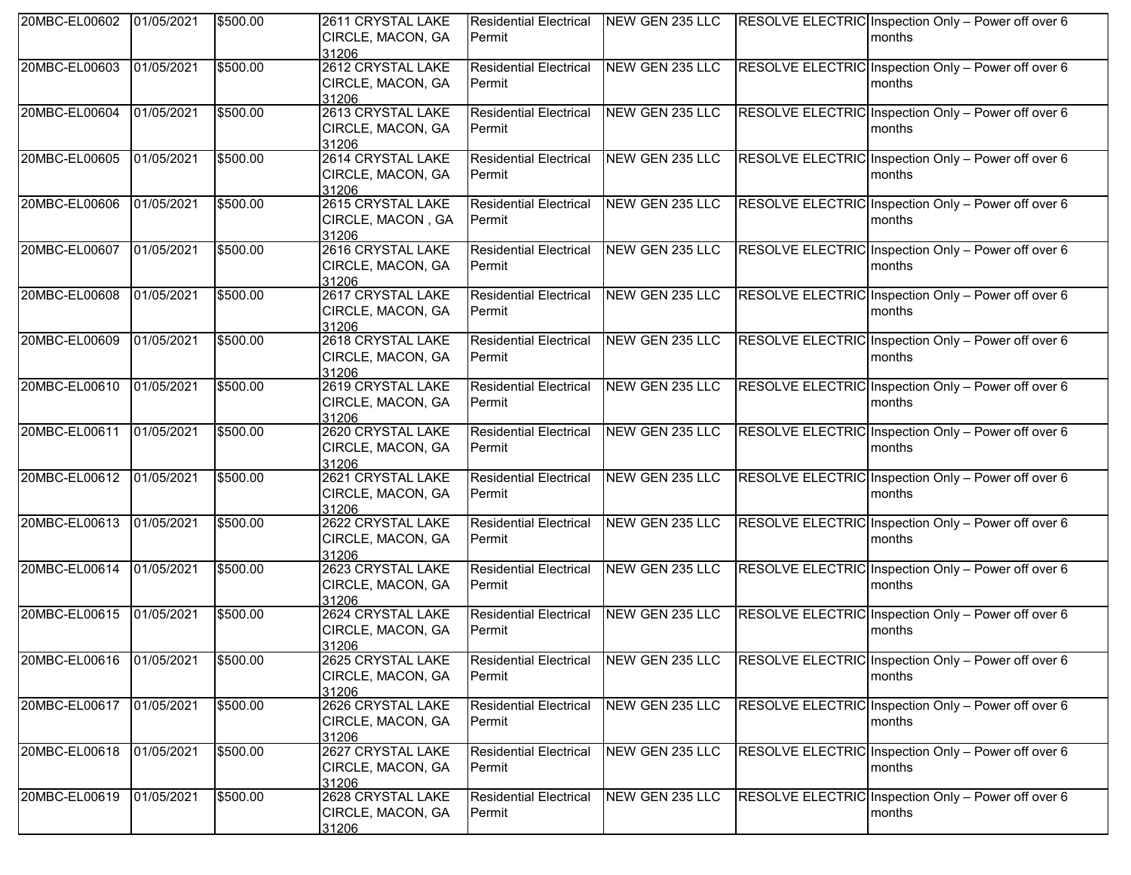| 20MBC-EL00602            | 01/05/2021 | \$500.00 | 2611 CRYSTAL LAKE<br>CIRCLE, MACON, GA<br>31206 | <b>Residential Electrical</b><br>Permit | NEW GEN 235 LLC        | RESOLVE ELECTRIC Inspection Only - Power off over 6<br>months |
|--------------------------|------------|----------|-------------------------------------------------|-----------------------------------------|------------------------|---------------------------------------------------------------|
| 20MBC-EL00603            | 01/05/2021 | \$500.00 | 2612 CRYSTAL LAKE<br>CIRCLE, MACON, GA<br>31206 | <b>Residential Electrical</b><br>Permit | NEW GEN 235 LLC        | RESOLVE ELECTRIC Inspection Only - Power off over 6<br>months |
| 20MBC-EL00604            | 01/05/2021 | \$500.00 | 2613 CRYSTAL LAKE<br>CIRCLE, MACON, GA<br>31206 | <b>Residential Electrical</b><br>Permit | NEW GEN 235 LLC        | RESOLVE ELECTRIC Inspection Only - Power off over 6<br>months |
| 20MBC-EL00605            | 01/05/2021 | \$500.00 | 2614 CRYSTAL LAKE<br>CIRCLE, MACON, GA<br>31206 | <b>Residential Electrical</b><br>Permit | NEW GEN 235 LLC        | RESOLVE ELECTRIC Inspection Only - Power off over 6<br>months |
| 20MBC-EL00606            | 01/05/2021 | \$500.00 | 2615 CRYSTAL LAKE<br>CIRCLE, MACON, GA<br>31206 | <b>Residential Electrical</b><br>Permit | <b>NEW GEN 235 LLC</b> | RESOLVE ELECTRIC Inspection Only - Power off over 6<br>months |
| 20MBC-EL00607            | 01/05/2021 | \$500.00 | 2616 CRYSTAL LAKE<br>CIRCLE, MACON, GA<br>31206 | <b>Residential Electrical</b><br>Permit | NEW GEN 235 LLC        | RESOLVE ELECTRIC Inspection Only - Power off over 6<br>months |
| 20MBC-EL00608            | 01/05/2021 | \$500.00 | 2617 CRYSTAL LAKE<br>CIRCLE, MACON, GA<br>31206 | <b>Residential Electrical</b><br>Permit | NEW GEN 235 LLC        | RESOLVE ELECTRIC Inspection Only - Power off over 6<br>months |
| 20MBC-EL00609            | 01/05/2021 | \$500.00 | 2618 CRYSTAL LAKE<br>CIRCLE, MACON, GA<br>31206 | <b>Residential Electrical</b><br>Permit | NEW GEN 235 LLC        | RESOLVE ELECTRIC Inspection Only - Power off over 6<br>months |
| 20MBC-EL00610            | 01/05/2021 | \$500.00 | 2619 CRYSTAL LAKE<br>CIRCLE, MACON, GA<br>31206 | <b>Residential Electrical</b><br>Permit | NEW GEN 235 LLC        | RESOLVE ELECTRIC Inspection Only - Power off over 6<br>months |
| 20MBC-EL00611            | 01/05/2021 | \$500.00 | 2620 CRYSTAL LAKE<br>CIRCLE, MACON, GA<br>31206 | <b>Residential Electrical</b><br>Permit | NEW GEN 235 LLC        | RESOLVE ELECTRIC Inspection Only - Power off over 6<br>months |
| 20MBC-EL00612            | 01/05/2021 | \$500.00 | 2621 CRYSTAL LAKE<br>CIRCLE, MACON, GA<br>31206 | <b>Residential Electrical</b><br>Permit | NEW GEN 235 LLC        | RESOLVE ELECTRIC Inspection Only - Power off over 6<br>months |
| 20MBC-EL00613            | 01/05/2021 | \$500.00 | 2622 CRYSTAL LAKE<br>CIRCLE, MACON, GA<br>31206 | <b>Residential Electrical</b><br>Permit | NEW GEN 235 LLC        | RESOLVE ELECTRIC Inspection Only - Power off over 6<br>months |
| 20MBC-EL00614            | 01/05/2021 | \$500.00 | 2623 CRYSTAL LAKE<br>CIRCLE, MACON, GA<br>31206 | <b>Residential Electrical</b><br>Permit | NEW GEN 235 LLC        | RESOLVE ELECTRIC Inspection Only - Power off over 6<br>months |
| 20MBC-EL00615            | 01/05/2021 | \$500.00 | 2624 CRYSTAL LAKE<br>CIRCLE, MACON, GA<br>31206 | <b>Residential Electrical</b><br>Permit | NEW GEN 235 LLC        | RESOLVE ELECTRIC Inspection Only - Power off over 6<br>months |
| 20MBC-EL00616 01/05/2021 |            | \$500.00 | 2625 CRYSTAL LAKE<br>CIRCLE, MACON, GA<br>31206 | <b>Residential Electrical</b><br>Permit | NEW GEN 235 LLC        | RESOLVE ELECTRIC Inspection Only - Power off over 6<br>months |
| 20MBC-EL00617 01/05/2021 |            | \$500.00 | 2626 CRYSTAL LAKE<br>CIRCLE, MACON, GA<br>31206 | <b>Residential Electrical</b><br>Permit | NEW GEN 235 LLC        | RESOLVE ELECTRIC Inspection Only - Power off over 6<br>months |
| 20MBC-EL00618            | 01/05/2021 | \$500.00 | 2627 CRYSTAL LAKE<br>CIRCLE, MACON, GA<br>31206 | <b>Residential Electrical</b><br>Permit | NEW GEN 235 LLC        | RESOLVE ELECTRIC Inspection Only - Power off over 6<br>months |
| 20MBC-EL00619            | 01/05/2021 | \$500.00 | 2628 CRYSTAL LAKE<br>CIRCLE, MACON, GA<br>31206 | <b>Residential Electrical</b><br>Permit | NEW GEN 235 LLC        | RESOLVE ELECTRIC Inspection Only - Power off over 6<br>months |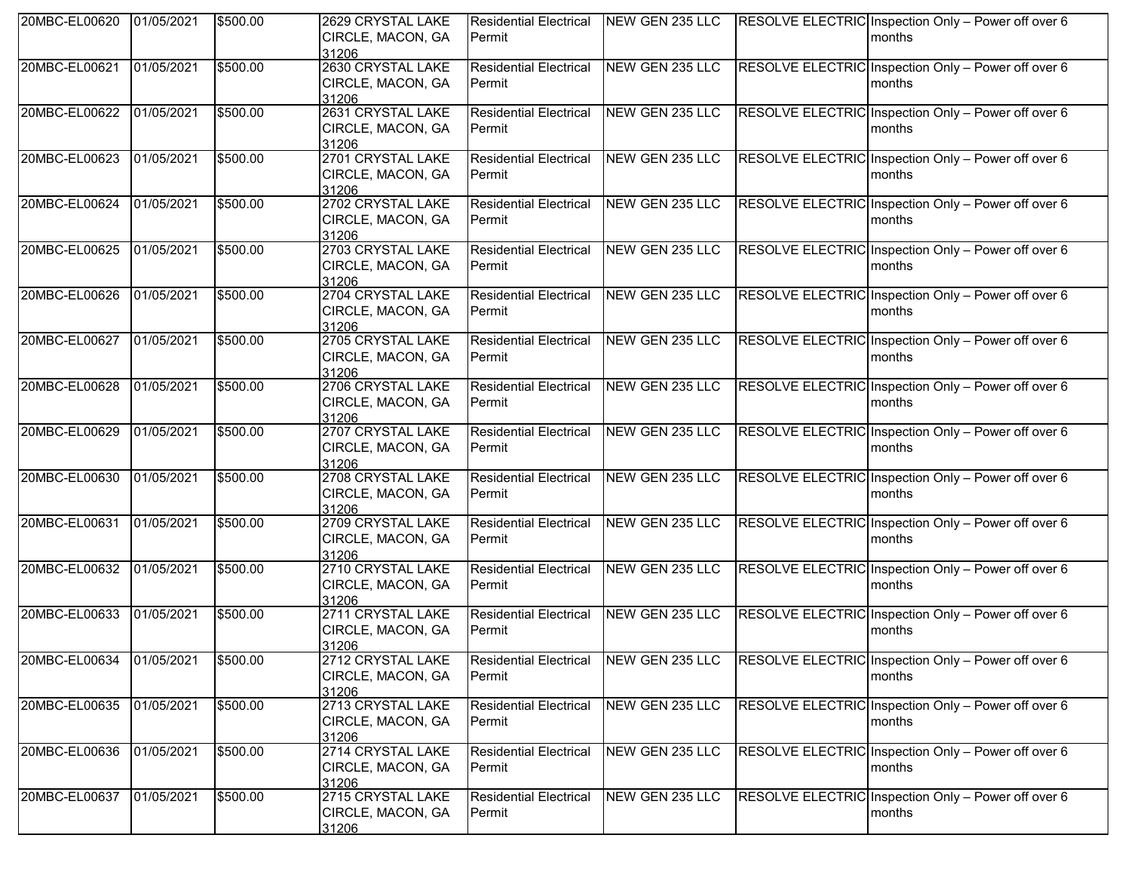| 20MBC-EL00620            | 01/05/2021 | \$500.00 | 2629 CRYSTAL LAKE                               | <b>Residential Electrical</b>           | NEW GEN 235 LLC | RESOLVE ELECTRIC Inspection Only - Power off over 6                   |
|--------------------------|------------|----------|-------------------------------------------------|-----------------------------------------|-----------------|-----------------------------------------------------------------------|
|                          |            |          | CIRCLE, MACON, GA<br>31206                      | Permit                                  |                 | months                                                                |
| 20MBC-EL00621            | 01/05/2021 | \$500.00 | 2630 CRYSTAL LAKE<br>CIRCLE, MACON, GA          | <b>Residential Electrical</b><br>Permit | NEW GEN 235 LLC | RESOLVE ELECTRIC Inspection Only - Power off over 6<br>months         |
| 20MBC-EL00622            | 01/05/2021 | \$500.00 | 31206<br>2631 CRYSTAL LAKE                      | <b>Residential Electrical</b>           | NEW GEN 235 LLC | RESOLVE ELECTRIC Inspection Only - Power off over 6                   |
|                          |            |          | CIRCLE, MACON, GA<br>31206                      | Permit                                  |                 | <b>Imonths</b>                                                        |
| 20MBC-EL00623            | 01/05/2021 | \$500.00 | 2701 CRYSTAL LAKE<br>CIRCLE, MACON, GA<br>31206 | <b>Residential Electrical</b><br>Permit | NEW GEN 235 LLC | RESOLVE ELECTRIC Inspection Only - Power off over 6<br>months         |
| 20MBC-EL00624            | 01/05/2021 | \$500.00 | 2702 CRYSTAL LAKE<br>CIRCLE, MACON, GA<br>31206 | <b>Residential Electrical</b><br>Permit | NEW GEN 235 LLC | RESOLVE ELECTRIC Inspection Only - Power off over 6<br>months         |
| 20MBC-EL00625            | 01/05/2021 | \$500.00 | 2703 CRYSTAL LAKE<br>CIRCLE, MACON, GA<br>31206 | <b>Residential Electrical</b><br>Permit | NEW GEN 235 LLC | RESOLVE ELECTRIC Inspection Only - Power off over 6<br><b>Imonths</b> |
| 20MBC-EL00626            | 01/05/2021 | \$500.00 | 2704 CRYSTAL LAKE<br>CIRCLE, MACON, GA<br>31206 | <b>Residential Electrical</b><br>Permit | NEW GEN 235 LLC | RESOLVE ELECTRIC Inspection Only - Power off over 6<br>months         |
| 20MBC-EL00627            | 01/05/2021 | \$500.00 | 2705 CRYSTAL LAKE<br>CIRCLE, MACON, GA<br>31206 | <b>Residential Electrical</b><br>Permit | NEW GEN 235 LLC | RESOLVE ELECTRIC Inspection Only - Power off over 6<br>months         |
| 20MBC-EL00628            | 01/05/2021 | \$500.00 | 2706 CRYSTAL LAKE<br>CIRCLE, MACON, GA<br>31206 | <b>Residential Electrical</b><br>Permit | NEW GEN 235 LLC | RESOLVE ELECTRIC Inspection Only - Power off over 6<br><b>Imonths</b> |
| 20MBC-EL00629            | 01/05/2021 | \$500.00 | 2707 CRYSTAL LAKE<br>CIRCLE, MACON, GA<br>31206 | <b>Residential Electrical</b><br>Permit | NEW GEN 235 LLC | RESOLVE ELECTRIC Inspection Only - Power off over 6<br>months         |
| 20MBC-EL00630            | 01/05/2021 | \$500.00 | 2708 CRYSTAL LAKE<br>CIRCLE, MACON, GA<br>31206 | <b>Residential Electrical</b><br>Permit | NEW GEN 235 LLC | RESOLVE ELECTRIC Inspection Only - Power off over 6<br>months         |
| 20MBC-EL00631            | 01/05/2021 | \$500.00 | 2709 CRYSTAL LAKE<br>CIRCLE, MACON, GA<br>31206 | <b>Residential Electrical</b><br>Permit | NEW GEN 235 LLC | RESOLVE ELECTRIC Inspection Only - Power off over 6<br><b>Imonths</b> |
| 20MBC-EL00632            | 01/05/2021 | \$500.00 | 2710 CRYSTAL LAKE<br>CIRCLE, MACON, GA<br>31206 | <b>Residential Electrical</b><br>Permit | NEW GEN 235 LLC | RESOLVE ELECTRIC Inspection Only - Power off over 6<br>months         |
| 20MBC-EL00633            | 01/05/2021 | \$500.00 | 2711 CRYSTAL LAKE<br>CIRCLE, MACON, GA<br>31206 | <b>Residential Electrical</b><br>Permit | NEW GEN 235 LLC | RESOLVE ELECTRIC Inspection Only - Power off over 6<br>months         |
| 20MBC-EL00634 01/05/2021 |            | \$500.00 | 2712 CRYSTAL LAKE<br>CIRCLE, MACON, GA<br>31206 | <b>Residential Electrical</b><br>Permit | NEW GEN 235 LLC | RESOLVE ELECTRIC Inspection Only - Power off over 6<br>months         |
| 20MBC-EL00635            | 01/05/2021 | \$500.00 | 2713 CRYSTAL LAKE<br>CIRCLE, MACON, GA<br>31206 | <b>Residential Electrical</b><br>Permit | NEW GEN 235 LLC | RESOLVE ELECTRIC Inspection Only - Power off over 6<br>months         |
| 20MBC-EL00636            | 01/05/2021 | \$500.00 | 2714 CRYSTAL LAKE<br>CIRCLE, MACON, GA<br>31206 | <b>Residential Electrical</b><br>Permit | NEW GEN 235 LLC | RESOLVE ELECTRIC Inspection Only - Power off over 6<br>months         |
| 20MBC-EL00637            | 01/05/2021 | \$500.00 | 2715 CRYSTAL LAKE<br>CIRCLE, MACON, GA<br>31206 | <b>Residential Electrical</b><br>Permit | NEW GEN 235 LLC | RESOLVE ELECTRIC Inspection Only - Power off over 6<br>months         |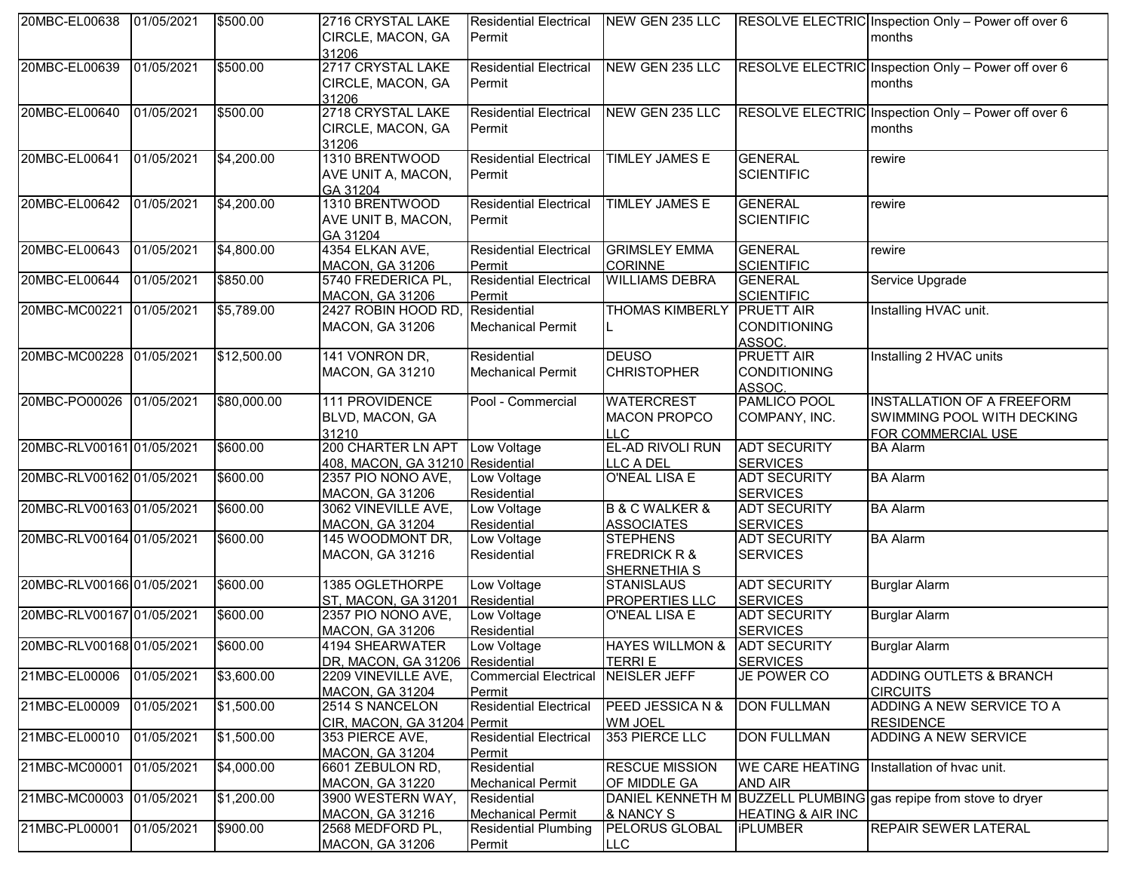| 20MBC-EL00638             | 01/05/2021 | \$500.00    | 2716 CRYSTAL LAKE                | <b>Residential Electrical NEW GEN 235 LLC</b> |                                   |                              | RESOLVE ELECTRIC Inspection Only - Power off over 6              |
|---------------------------|------------|-------------|----------------------------------|-----------------------------------------------|-----------------------------------|------------------------------|------------------------------------------------------------------|
|                           |            |             | CIRCLE, MACON, GA                | lPermit                                       |                                   |                              | months                                                           |
|                           |            |             | 31206                            |                                               |                                   |                              |                                                                  |
| 20MBC-EL00639             | 01/05/2021 | \$500.00    | 2717 CRYSTAL LAKE                | <b>Residential Electrical</b>                 | NEW GEN 235 LLC                   |                              | RESOLVE ELECTRIC Inspection Only - Power off over 6              |
|                           |            |             | CIRCLE, MACON, GA                | Permit                                        |                                   |                              | months                                                           |
|                           |            |             |                                  |                                               |                                   |                              |                                                                  |
| 20MBC-EL00640             | 01/05/2021 | \$500.00    | 31206<br>2718 CRYSTAL LAKE       | <b>Residential Electrical</b>                 | NEW GEN 235 LLC                   |                              |                                                                  |
|                           |            |             |                                  |                                               |                                   |                              | RESOLVE ELECTRIC Inspection Only - Power off over 6              |
|                           |            |             | CIRCLE, MACON, GA                | Permit                                        |                                   |                              | months                                                           |
|                           |            |             | 31206                            |                                               |                                   |                              |                                                                  |
| 20MBC-EL00641             | 01/05/2021 | \$4,200.00  | 1310 BRENTWOOD                   | <b>Residential Electrical</b>                 | <b>TIMLEY JAMES E</b>             | <b>GENERAL</b>               | rewire                                                           |
|                           |            |             | AVE UNIT A, MACON,               | Permit                                        |                                   | <b>SCIENTIFIC</b>            |                                                                  |
|                           |            |             | GA 31204                         |                                               |                                   |                              |                                                                  |
| 20MBC-EL00642             | 01/05/2021 | \$4,200.00  | 1310 BRENTWOOD                   | <b>Residential Electrical</b>                 | <b>TIMLEY JAMES E</b>             | <b>GENERAL</b>               | rewire                                                           |
|                           |            |             | AVE UNIT B, MACON,               | Permit                                        |                                   | <b>SCIENTIFIC</b>            |                                                                  |
|                           |            |             | GA 31204                         |                                               |                                   |                              |                                                                  |
| 20MBC-EL00643             | 01/05/2021 | \$4,800.00  | 4354 ELKAN AVE,                  | <b>Residential Electrical</b>                 | <b>GRIMSLEY EMMA</b>              | <b>GENERAL</b>               | rewire                                                           |
|                           |            |             | <b>MACON, GA 31206</b>           | Permit                                        | <b>CORINNE</b>                    | <b>SCIENTIFIC</b>            |                                                                  |
| 20MBC-EL00644             | 01/05/2021 | \$850.00    | 5740 FREDERICA PL,               | <b>Residential Electrical</b>                 | <b>WILLIAMS DEBRA</b>             | <b>GENERAL</b>               | Service Upgrade                                                  |
|                           |            |             | <b>MACON, GA 31206</b>           | Permit                                        |                                   | <b>SCIENTIFIC</b>            |                                                                  |
| 20MBC-MC00221 01/05/2021  |            | \$5,789.00  | 2427 ROBIN HOOD RD,              | Residential                                   | <b>THOMAS KIMBERLY PRUETT AIR</b> |                              | Installing HVAC unit.                                            |
|                           |            |             | <b>MACON, GA 31206</b>           | <b>Mechanical Permit</b>                      |                                   | <b>CONDITIONING</b>          |                                                                  |
|                           |            |             |                                  |                                               |                                   | ASSOC.                       |                                                                  |
| 20MBC-MC00228 01/05/2021  |            | \$12,500.00 | 141 VONRON DR,                   | Residential                                   | <b>DEUSO</b>                      | <b>PRUETT AIR</b>            | Installing 2 HVAC units                                          |
|                           |            |             | <b>MACON, GA 31210</b>           | <b>Mechanical Permit</b>                      | <b>CHRISTOPHER</b>                | <b>CONDITIONING</b>          |                                                                  |
|                           |            |             |                                  |                                               |                                   | ASSOC.                       |                                                                  |
| 20MBC-PO00026 01/05/2021  |            | \$80,000.00 | 111 PROVIDENCE                   | Pool - Commercial                             | <b>WATERCREST</b>                 | PAMLICO POOL                 | <b>INSTALLATION OF A FREEFORM</b>                                |
|                           |            |             |                                  |                                               |                                   |                              |                                                                  |
|                           |            |             | BLVD, MACON, GA                  |                                               | <b>MACON PROPCO</b>               | COMPANY, INC.                | SWIMMING POOL WITH DECKING                                       |
|                           |            |             | 31210                            |                                               | ILLC.                             |                              | FOR COMMERCIAL USE                                               |
| 20MBC-RLV00161 01/05/2021 |            | \$600.00    | 200 CHARTER LN APT               | Low Voltage                                   | <b>EL-AD RIVOLI RUN</b>           | <b>ADT SECURITY</b>          | <b>BA Alarm</b>                                                  |
|                           |            |             | 408, MACON, GA 31210 Residential |                                               | LLC A DEL                         | <b>SERVICES</b>              |                                                                  |
| 20MBC-RLV00162 01/05/2021 |            | \$600.00    | 2357 PIO NONO AVE,               | Low Voltage                                   | <b>O'NEAL LISA E</b>              | <b>ADT SECURITY</b>          | <b>BA Alarm</b>                                                  |
|                           |            |             | <b>MACON, GA 31206</b>           | Residential                                   |                                   | <b>SERVICES</b>              |                                                                  |
| 20MBC-RLV00163 01/05/2021 |            | \$600.00    | 3062 VINEVILLE AVE,              | Low Voltage                                   | <b>B &amp; C WALKER &amp;</b>     | <b>ADT SECURITY</b>          | <b>BA Alarm</b>                                                  |
|                           |            |             | <b>MACON, GA 31204</b>           | Residential                                   | <b>ASSOCIATES</b>                 | <b>SERVICES</b>              |                                                                  |
| 20MBC-RLV00164 01/05/2021 |            | \$600.00    | 145 WOODMONT DR,                 | Low Voltage                                   | <b>STEPHENS</b>                   | <b>ADT SECURITY</b>          | <b>BA Alarm</b>                                                  |
|                           |            |             | <b>MACON, GA 31216</b>           | Residential                                   | <b>FREDRICK R &amp;</b>           | <b>SERVICES</b>              |                                                                  |
|                           |            |             |                                  |                                               | SHERNETHIA S                      |                              |                                                                  |
| 20MBC-RLV00166 01/05/2021 |            | \$600.00    | 1385 OGLETHORPE                  | Low Voltage                                   | <b>STANISLAUS</b>                 | <b>ADT SECURITY</b>          | <b>Burglar Alarm</b>                                             |
|                           |            |             | ST, MACON, GA 31201              | Residential                                   | <b>PROPERTIES LLC</b>             | <b>SERVICES</b>              |                                                                  |
| 20MBC-RLV00167 01/05/2021 |            | \$600.00    | 2357 PIO NONO AVE,               | Low Voltage                                   | O'NEAL LISA E                     | <b>ADT SECURITY</b>          | <b>Burglar Alarm</b>                                             |
|                           |            |             | <b>MACON, GA 31206</b>           | Residential                                   |                                   | <b>SERVICES</b>              |                                                                  |
| 20MBC-RLV00168 01/05/2021 |            | \$600.00    | 4194 SHEARWATER                  | Low Voltage                                   | HAYES WILLMON & ADT SECURITY      |                              | <b>Burglar Alarm</b>                                             |
|                           |            |             | DR, MACON, GA 31206 Residential  |                                               | <b>TERRIE</b>                     | <b>SERVICES</b>              |                                                                  |
| 21MBC-EL00006             | 01/05/2021 | \$3,600.00  | 2209 VINEVILLE AVE,              | Commercial Electrical NEISLER JEFF            |                                   | JE POWER CO                  | ADDING OUTLETS & BRANCH                                          |
|                           |            |             | MACON, GA 31204                  | Permit                                        |                                   |                              | <b>CIRCUITS</b>                                                  |
| 21MBC-EL00009             | 01/05/2021 | \$1,500.00  | 2514 S NANCELON                  | <b>Residential Electrical</b>                 | PEED JESSICA N &                  | <b>DON FULLMAN</b>           | ADDING A NEW SERVICE TO A                                        |
|                           |            |             | CIR, MACON, GA 31204 Permit      |                                               | <b>WM JOEL</b>                    |                              | <b>RESIDENCE</b>                                                 |
| 21MBC-EL00010             | 01/05/2021 | \$1,500.00  | 353 PIERCE AVE,                  | <b>Residential Electrical</b>                 | 353 PIERCE LLC                    | <b>DON FULLMAN</b>           | ADDING A NEW SERVICE                                             |
|                           |            |             |                                  | Permit                                        |                                   |                              |                                                                  |
|                           |            |             | MACON, GA 31204                  |                                               | <b>RESCUE MISSION</b>             |                              |                                                                  |
| 21MBC-MC00001             | 01/05/2021 | \$4,000.00  | 6601 ZEBULON RD,                 | Residential                                   |                                   |                              | WE CARE HEATING   Installation of hvac unit.                     |
|                           |            |             | <b>MACON, GA 31220</b>           | <b>Mechanical Permit</b>                      | OF MIDDLE GA                      | AND AIR                      |                                                                  |
| 21MBC-MC00003 01/05/2021  |            | \$1,200.00  | 3900 WESTERN WAY,                | Residential                                   |                                   |                              | DANIEL KENNETH M BUZZELL PLUMBING gas repipe from stove to dryer |
|                           |            |             | MACON, GA 31216                  | <b>Mechanical Permit</b>                      | & NANCY S                         | <b>HEATING &amp; AIR INC</b> |                                                                  |
| 21MBC-PL00001             | 01/05/2021 | \$900.00    | 2568 MEDFORD PL,                 | <b>Residential Plumbing</b>                   | <b>PELORUS GLOBAL</b>             | <b>iPLUMBER</b>              | <b>REPAIR SEWER LATERAL</b>                                      |
|                           |            |             | <b>MACON, GA 31206</b>           | Permit                                        | <b>LLC</b>                        |                              |                                                                  |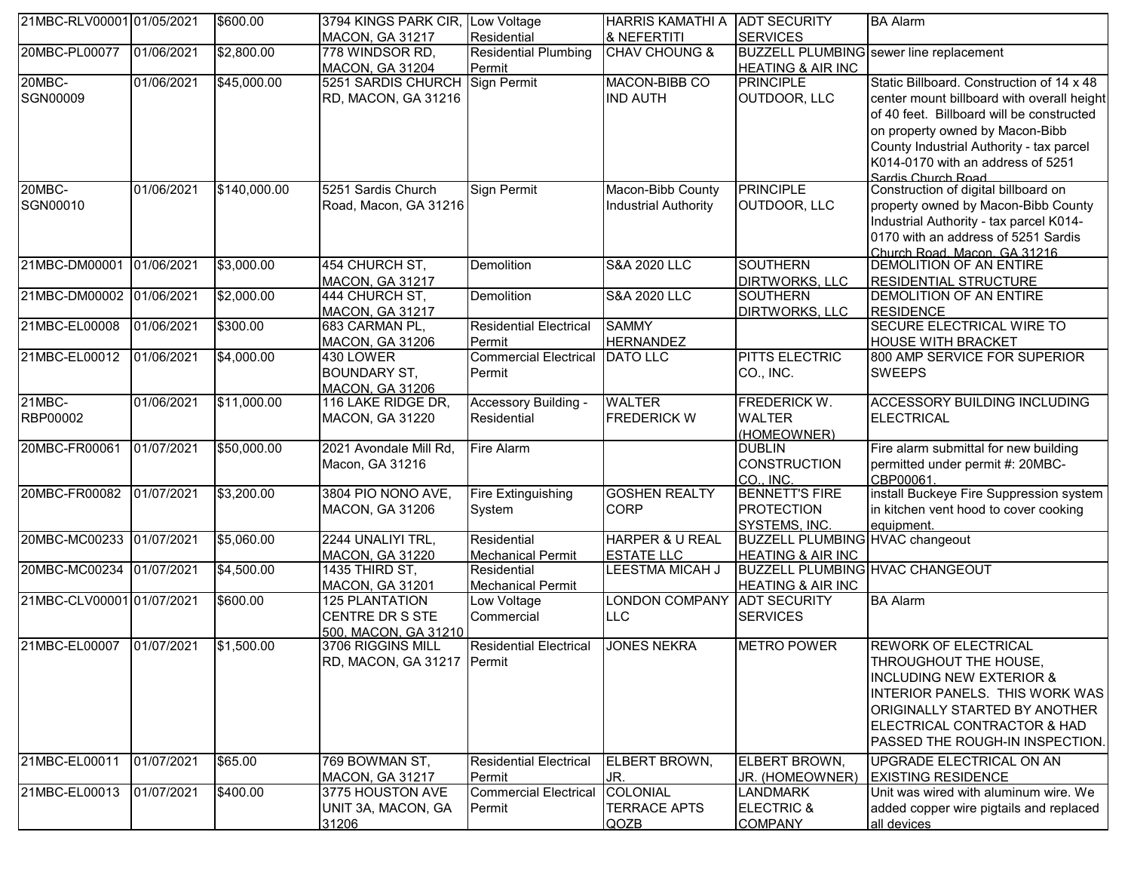| 21MBC-RLV00001 01/05/2021 |            | \$600.00     | 3794 KINGS PARK CIR.                | Low Voltage                            | HARRIS KAMATHI A ADT SECURITY       |                                        | <b>BA Alarm</b>                                           |
|---------------------------|------------|--------------|-------------------------------------|----------------------------------------|-------------------------------------|----------------------------------------|-----------------------------------------------------------|
|                           |            |              | <b>MACON, GA 31217</b>              | Residential                            | & NEFERTITI                         | <b>SERVICES</b>                        |                                                           |
| 20MBC-PL00077             | 01/06/2021 | \$2,800.00   | 778 WINDSOR RD,                     | <b>Residential Plumbing</b>            | <b>CHAV CHOUNG &amp;</b>            |                                        | BUZZELL PLUMBING sewer line replacement                   |
|                           |            |              | <b>MACON, GA 31204</b>              | Permit                                 |                                     | <b>HEATING &amp; AIR INC</b>           |                                                           |
| 20MBC-                    | 01/06/2021 | \$45,000.00  | 5251 SARDIS CHURCH                  | Sign Permit                            | MACON-BIBB CO                       | <b>PRINCIPLE</b>                       | Static Billboard. Construction of 14 x 48                 |
| SGN00009                  |            |              | RD, MACON, GA 31216                 |                                        | <b>IND AUTH</b>                     | OUTDOOR, LLC                           | center mount billboard with overall height                |
|                           |            |              |                                     |                                        |                                     |                                        | of 40 feet. Billboard will be constructed                 |
|                           |            |              |                                     |                                        |                                     |                                        | on property owned by Macon-Bibb                           |
|                           |            |              |                                     |                                        |                                     |                                        | County Industrial Authority - tax parcel                  |
|                           |            |              |                                     |                                        |                                     |                                        | K014-0170 with an address of 5251                         |
|                           |            |              |                                     |                                        |                                     |                                        | Sardis Church Road                                        |
| 20MBC-                    | 01/06/2021 | \$140,000.00 | 5251 Sardis Church                  | Sign Permit                            | Macon-Bibb County                   | <b>PRINCIPLE</b>                       | Construction of digital billboard on                      |
| SGN00010                  |            |              | Road, Macon, GA 31216               |                                        | <b>Industrial Authority</b>         | OUTDOOR, LLC                           | property owned by Macon-Bibb County                       |
|                           |            |              |                                     |                                        |                                     |                                        | Industrial Authority - tax parcel K014-                   |
|                           |            |              |                                     |                                        |                                     |                                        | 0170 with an address of 5251 Sardis                       |
|                           |            |              |                                     |                                        |                                     |                                        | Church Road, Macon, GA 31216                              |
| 21MBC-DM00001             | 01/06/2021 | \$3,000.00   | 454 CHURCH ST,                      | <b>Demolition</b>                      | <b>S&amp;A 2020 LLC</b>             | <b>SOUTHERN</b>                        | <b>DEMOLITION OF AN ENTIRE</b>                            |
|                           |            |              | <b>MACON, GA 31217</b>              |                                        | <b>S&amp;A 2020 LLC</b>             | <b>DIRTWORKS, LLC</b>                  | <b>RESIDENTIAL STRUCTURE</b>                              |
| 21MBC-DM00002             | 01/06/2021 | \$2,000.00   | 444 CHURCH ST,                      | Demolition                             |                                     | <b>SOUTHERN</b>                        | <b>DEMOLITION OF AN ENTIRE</b>                            |
| 21MBC-EL00008             | 01/06/2021 | \$300.00     | <b>MACON, GA 31217</b>              | <b>Residential Electrical</b>          | <b>SAMMY</b>                        | DIRTWORKS, LLC                         | <b>RESIDENCE</b><br><b>SECURE ELECTRICAL WIRE TO</b>      |
|                           |            |              | 683 CARMAN PL,                      |                                        |                                     |                                        |                                                           |
| 21MBC-EL00012             | 01/06/2021 | \$4,000.00   | <b>MACON, GA 31206</b><br>430 LOWER | Permit<br><b>Commercial Electrical</b> | <b>HERNANDEZ</b><br><b>DATO LLC</b> | PITTS ELECTRIC                         | <b>HOUSE WITH BRACKET</b><br>800 AMP SERVICE FOR SUPERIOR |
|                           |            |              | <b>BOUNDARY ST,</b>                 | Permit                                 |                                     | CO., INC.                              |                                                           |
|                           |            |              | <b>MACON, GA 31206</b>              |                                        |                                     |                                        | <b>SWEEPS</b>                                             |
| 21MBC-                    | 01/06/2021 | \$11,000.00  | 116 LAKE RIDGE DR,                  | Accessory Building -                   | <b>WALTER</b>                       | FREDERICK W.                           | ACCESSORY BUILDING INCLUDING                              |
| RBP00002                  |            |              | <b>MACON, GA 31220</b>              | Residential                            | <b>FREDERICK W</b>                  | <b>WALTER</b>                          | <b>ELECTRICAL</b>                                         |
|                           |            |              |                                     |                                        |                                     | (HOMEOWNER)                            |                                                           |
| 20MBC-FR00061             | 01/07/2021 | \$50,000.00  | 2021 Avondale Mill Rd,              | <b>Fire Alarm</b>                      |                                     | <b>DUBLIN</b>                          | Fire alarm submittal for new building                     |
|                           |            |              | Macon, GA 31216                     |                                        |                                     | <b>CONSTRUCTION</b>                    | permitted under permit #: 20MBC-                          |
|                           |            |              |                                     |                                        |                                     | CO., INC.                              | CBP00061                                                  |
| 20MBC-FR00082             | 01/07/2021 | \$3,200.00   | 3804 PIO NONO AVE,                  | Fire Extinguishing                     | <b>GOSHEN REALTY</b>                | <b>BENNETT'S FIRE</b>                  | install Buckeye Fire Suppression system                   |
|                           |            |              | <b>MACON, GA 31206</b>              | System                                 | <b>CORP</b>                         | <b>PROTECTION</b>                      | in kitchen vent hood to cover cooking                     |
|                           |            |              |                                     |                                        |                                     | SYSTEMS, INC.                          | equipment.                                                |
| 20MBC-MC00233 01/07/2021  |            | \$5,060.00   | 2244 UNALIYI TRL,                   | Residential                            | <b>HARPER &amp; U REAL</b>          | BUZZELL PLUMBING HVAC changeout        |                                                           |
|                           |            |              | <b>MACON, GA 31220</b>              | <b>Mechanical Permit</b>               | <b>ESTATE LLC</b>                   | <b>HEATING &amp; AIR INC</b>           |                                                           |
| 20MBC-MC00234             | 01/07/2021 | \$4,500.00   | 1435 THIRD ST,                      | Residential                            | <b>LEESTMA MICAH J</b>              | <b>BUZZELL PLUMBING HVAC CHANGEOUT</b> |                                                           |
|                           |            |              | <b>MACON, GA 31201</b>              | Mechanical Permit                      |                                     | <b>HEATING &amp; AIR INC</b>           |                                                           |
| 21MBC-CLV00001 01/07/2021 |            | \$600.00     | <b>125 PLANTATION</b>               | Low Voltage                            | <b>LONDON COMPANY</b>               | <b>ADT SECURITY</b>                    | <b>BA Alarm</b>                                           |
|                           |            |              | CENTRE DR S STE                     | Commercial                             | <b>LLC</b>                          | <b>SERVICES</b>                        |                                                           |
|                           |            |              | 500. MACON. GA 31210                |                                        |                                     |                                        |                                                           |
| 21MBC-EL00007             | 01/07/2021 | \$1,500.00   | 3706 RIGGINS MILL                   | <b>Residential Electrical</b>          | <b>JONES NEKRA</b>                  | <b>METRO POWER</b>                     | <b>REWORK OF ELECTRICAL</b>                               |
|                           |            |              | RD, MACON, GA 31217 Permit          |                                        |                                     |                                        | THROUGHOUT THE HOUSE,                                     |
|                           |            |              |                                     |                                        |                                     |                                        | <b>INCLUDING NEW EXTERIOR &amp;</b>                       |
|                           |            |              |                                     |                                        |                                     |                                        | INTERIOR PANELS. THIS WORK WAS                            |
|                           |            |              |                                     |                                        |                                     |                                        | ORIGINALLY STARTED BY ANOTHER                             |
|                           |            |              |                                     |                                        |                                     |                                        | ELECTRICAL CONTRACTOR & HAD                               |
|                           |            |              |                                     |                                        |                                     |                                        | PASSED THE ROUGH-IN INSPECTION.                           |
| 21MBC-EL00011             | 01/07/2021 | \$65.00      | 769 BOWMAN ST,                      | <b>Residential Electrical</b>          | ELBERT BROWN.                       | ELBERT BROWN,                          | UPGRADE ELECTRICAL ON AN                                  |
|                           |            |              | <b>MACON, GA 31217</b>              | Permit                                 | JR.                                 | JR. (HOMEOWNER)                        | <b>EXISTING RESIDENCE</b>                                 |
| 21MBC-EL00013             | 01/07/2021 | \$400.00     | 3775 HOUSTON AVE                    | <b>Commercial Electrical</b>           | COLONIAL                            | <b>LANDMARK</b>                        | Unit was wired with aluminum wire. We                     |
|                           |            |              | UNIT 3A, MACON, GA                  | Permit                                 | <b>TERRACE APTS</b>                 | <b>ELECTRIC &amp;</b>                  | added copper wire pigtails and replaced                   |
|                           |            |              | 31206                               |                                        | QOZB                                | <b>COMPANY</b>                         | all devices                                               |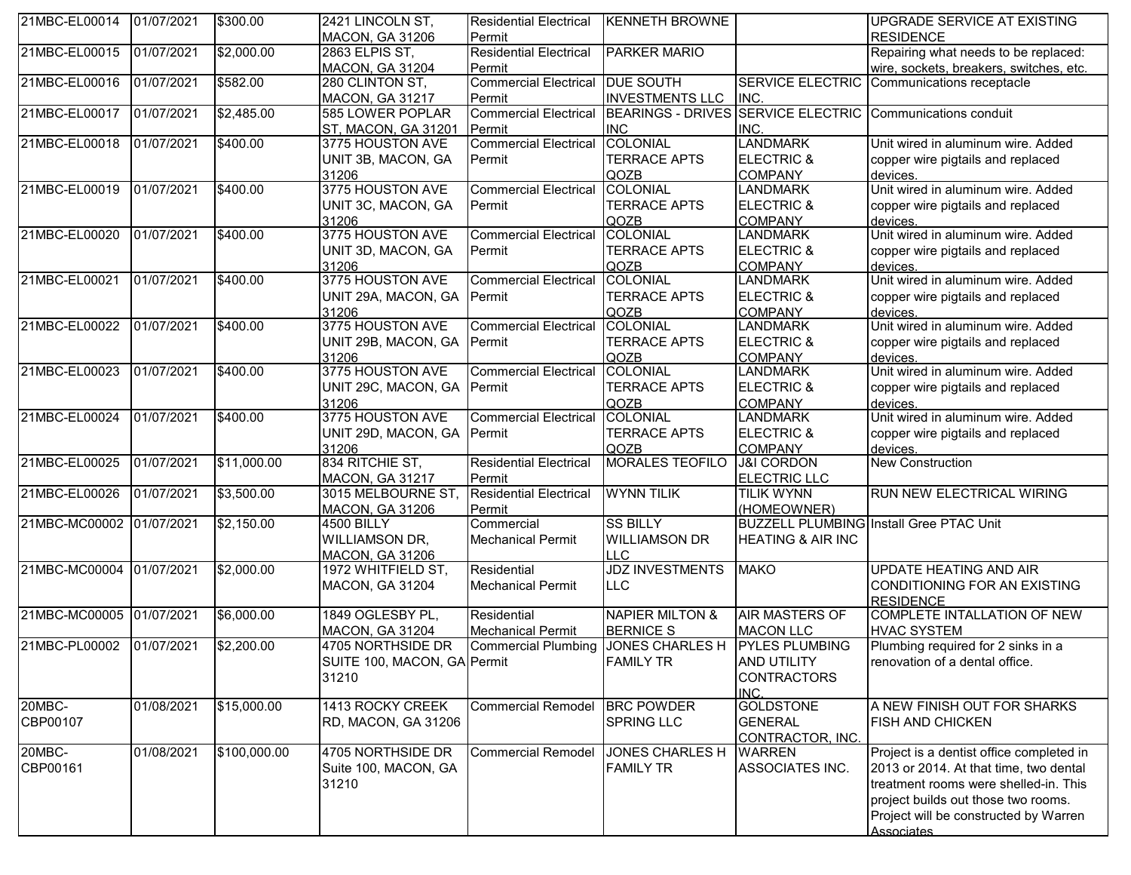| <b>MACON, GA 31206</b><br><b>RESIDENCE</b><br>Permit<br>21MBC-EL00015<br><b>Residential Electrical</b><br>01/07/2021<br>\$2,000.00<br>2863 ELPIS ST,<br>PARKER MARIO<br>Repairing what needs to be replaced:<br>Permit<br>wire, sockets, breakers, switches, etc.<br><b>MACON, GA 31204</b><br>\$582.00<br>Commercial Electrical DUE SOUTH<br><b>SERVICE ELECTRIC</b><br>01/07/2021<br>Communications receptacle<br>280 CLINTON ST,<br><b>INVESTMENTS LLC</b><br>INC.<br><b>MACON, GA 31217</b><br>Permit<br>21MBC-EL00017<br><b>Commercial Electrical</b><br>BEARINGS - DRIVES SERVICE ELECTRIC<br>01/07/2021<br>\$2,485.00<br>585 LOWER POPLAR<br>Communications conduit<br><b>INC</b><br>ST, MACON, GA 31201<br><b>Permit</b><br>INC.<br><b>Commercial Electrical</b><br><b>COLONIAL</b><br><b>LANDMARK</b><br>01/07/2021<br>\$400.00<br>3775 HOUSTON AVE<br>Unit wired in aluminum wire. Added<br><b>TERRACE APTS</b><br><b>ELECTRIC &amp;</b><br>UNIT 3B, MACON, GA<br>copper wire pigtails and replaced<br>Permit<br>31206<br>QOZB<br><b>COMPANY</b><br>devices.<br>3775 HOUSTON AVE<br>21MBC-EL00019<br>COLONIAL<br>Unit wired in aluminum wire. Added<br>01/07/2021<br>\$400.00<br><b>Commercial Electrical</b><br><b>LANDMARK</b><br>UNIT 3C, MACON, GA<br><b>TERRACE APTS</b><br><b>ELECTRIC &amp;</b><br>copper wire pigtails and replaced<br>Permit<br>QOZB<br>31206<br><b>COMPANY</b><br>devices.<br>3775 HOUSTON AVE<br>21MBC-EL00020<br>\$400.00<br><b>Commercial Electrical</b><br>Unit wired in aluminum wire. Added<br>01/07/2021<br><b>COLONIAL</b><br><b>LANDMARK</b><br><b>TERRACE APTS</b><br>UNIT 3D, MACON, GA<br><b>ELECTRIC &amp;</b><br>Permit<br>copper wire pigtails and replaced<br>31206<br>QOZB<br><b>COMPANY</b><br>devices.<br>3775 HOUSTON AVE<br>Unit wired in aluminum wire. Added<br>\$400.00<br><b>Commercial Electrical</b><br>COLONIAL<br>21MBC-EL00021<br>01/07/2021<br><b>LANDMARK</b><br><b>TERRACE APTS</b><br><b>ELECTRIC &amp;</b><br>UNIT 29A, MACON, GA Permit<br>copper wire pigtails and replaced<br>31206<br>QOZB<br>devices.<br><b>COMPANY</b><br>21MBC-EL00022<br>3775 HOUSTON AVE<br>\$400.00<br><b>COLONIAL</b><br>Unit wired in aluminum wire. Added<br>01/07/2021<br><b>Commercial Electrical</b><br><b>LANDMARK</b><br><b>TERRACE APTS</b><br><b>ELECTRIC &amp;</b><br>copper wire pigtails and replaced<br>UNIT 29B, MACON, GA<br><b>IPermit</b><br>31206<br>QOZB<br><b>COMPANY</b><br>devices.<br>3775 HOUSTON AVE<br>Unit wired in aluminum wire. Added<br>21MBC-EL00023<br><b>Commercial Electrical</b><br>01/07/2021<br>\$400.00<br><b>COLONIAL</b><br><b>LANDMARK</b><br><b>TERRACE APTS</b><br>UNIT 29C, MACON, GA<br>Permit<br><b>ELECTRIC &amp;</b><br>copper wire pigtails and replaced<br>31206<br>QOZB<br><b>COMPANY</b><br>devices.<br>3775 HOUSTON AVE<br>21MBC-EL00024<br>\$400.00<br><b>Commercial Electrical</b><br>COLONIAL<br>Unit wired in aluminum wire. Added<br>01/07/2021<br><b>LANDMARK</b><br>UNIT 29D, MACON, GA Permit<br><b>TERRACE APTS</b><br><b>ELECTRIC &amp;</b><br>copper wire pigtails and replaced<br>31206<br>QOZB<br><b>COMPANY</b><br>devices.<br>21MBC-EL00025<br>834 RITCHIE ST,<br>MORALES TEOFILO<br><b>Residential Electrical</b><br>01/07/2021<br>\$11,000.00<br><b>J&amp;I CORDON</b><br><b>New Construction</b><br>MACON, GA 31217<br>Permit<br><b>ELECTRIC LLC</b><br>21MBC-EL00026<br><b>Residential Electrical</b><br><b>WYNN TILIK</b><br>01/07/2021<br>\$3,500.00<br>3015 MELBOURNE ST,<br>RUN NEW ELECTRICAL WIRING<br><b>TILIK WYNN</b><br><b>MACON, GA 31206</b><br>Permit<br>(HOMEOWNER)<br>21MBC-MC00002 01/07/2021<br><b>SS BILLY</b><br>\$2,150.00<br>Commercial<br><b>BUZZELL PLUMBING Install Gree PTAC Unit</b><br><b>4500 BILLY</b><br><b>WILLIAMSON DR,</b><br><b>Mechanical Permit</b><br><b>WILLIAMSON DR</b><br><b>HEATING &amp; AIR INC</b><br>LLC<br><b>MACON, GA 31206</b><br><b>JDZ INVESTMENTS</b><br>21MBC-MC00004 01/07/2021<br>Residential<br>\$2,000.00<br>1972 WHITFIELD ST,<br><b>MAKO</b><br><b>UPDATE HEATING AND AIR</b><br>CONDITIONING FOR AN EXISTING<br><b>MACON, GA 31204</b><br><b>Mechanical Permit</b><br>LLC<br><b>RESIDENCE</b><br>21MBC-MC00005<br>COMPLETE INTALLATION OF NEW<br>01/07/2021<br>\$6,000.00<br>1849 OGLESBY PL,<br><b>NAPIER MILTON &amp;</b><br><b>AIR MASTERS OF</b><br>Residential<br><b>MACON, GA 31204</b><br><b>BERNICE S</b><br><b>Mechanical Permit</b><br><b>MACON LLC</b><br><b>HVAC SYSTEM</b><br>21MBC-PL00002<br>\$2,200.00<br>01/07/2021<br>4705 NORTHSIDE DR<br>Commercial Plumbing JJONES CHARLES H PYLES PLUMBING<br>Plumbing required for 2 sinks in a<br>SUITE 100, MACON, GA Permit<br><b>FAMILY TR</b><br><b>AND UTILITY</b><br>renovation of a dental office.<br>31210<br><b>CONTRACTORS</b><br>INC.<br>20MBC-<br><b>GOLDSTONE</b><br>01/08/2021<br>\$15,000.00<br>1413 ROCKY CREEK<br>A NEW FINISH OUT FOR SHARKS<br>Commercial Remodel<br><b>BRC POWDER</b><br>CBP00107<br><b>SPRING LLC</b><br><b>GENERAL</b><br><b>FISH AND CHICKEN</b><br>RD, MACON, GA 31206<br>CONTRACTOR, INC.<br>20MBC-<br>\$100,000.00<br>01/08/2021<br>4705 NORTHSIDE DR<br><b>JONES CHARLES H</b><br>Commercial Remodel<br><b>WARREN</b><br>Project is a dentist office completed in<br><b>FAMILY TR</b><br>ASSOCIATES INC.<br>Suite 100, MACON, GA<br>2013 or 2014. At that time, two dental<br>31210<br>treatment rooms were shelled-in. This<br>project builds out those two rooms.<br>Project will be constructed by Warren<br><b>Associates</b> | 21MBC-EL00014 | 01/07/2021 | \$300.00 | 2421 LINCOLN ST, | <b>Residential Electrical</b> | <b>KENNETH BROWNE</b> | UPGRADE SERVICE AT EXISTING |
|-------------------------------------------------------------------------------------------------------------------------------------------------------------------------------------------------------------------------------------------------------------------------------------------------------------------------------------------------------------------------------------------------------------------------------------------------------------------------------------------------------------------------------------------------------------------------------------------------------------------------------------------------------------------------------------------------------------------------------------------------------------------------------------------------------------------------------------------------------------------------------------------------------------------------------------------------------------------------------------------------------------------------------------------------------------------------------------------------------------------------------------------------------------------------------------------------------------------------------------------------------------------------------------------------------------------------------------------------------------------------------------------------------------------------------------------------------------------------------------------------------------------------------------------------------------------------------------------------------------------------------------------------------------------------------------------------------------------------------------------------------------------------------------------------------------------------------------------------------------------------------------------------------------------------------------------------------------------------------------------------------------------------------------------------------------------------------------------------------------------------------------------------------------------------------------------------------------------------------------------------------------------------------------------------------------------------------------------------------------------------------------------------------------------------------------------------------------------------------------------------------------------------------------------------------------------------------------------------------------------------------------------------------------------------------------------------------------------------------------------------------------------------------------------------------------------------------------------------------------------------------------------------------------------------------------------------------------------------------------------------------------------------------------------------------------------------------------------------------------------------------------------------------------------------------------------------------------------------------------------------------------------------------------------------------------------------------------------------------------------------------------------------------------------------------------------------------------------------------------------------------------------------------------------------------------------------------------------------------------------------------------------------------------------------------------------------------------------------------------------------------------------------------------------------------------------------------------------------------------------------------------------------------------------------------------------------------------------------------------------------------------------------------------------------------------------------------------------------------------------------------------------------------------------------------------------------------------------------------------------------------------------------------------------------------------------------------------------------------------------------------------------------------------------------------------------------------------------------------------------------------------------------------------------------------------------------------------------------------------------------------------------------------------------------------------------------------------------------------------------------------------------------------------------------------------------------------------------------------------------------------------------------------------------------------------------------------------------------------------------------------------------------------------------------------------------------------------------------------------------------------------------------------------------------------------------------------------------------------------------------------------------------------------------------------------------------------------------------------------------------------------------------------------------------------------------------------------------------------------------------------------------------------|---------------|------------|----------|------------------|-------------------------------|-----------------------|-----------------------------|
|                                                                                                                                                                                                                                                                                                                                                                                                                                                                                                                                                                                                                                                                                                                                                                                                                                                                                                                                                                                                                                                                                                                                                                                                                                                                                                                                                                                                                                                                                                                                                                                                                                                                                                                                                                                                                                                                                                                                                                                                                                                                                                                                                                                                                                                                                                                                                                                                                                                                                                                                                                                                                                                                                                                                                                                                                                                                                                                                                                                                                                                                                                                                                                                                                                                                                                                                                                                                                                                                                                                                                                                                                                                                                                                                                                                                                                                                                                                                                                                                                                                                                                                                                                                                                                                                                                                                                                                                                                                                                                                                                                                                                                                                                                                                                                                                                                                                                                                                                                                                                                                                                                                                                                                                                                                                                                                                                                                                                                                                                                                               |               |            |          |                  |                               |                       |                             |
|                                                                                                                                                                                                                                                                                                                                                                                                                                                                                                                                                                                                                                                                                                                                                                                                                                                                                                                                                                                                                                                                                                                                                                                                                                                                                                                                                                                                                                                                                                                                                                                                                                                                                                                                                                                                                                                                                                                                                                                                                                                                                                                                                                                                                                                                                                                                                                                                                                                                                                                                                                                                                                                                                                                                                                                                                                                                                                                                                                                                                                                                                                                                                                                                                                                                                                                                                                                                                                                                                                                                                                                                                                                                                                                                                                                                                                                                                                                                                                                                                                                                                                                                                                                                                                                                                                                                                                                                                                                                                                                                                                                                                                                                                                                                                                                                                                                                                                                                                                                                                                                                                                                                                                                                                                                                                                                                                                                                                                                                                                                               |               |            |          |                  |                               |                       |                             |
|                                                                                                                                                                                                                                                                                                                                                                                                                                                                                                                                                                                                                                                                                                                                                                                                                                                                                                                                                                                                                                                                                                                                                                                                                                                                                                                                                                                                                                                                                                                                                                                                                                                                                                                                                                                                                                                                                                                                                                                                                                                                                                                                                                                                                                                                                                                                                                                                                                                                                                                                                                                                                                                                                                                                                                                                                                                                                                                                                                                                                                                                                                                                                                                                                                                                                                                                                                                                                                                                                                                                                                                                                                                                                                                                                                                                                                                                                                                                                                                                                                                                                                                                                                                                                                                                                                                                                                                                                                                                                                                                                                                                                                                                                                                                                                                                                                                                                                                                                                                                                                                                                                                                                                                                                                                                                                                                                                                                                                                                                                                               |               |            |          |                  |                               |                       |                             |
|                                                                                                                                                                                                                                                                                                                                                                                                                                                                                                                                                                                                                                                                                                                                                                                                                                                                                                                                                                                                                                                                                                                                                                                                                                                                                                                                                                                                                                                                                                                                                                                                                                                                                                                                                                                                                                                                                                                                                                                                                                                                                                                                                                                                                                                                                                                                                                                                                                                                                                                                                                                                                                                                                                                                                                                                                                                                                                                                                                                                                                                                                                                                                                                                                                                                                                                                                                                                                                                                                                                                                                                                                                                                                                                                                                                                                                                                                                                                                                                                                                                                                                                                                                                                                                                                                                                                                                                                                                                                                                                                                                                                                                                                                                                                                                                                                                                                                                                                                                                                                                                                                                                                                                                                                                                                                                                                                                                                                                                                                                                               | 21MBC-EL00016 |            |          |                  |                               |                       |                             |
|                                                                                                                                                                                                                                                                                                                                                                                                                                                                                                                                                                                                                                                                                                                                                                                                                                                                                                                                                                                                                                                                                                                                                                                                                                                                                                                                                                                                                                                                                                                                                                                                                                                                                                                                                                                                                                                                                                                                                                                                                                                                                                                                                                                                                                                                                                                                                                                                                                                                                                                                                                                                                                                                                                                                                                                                                                                                                                                                                                                                                                                                                                                                                                                                                                                                                                                                                                                                                                                                                                                                                                                                                                                                                                                                                                                                                                                                                                                                                                                                                                                                                                                                                                                                                                                                                                                                                                                                                                                                                                                                                                                                                                                                                                                                                                                                                                                                                                                                                                                                                                                                                                                                                                                                                                                                                                                                                                                                                                                                                                                               |               |            |          |                  |                               |                       |                             |
|                                                                                                                                                                                                                                                                                                                                                                                                                                                                                                                                                                                                                                                                                                                                                                                                                                                                                                                                                                                                                                                                                                                                                                                                                                                                                                                                                                                                                                                                                                                                                                                                                                                                                                                                                                                                                                                                                                                                                                                                                                                                                                                                                                                                                                                                                                                                                                                                                                                                                                                                                                                                                                                                                                                                                                                                                                                                                                                                                                                                                                                                                                                                                                                                                                                                                                                                                                                                                                                                                                                                                                                                                                                                                                                                                                                                                                                                                                                                                                                                                                                                                                                                                                                                                                                                                                                                                                                                                                                                                                                                                                                                                                                                                                                                                                                                                                                                                                                                                                                                                                                                                                                                                                                                                                                                                                                                                                                                                                                                                                                               |               |            |          |                  |                               |                       |                             |
|                                                                                                                                                                                                                                                                                                                                                                                                                                                                                                                                                                                                                                                                                                                                                                                                                                                                                                                                                                                                                                                                                                                                                                                                                                                                                                                                                                                                                                                                                                                                                                                                                                                                                                                                                                                                                                                                                                                                                                                                                                                                                                                                                                                                                                                                                                                                                                                                                                                                                                                                                                                                                                                                                                                                                                                                                                                                                                                                                                                                                                                                                                                                                                                                                                                                                                                                                                                                                                                                                                                                                                                                                                                                                                                                                                                                                                                                                                                                                                                                                                                                                                                                                                                                                                                                                                                                                                                                                                                                                                                                                                                                                                                                                                                                                                                                                                                                                                                                                                                                                                                                                                                                                                                                                                                                                                                                                                                                                                                                                                                               |               |            |          |                  |                               |                       |                             |
|                                                                                                                                                                                                                                                                                                                                                                                                                                                                                                                                                                                                                                                                                                                                                                                                                                                                                                                                                                                                                                                                                                                                                                                                                                                                                                                                                                                                                                                                                                                                                                                                                                                                                                                                                                                                                                                                                                                                                                                                                                                                                                                                                                                                                                                                                                                                                                                                                                                                                                                                                                                                                                                                                                                                                                                                                                                                                                                                                                                                                                                                                                                                                                                                                                                                                                                                                                                                                                                                                                                                                                                                                                                                                                                                                                                                                                                                                                                                                                                                                                                                                                                                                                                                                                                                                                                                                                                                                                                                                                                                                                                                                                                                                                                                                                                                                                                                                                                                                                                                                                                                                                                                                                                                                                                                                                                                                                                                                                                                                                                               | 21MBC-EL00018 |            |          |                  |                               |                       |                             |
|                                                                                                                                                                                                                                                                                                                                                                                                                                                                                                                                                                                                                                                                                                                                                                                                                                                                                                                                                                                                                                                                                                                                                                                                                                                                                                                                                                                                                                                                                                                                                                                                                                                                                                                                                                                                                                                                                                                                                                                                                                                                                                                                                                                                                                                                                                                                                                                                                                                                                                                                                                                                                                                                                                                                                                                                                                                                                                                                                                                                                                                                                                                                                                                                                                                                                                                                                                                                                                                                                                                                                                                                                                                                                                                                                                                                                                                                                                                                                                                                                                                                                                                                                                                                                                                                                                                                                                                                                                                                                                                                                                                                                                                                                                                                                                                                                                                                                                                                                                                                                                                                                                                                                                                                                                                                                                                                                                                                                                                                                                                               |               |            |          |                  |                               |                       |                             |
|                                                                                                                                                                                                                                                                                                                                                                                                                                                                                                                                                                                                                                                                                                                                                                                                                                                                                                                                                                                                                                                                                                                                                                                                                                                                                                                                                                                                                                                                                                                                                                                                                                                                                                                                                                                                                                                                                                                                                                                                                                                                                                                                                                                                                                                                                                                                                                                                                                                                                                                                                                                                                                                                                                                                                                                                                                                                                                                                                                                                                                                                                                                                                                                                                                                                                                                                                                                                                                                                                                                                                                                                                                                                                                                                                                                                                                                                                                                                                                                                                                                                                                                                                                                                                                                                                                                                                                                                                                                                                                                                                                                                                                                                                                                                                                                                                                                                                                                                                                                                                                                                                                                                                                                                                                                                                                                                                                                                                                                                                                                               |               |            |          |                  |                               |                       |                             |
|                                                                                                                                                                                                                                                                                                                                                                                                                                                                                                                                                                                                                                                                                                                                                                                                                                                                                                                                                                                                                                                                                                                                                                                                                                                                                                                                                                                                                                                                                                                                                                                                                                                                                                                                                                                                                                                                                                                                                                                                                                                                                                                                                                                                                                                                                                                                                                                                                                                                                                                                                                                                                                                                                                                                                                                                                                                                                                                                                                                                                                                                                                                                                                                                                                                                                                                                                                                                                                                                                                                                                                                                                                                                                                                                                                                                                                                                                                                                                                                                                                                                                                                                                                                                                                                                                                                                                                                                                                                                                                                                                                                                                                                                                                                                                                                                                                                                                                                                                                                                                                                                                                                                                                                                                                                                                                                                                                                                                                                                                                                               |               |            |          |                  |                               |                       |                             |
|                                                                                                                                                                                                                                                                                                                                                                                                                                                                                                                                                                                                                                                                                                                                                                                                                                                                                                                                                                                                                                                                                                                                                                                                                                                                                                                                                                                                                                                                                                                                                                                                                                                                                                                                                                                                                                                                                                                                                                                                                                                                                                                                                                                                                                                                                                                                                                                                                                                                                                                                                                                                                                                                                                                                                                                                                                                                                                                                                                                                                                                                                                                                                                                                                                                                                                                                                                                                                                                                                                                                                                                                                                                                                                                                                                                                                                                                                                                                                                                                                                                                                                                                                                                                                                                                                                                                                                                                                                                                                                                                                                                                                                                                                                                                                                                                                                                                                                                                                                                                                                                                                                                                                                                                                                                                                                                                                                                                                                                                                                                               |               |            |          |                  |                               |                       |                             |
|                                                                                                                                                                                                                                                                                                                                                                                                                                                                                                                                                                                                                                                                                                                                                                                                                                                                                                                                                                                                                                                                                                                                                                                                                                                                                                                                                                                                                                                                                                                                                                                                                                                                                                                                                                                                                                                                                                                                                                                                                                                                                                                                                                                                                                                                                                                                                                                                                                                                                                                                                                                                                                                                                                                                                                                                                                                                                                                                                                                                                                                                                                                                                                                                                                                                                                                                                                                                                                                                                                                                                                                                                                                                                                                                                                                                                                                                                                                                                                                                                                                                                                                                                                                                                                                                                                                                                                                                                                                                                                                                                                                                                                                                                                                                                                                                                                                                                                                                                                                                                                                                                                                                                                                                                                                                                                                                                                                                                                                                                                                               |               |            |          |                  |                               |                       |                             |
|                                                                                                                                                                                                                                                                                                                                                                                                                                                                                                                                                                                                                                                                                                                                                                                                                                                                                                                                                                                                                                                                                                                                                                                                                                                                                                                                                                                                                                                                                                                                                                                                                                                                                                                                                                                                                                                                                                                                                                                                                                                                                                                                                                                                                                                                                                                                                                                                                                                                                                                                                                                                                                                                                                                                                                                                                                                                                                                                                                                                                                                                                                                                                                                                                                                                                                                                                                                                                                                                                                                                                                                                                                                                                                                                                                                                                                                                                                                                                                                                                                                                                                                                                                                                                                                                                                                                                                                                                                                                                                                                                                                                                                                                                                                                                                                                                                                                                                                                                                                                                                                                                                                                                                                                                                                                                                                                                                                                                                                                                                                               |               |            |          |                  |                               |                       |                             |
|                                                                                                                                                                                                                                                                                                                                                                                                                                                                                                                                                                                                                                                                                                                                                                                                                                                                                                                                                                                                                                                                                                                                                                                                                                                                                                                                                                                                                                                                                                                                                                                                                                                                                                                                                                                                                                                                                                                                                                                                                                                                                                                                                                                                                                                                                                                                                                                                                                                                                                                                                                                                                                                                                                                                                                                                                                                                                                                                                                                                                                                                                                                                                                                                                                                                                                                                                                                                                                                                                                                                                                                                                                                                                                                                                                                                                                                                                                                                                                                                                                                                                                                                                                                                                                                                                                                                                                                                                                                                                                                                                                                                                                                                                                                                                                                                                                                                                                                                                                                                                                                                                                                                                                                                                                                                                                                                                                                                                                                                                                                               |               |            |          |                  |                               |                       |                             |
|                                                                                                                                                                                                                                                                                                                                                                                                                                                                                                                                                                                                                                                                                                                                                                                                                                                                                                                                                                                                                                                                                                                                                                                                                                                                                                                                                                                                                                                                                                                                                                                                                                                                                                                                                                                                                                                                                                                                                                                                                                                                                                                                                                                                                                                                                                                                                                                                                                                                                                                                                                                                                                                                                                                                                                                                                                                                                                                                                                                                                                                                                                                                                                                                                                                                                                                                                                                                                                                                                                                                                                                                                                                                                                                                                                                                                                                                                                                                                                                                                                                                                                                                                                                                                                                                                                                                                                                                                                                                                                                                                                                                                                                                                                                                                                                                                                                                                                                                                                                                                                                                                                                                                                                                                                                                                                                                                                                                                                                                                                                               |               |            |          |                  |                               |                       |                             |
|                                                                                                                                                                                                                                                                                                                                                                                                                                                                                                                                                                                                                                                                                                                                                                                                                                                                                                                                                                                                                                                                                                                                                                                                                                                                                                                                                                                                                                                                                                                                                                                                                                                                                                                                                                                                                                                                                                                                                                                                                                                                                                                                                                                                                                                                                                                                                                                                                                                                                                                                                                                                                                                                                                                                                                                                                                                                                                                                                                                                                                                                                                                                                                                                                                                                                                                                                                                                                                                                                                                                                                                                                                                                                                                                                                                                                                                                                                                                                                                                                                                                                                                                                                                                                                                                                                                                                                                                                                                                                                                                                                                                                                                                                                                                                                                                                                                                                                                                                                                                                                                                                                                                                                                                                                                                                                                                                                                                                                                                                                                               |               |            |          |                  |                               |                       |                             |
|                                                                                                                                                                                                                                                                                                                                                                                                                                                                                                                                                                                                                                                                                                                                                                                                                                                                                                                                                                                                                                                                                                                                                                                                                                                                                                                                                                                                                                                                                                                                                                                                                                                                                                                                                                                                                                                                                                                                                                                                                                                                                                                                                                                                                                                                                                                                                                                                                                                                                                                                                                                                                                                                                                                                                                                                                                                                                                                                                                                                                                                                                                                                                                                                                                                                                                                                                                                                                                                                                                                                                                                                                                                                                                                                                                                                                                                                                                                                                                                                                                                                                                                                                                                                                                                                                                                                                                                                                                                                                                                                                                                                                                                                                                                                                                                                                                                                                                                                                                                                                                                                                                                                                                                                                                                                                                                                                                                                                                                                                                                               |               |            |          |                  |                               |                       |                             |
|                                                                                                                                                                                                                                                                                                                                                                                                                                                                                                                                                                                                                                                                                                                                                                                                                                                                                                                                                                                                                                                                                                                                                                                                                                                                                                                                                                                                                                                                                                                                                                                                                                                                                                                                                                                                                                                                                                                                                                                                                                                                                                                                                                                                                                                                                                                                                                                                                                                                                                                                                                                                                                                                                                                                                                                                                                                                                                                                                                                                                                                                                                                                                                                                                                                                                                                                                                                                                                                                                                                                                                                                                                                                                                                                                                                                                                                                                                                                                                                                                                                                                                                                                                                                                                                                                                                                                                                                                                                                                                                                                                                                                                                                                                                                                                                                                                                                                                                                                                                                                                                                                                                                                                                                                                                                                                                                                                                                                                                                                                                               |               |            |          |                  |                               |                       |                             |
|                                                                                                                                                                                                                                                                                                                                                                                                                                                                                                                                                                                                                                                                                                                                                                                                                                                                                                                                                                                                                                                                                                                                                                                                                                                                                                                                                                                                                                                                                                                                                                                                                                                                                                                                                                                                                                                                                                                                                                                                                                                                                                                                                                                                                                                                                                                                                                                                                                                                                                                                                                                                                                                                                                                                                                                                                                                                                                                                                                                                                                                                                                                                                                                                                                                                                                                                                                                                                                                                                                                                                                                                                                                                                                                                                                                                                                                                                                                                                                                                                                                                                                                                                                                                                                                                                                                                                                                                                                                                                                                                                                                                                                                                                                                                                                                                                                                                                                                                                                                                                                                                                                                                                                                                                                                                                                                                                                                                                                                                                                                               |               |            |          |                  |                               |                       |                             |
|                                                                                                                                                                                                                                                                                                                                                                                                                                                                                                                                                                                                                                                                                                                                                                                                                                                                                                                                                                                                                                                                                                                                                                                                                                                                                                                                                                                                                                                                                                                                                                                                                                                                                                                                                                                                                                                                                                                                                                                                                                                                                                                                                                                                                                                                                                                                                                                                                                                                                                                                                                                                                                                                                                                                                                                                                                                                                                                                                                                                                                                                                                                                                                                                                                                                                                                                                                                                                                                                                                                                                                                                                                                                                                                                                                                                                                                                                                                                                                                                                                                                                                                                                                                                                                                                                                                                                                                                                                                                                                                                                                                                                                                                                                                                                                                                                                                                                                                                                                                                                                                                                                                                                                                                                                                                                                                                                                                                                                                                                                                               |               |            |          |                  |                               |                       |                             |
|                                                                                                                                                                                                                                                                                                                                                                                                                                                                                                                                                                                                                                                                                                                                                                                                                                                                                                                                                                                                                                                                                                                                                                                                                                                                                                                                                                                                                                                                                                                                                                                                                                                                                                                                                                                                                                                                                                                                                                                                                                                                                                                                                                                                                                                                                                                                                                                                                                                                                                                                                                                                                                                                                                                                                                                                                                                                                                                                                                                                                                                                                                                                                                                                                                                                                                                                                                                                                                                                                                                                                                                                                                                                                                                                                                                                                                                                                                                                                                                                                                                                                                                                                                                                                                                                                                                                                                                                                                                                                                                                                                                                                                                                                                                                                                                                                                                                                                                                                                                                                                                                                                                                                                                                                                                                                                                                                                                                                                                                                                                               |               |            |          |                  |                               |                       |                             |
|                                                                                                                                                                                                                                                                                                                                                                                                                                                                                                                                                                                                                                                                                                                                                                                                                                                                                                                                                                                                                                                                                                                                                                                                                                                                                                                                                                                                                                                                                                                                                                                                                                                                                                                                                                                                                                                                                                                                                                                                                                                                                                                                                                                                                                                                                                                                                                                                                                                                                                                                                                                                                                                                                                                                                                                                                                                                                                                                                                                                                                                                                                                                                                                                                                                                                                                                                                                                                                                                                                                                                                                                                                                                                                                                                                                                                                                                                                                                                                                                                                                                                                                                                                                                                                                                                                                                                                                                                                                                                                                                                                                                                                                                                                                                                                                                                                                                                                                                                                                                                                                                                                                                                                                                                                                                                                                                                                                                                                                                                                                               |               |            |          |                  |                               |                       |                             |
|                                                                                                                                                                                                                                                                                                                                                                                                                                                                                                                                                                                                                                                                                                                                                                                                                                                                                                                                                                                                                                                                                                                                                                                                                                                                                                                                                                                                                                                                                                                                                                                                                                                                                                                                                                                                                                                                                                                                                                                                                                                                                                                                                                                                                                                                                                                                                                                                                                                                                                                                                                                                                                                                                                                                                                                                                                                                                                                                                                                                                                                                                                                                                                                                                                                                                                                                                                                                                                                                                                                                                                                                                                                                                                                                                                                                                                                                                                                                                                                                                                                                                                                                                                                                                                                                                                                                                                                                                                                                                                                                                                                                                                                                                                                                                                                                                                                                                                                                                                                                                                                                                                                                                                                                                                                                                                                                                                                                                                                                                                                               |               |            |          |                  |                               |                       |                             |
|                                                                                                                                                                                                                                                                                                                                                                                                                                                                                                                                                                                                                                                                                                                                                                                                                                                                                                                                                                                                                                                                                                                                                                                                                                                                                                                                                                                                                                                                                                                                                                                                                                                                                                                                                                                                                                                                                                                                                                                                                                                                                                                                                                                                                                                                                                                                                                                                                                                                                                                                                                                                                                                                                                                                                                                                                                                                                                                                                                                                                                                                                                                                                                                                                                                                                                                                                                                                                                                                                                                                                                                                                                                                                                                                                                                                                                                                                                                                                                                                                                                                                                                                                                                                                                                                                                                                                                                                                                                                                                                                                                                                                                                                                                                                                                                                                                                                                                                                                                                                                                                                                                                                                                                                                                                                                                                                                                                                                                                                                                                               |               |            |          |                  |                               |                       |                             |
|                                                                                                                                                                                                                                                                                                                                                                                                                                                                                                                                                                                                                                                                                                                                                                                                                                                                                                                                                                                                                                                                                                                                                                                                                                                                                                                                                                                                                                                                                                                                                                                                                                                                                                                                                                                                                                                                                                                                                                                                                                                                                                                                                                                                                                                                                                                                                                                                                                                                                                                                                                                                                                                                                                                                                                                                                                                                                                                                                                                                                                                                                                                                                                                                                                                                                                                                                                                                                                                                                                                                                                                                                                                                                                                                                                                                                                                                                                                                                                                                                                                                                                                                                                                                                                                                                                                                                                                                                                                                                                                                                                                                                                                                                                                                                                                                                                                                                                                                                                                                                                                                                                                                                                                                                                                                                                                                                                                                                                                                                                                               |               |            |          |                  |                               |                       |                             |
|                                                                                                                                                                                                                                                                                                                                                                                                                                                                                                                                                                                                                                                                                                                                                                                                                                                                                                                                                                                                                                                                                                                                                                                                                                                                                                                                                                                                                                                                                                                                                                                                                                                                                                                                                                                                                                                                                                                                                                                                                                                                                                                                                                                                                                                                                                                                                                                                                                                                                                                                                                                                                                                                                                                                                                                                                                                                                                                                                                                                                                                                                                                                                                                                                                                                                                                                                                                                                                                                                                                                                                                                                                                                                                                                                                                                                                                                                                                                                                                                                                                                                                                                                                                                                                                                                                                                                                                                                                                                                                                                                                                                                                                                                                                                                                                                                                                                                                                                                                                                                                                                                                                                                                                                                                                                                                                                                                                                                                                                                                                               |               |            |          |                  |                               |                       |                             |
|                                                                                                                                                                                                                                                                                                                                                                                                                                                                                                                                                                                                                                                                                                                                                                                                                                                                                                                                                                                                                                                                                                                                                                                                                                                                                                                                                                                                                                                                                                                                                                                                                                                                                                                                                                                                                                                                                                                                                                                                                                                                                                                                                                                                                                                                                                                                                                                                                                                                                                                                                                                                                                                                                                                                                                                                                                                                                                                                                                                                                                                                                                                                                                                                                                                                                                                                                                                                                                                                                                                                                                                                                                                                                                                                                                                                                                                                                                                                                                                                                                                                                                                                                                                                                                                                                                                                                                                                                                                                                                                                                                                                                                                                                                                                                                                                                                                                                                                                                                                                                                                                                                                                                                                                                                                                                                                                                                                                                                                                                                                               |               |            |          |                  |                               |                       |                             |
|                                                                                                                                                                                                                                                                                                                                                                                                                                                                                                                                                                                                                                                                                                                                                                                                                                                                                                                                                                                                                                                                                                                                                                                                                                                                                                                                                                                                                                                                                                                                                                                                                                                                                                                                                                                                                                                                                                                                                                                                                                                                                                                                                                                                                                                                                                                                                                                                                                                                                                                                                                                                                                                                                                                                                                                                                                                                                                                                                                                                                                                                                                                                                                                                                                                                                                                                                                                                                                                                                                                                                                                                                                                                                                                                                                                                                                                                                                                                                                                                                                                                                                                                                                                                                                                                                                                                                                                                                                                                                                                                                                                                                                                                                                                                                                                                                                                                                                                                                                                                                                                                                                                                                                                                                                                                                                                                                                                                                                                                                                                               |               |            |          |                  |                               |                       |                             |
|                                                                                                                                                                                                                                                                                                                                                                                                                                                                                                                                                                                                                                                                                                                                                                                                                                                                                                                                                                                                                                                                                                                                                                                                                                                                                                                                                                                                                                                                                                                                                                                                                                                                                                                                                                                                                                                                                                                                                                                                                                                                                                                                                                                                                                                                                                                                                                                                                                                                                                                                                                                                                                                                                                                                                                                                                                                                                                                                                                                                                                                                                                                                                                                                                                                                                                                                                                                                                                                                                                                                                                                                                                                                                                                                                                                                                                                                                                                                                                                                                                                                                                                                                                                                                                                                                                                                                                                                                                                                                                                                                                                                                                                                                                                                                                                                                                                                                                                                                                                                                                                                                                                                                                                                                                                                                                                                                                                                                                                                                                                               |               |            |          |                  |                               |                       |                             |
|                                                                                                                                                                                                                                                                                                                                                                                                                                                                                                                                                                                                                                                                                                                                                                                                                                                                                                                                                                                                                                                                                                                                                                                                                                                                                                                                                                                                                                                                                                                                                                                                                                                                                                                                                                                                                                                                                                                                                                                                                                                                                                                                                                                                                                                                                                                                                                                                                                                                                                                                                                                                                                                                                                                                                                                                                                                                                                                                                                                                                                                                                                                                                                                                                                                                                                                                                                                                                                                                                                                                                                                                                                                                                                                                                                                                                                                                                                                                                                                                                                                                                                                                                                                                                                                                                                                                                                                                                                                                                                                                                                                                                                                                                                                                                                                                                                                                                                                                                                                                                                                                                                                                                                                                                                                                                                                                                                                                                                                                                                                               |               |            |          |                  |                               |                       |                             |
|                                                                                                                                                                                                                                                                                                                                                                                                                                                                                                                                                                                                                                                                                                                                                                                                                                                                                                                                                                                                                                                                                                                                                                                                                                                                                                                                                                                                                                                                                                                                                                                                                                                                                                                                                                                                                                                                                                                                                                                                                                                                                                                                                                                                                                                                                                                                                                                                                                                                                                                                                                                                                                                                                                                                                                                                                                                                                                                                                                                                                                                                                                                                                                                                                                                                                                                                                                                                                                                                                                                                                                                                                                                                                                                                                                                                                                                                                                                                                                                                                                                                                                                                                                                                                                                                                                                                                                                                                                                                                                                                                                                                                                                                                                                                                                                                                                                                                                                                                                                                                                                                                                                                                                                                                                                                                                                                                                                                                                                                                                                               |               |            |          |                  |                               |                       |                             |
|                                                                                                                                                                                                                                                                                                                                                                                                                                                                                                                                                                                                                                                                                                                                                                                                                                                                                                                                                                                                                                                                                                                                                                                                                                                                                                                                                                                                                                                                                                                                                                                                                                                                                                                                                                                                                                                                                                                                                                                                                                                                                                                                                                                                                                                                                                                                                                                                                                                                                                                                                                                                                                                                                                                                                                                                                                                                                                                                                                                                                                                                                                                                                                                                                                                                                                                                                                                                                                                                                                                                                                                                                                                                                                                                                                                                                                                                                                                                                                                                                                                                                                                                                                                                                                                                                                                                                                                                                                                                                                                                                                                                                                                                                                                                                                                                                                                                                                                                                                                                                                                                                                                                                                                                                                                                                                                                                                                                                                                                                                                               |               |            |          |                  |                               |                       |                             |
|                                                                                                                                                                                                                                                                                                                                                                                                                                                                                                                                                                                                                                                                                                                                                                                                                                                                                                                                                                                                                                                                                                                                                                                                                                                                                                                                                                                                                                                                                                                                                                                                                                                                                                                                                                                                                                                                                                                                                                                                                                                                                                                                                                                                                                                                                                                                                                                                                                                                                                                                                                                                                                                                                                                                                                                                                                                                                                                                                                                                                                                                                                                                                                                                                                                                                                                                                                                                                                                                                                                                                                                                                                                                                                                                                                                                                                                                                                                                                                                                                                                                                                                                                                                                                                                                                                                                                                                                                                                                                                                                                                                                                                                                                                                                                                                                                                                                                                                                                                                                                                                                                                                                                                                                                                                                                                                                                                                                                                                                                                                               |               |            |          |                  |                               |                       |                             |
|                                                                                                                                                                                                                                                                                                                                                                                                                                                                                                                                                                                                                                                                                                                                                                                                                                                                                                                                                                                                                                                                                                                                                                                                                                                                                                                                                                                                                                                                                                                                                                                                                                                                                                                                                                                                                                                                                                                                                                                                                                                                                                                                                                                                                                                                                                                                                                                                                                                                                                                                                                                                                                                                                                                                                                                                                                                                                                                                                                                                                                                                                                                                                                                                                                                                                                                                                                                                                                                                                                                                                                                                                                                                                                                                                                                                                                                                                                                                                                                                                                                                                                                                                                                                                                                                                                                                                                                                                                                                                                                                                                                                                                                                                                                                                                                                                                                                                                                                                                                                                                                                                                                                                                                                                                                                                                                                                                                                                                                                                                                               |               |            |          |                  |                               |                       |                             |
|                                                                                                                                                                                                                                                                                                                                                                                                                                                                                                                                                                                                                                                                                                                                                                                                                                                                                                                                                                                                                                                                                                                                                                                                                                                                                                                                                                                                                                                                                                                                                                                                                                                                                                                                                                                                                                                                                                                                                                                                                                                                                                                                                                                                                                                                                                                                                                                                                                                                                                                                                                                                                                                                                                                                                                                                                                                                                                                                                                                                                                                                                                                                                                                                                                                                                                                                                                                                                                                                                                                                                                                                                                                                                                                                                                                                                                                                                                                                                                                                                                                                                                                                                                                                                                                                                                                                                                                                                                                                                                                                                                                                                                                                                                                                                                                                                                                                                                                                                                                                                                                                                                                                                                                                                                                                                                                                                                                                                                                                                                                               |               |            |          |                  |                               |                       |                             |
|                                                                                                                                                                                                                                                                                                                                                                                                                                                                                                                                                                                                                                                                                                                                                                                                                                                                                                                                                                                                                                                                                                                                                                                                                                                                                                                                                                                                                                                                                                                                                                                                                                                                                                                                                                                                                                                                                                                                                                                                                                                                                                                                                                                                                                                                                                                                                                                                                                                                                                                                                                                                                                                                                                                                                                                                                                                                                                                                                                                                                                                                                                                                                                                                                                                                                                                                                                                                                                                                                                                                                                                                                                                                                                                                                                                                                                                                                                                                                                                                                                                                                                                                                                                                                                                                                                                                                                                                                                                                                                                                                                                                                                                                                                                                                                                                                                                                                                                                                                                                                                                                                                                                                                                                                                                                                                                                                                                                                                                                                                                               |               |            |          |                  |                               |                       |                             |
|                                                                                                                                                                                                                                                                                                                                                                                                                                                                                                                                                                                                                                                                                                                                                                                                                                                                                                                                                                                                                                                                                                                                                                                                                                                                                                                                                                                                                                                                                                                                                                                                                                                                                                                                                                                                                                                                                                                                                                                                                                                                                                                                                                                                                                                                                                                                                                                                                                                                                                                                                                                                                                                                                                                                                                                                                                                                                                                                                                                                                                                                                                                                                                                                                                                                                                                                                                                                                                                                                                                                                                                                                                                                                                                                                                                                                                                                                                                                                                                                                                                                                                                                                                                                                                                                                                                                                                                                                                                                                                                                                                                                                                                                                                                                                                                                                                                                                                                                                                                                                                                                                                                                                                                                                                                                                                                                                                                                                                                                                                                               |               |            |          |                  |                               |                       |                             |
|                                                                                                                                                                                                                                                                                                                                                                                                                                                                                                                                                                                                                                                                                                                                                                                                                                                                                                                                                                                                                                                                                                                                                                                                                                                                                                                                                                                                                                                                                                                                                                                                                                                                                                                                                                                                                                                                                                                                                                                                                                                                                                                                                                                                                                                                                                                                                                                                                                                                                                                                                                                                                                                                                                                                                                                                                                                                                                                                                                                                                                                                                                                                                                                                                                                                                                                                                                                                                                                                                                                                                                                                                                                                                                                                                                                                                                                                                                                                                                                                                                                                                                                                                                                                                                                                                                                                                                                                                                                                                                                                                                                                                                                                                                                                                                                                                                                                                                                                                                                                                                                                                                                                                                                                                                                                                                                                                                                                                                                                                                                               |               |            |          |                  |                               |                       |                             |
|                                                                                                                                                                                                                                                                                                                                                                                                                                                                                                                                                                                                                                                                                                                                                                                                                                                                                                                                                                                                                                                                                                                                                                                                                                                                                                                                                                                                                                                                                                                                                                                                                                                                                                                                                                                                                                                                                                                                                                                                                                                                                                                                                                                                                                                                                                                                                                                                                                                                                                                                                                                                                                                                                                                                                                                                                                                                                                                                                                                                                                                                                                                                                                                                                                                                                                                                                                                                                                                                                                                                                                                                                                                                                                                                                                                                                                                                                                                                                                                                                                                                                                                                                                                                                                                                                                                                                                                                                                                                                                                                                                                                                                                                                                                                                                                                                                                                                                                                                                                                                                                                                                                                                                                                                                                                                                                                                                                                                                                                                                                               |               |            |          |                  |                               |                       |                             |
|                                                                                                                                                                                                                                                                                                                                                                                                                                                                                                                                                                                                                                                                                                                                                                                                                                                                                                                                                                                                                                                                                                                                                                                                                                                                                                                                                                                                                                                                                                                                                                                                                                                                                                                                                                                                                                                                                                                                                                                                                                                                                                                                                                                                                                                                                                                                                                                                                                                                                                                                                                                                                                                                                                                                                                                                                                                                                                                                                                                                                                                                                                                                                                                                                                                                                                                                                                                                                                                                                                                                                                                                                                                                                                                                                                                                                                                                                                                                                                                                                                                                                                                                                                                                                                                                                                                                                                                                                                                                                                                                                                                                                                                                                                                                                                                                                                                                                                                                                                                                                                                                                                                                                                                                                                                                                                                                                                                                                                                                                                                               |               |            |          |                  |                               |                       |                             |
|                                                                                                                                                                                                                                                                                                                                                                                                                                                                                                                                                                                                                                                                                                                                                                                                                                                                                                                                                                                                                                                                                                                                                                                                                                                                                                                                                                                                                                                                                                                                                                                                                                                                                                                                                                                                                                                                                                                                                                                                                                                                                                                                                                                                                                                                                                                                                                                                                                                                                                                                                                                                                                                                                                                                                                                                                                                                                                                                                                                                                                                                                                                                                                                                                                                                                                                                                                                                                                                                                                                                                                                                                                                                                                                                                                                                                                                                                                                                                                                                                                                                                                                                                                                                                                                                                                                                                                                                                                                                                                                                                                                                                                                                                                                                                                                                                                                                                                                                                                                                                                                                                                                                                                                                                                                                                                                                                                                                                                                                                                                               |               |            |          |                  |                               |                       |                             |
|                                                                                                                                                                                                                                                                                                                                                                                                                                                                                                                                                                                                                                                                                                                                                                                                                                                                                                                                                                                                                                                                                                                                                                                                                                                                                                                                                                                                                                                                                                                                                                                                                                                                                                                                                                                                                                                                                                                                                                                                                                                                                                                                                                                                                                                                                                                                                                                                                                                                                                                                                                                                                                                                                                                                                                                                                                                                                                                                                                                                                                                                                                                                                                                                                                                                                                                                                                                                                                                                                                                                                                                                                                                                                                                                                                                                                                                                                                                                                                                                                                                                                                                                                                                                                                                                                                                                                                                                                                                                                                                                                                                                                                                                                                                                                                                                                                                                                                                                                                                                                                                                                                                                                                                                                                                                                                                                                                                                                                                                                                                               |               |            |          |                  |                               |                       |                             |
|                                                                                                                                                                                                                                                                                                                                                                                                                                                                                                                                                                                                                                                                                                                                                                                                                                                                                                                                                                                                                                                                                                                                                                                                                                                                                                                                                                                                                                                                                                                                                                                                                                                                                                                                                                                                                                                                                                                                                                                                                                                                                                                                                                                                                                                                                                                                                                                                                                                                                                                                                                                                                                                                                                                                                                                                                                                                                                                                                                                                                                                                                                                                                                                                                                                                                                                                                                                                                                                                                                                                                                                                                                                                                                                                                                                                                                                                                                                                                                                                                                                                                                                                                                                                                                                                                                                                                                                                                                                                                                                                                                                                                                                                                                                                                                                                                                                                                                                                                                                                                                                                                                                                                                                                                                                                                                                                                                                                                                                                                                                               |               |            |          |                  |                               |                       |                             |
|                                                                                                                                                                                                                                                                                                                                                                                                                                                                                                                                                                                                                                                                                                                                                                                                                                                                                                                                                                                                                                                                                                                                                                                                                                                                                                                                                                                                                                                                                                                                                                                                                                                                                                                                                                                                                                                                                                                                                                                                                                                                                                                                                                                                                                                                                                                                                                                                                                                                                                                                                                                                                                                                                                                                                                                                                                                                                                                                                                                                                                                                                                                                                                                                                                                                                                                                                                                                                                                                                                                                                                                                                                                                                                                                                                                                                                                                                                                                                                                                                                                                                                                                                                                                                                                                                                                                                                                                                                                                                                                                                                                                                                                                                                                                                                                                                                                                                                                                                                                                                                                                                                                                                                                                                                                                                                                                                                                                                                                                                                                               |               |            |          |                  |                               |                       |                             |
|                                                                                                                                                                                                                                                                                                                                                                                                                                                                                                                                                                                                                                                                                                                                                                                                                                                                                                                                                                                                                                                                                                                                                                                                                                                                                                                                                                                                                                                                                                                                                                                                                                                                                                                                                                                                                                                                                                                                                                                                                                                                                                                                                                                                                                                                                                                                                                                                                                                                                                                                                                                                                                                                                                                                                                                                                                                                                                                                                                                                                                                                                                                                                                                                                                                                                                                                                                                                                                                                                                                                                                                                                                                                                                                                                                                                                                                                                                                                                                                                                                                                                                                                                                                                                                                                                                                                                                                                                                                                                                                                                                                                                                                                                                                                                                                                                                                                                                                                                                                                                                                                                                                                                                                                                                                                                                                                                                                                                                                                                                                               |               |            |          |                  |                               |                       |                             |
|                                                                                                                                                                                                                                                                                                                                                                                                                                                                                                                                                                                                                                                                                                                                                                                                                                                                                                                                                                                                                                                                                                                                                                                                                                                                                                                                                                                                                                                                                                                                                                                                                                                                                                                                                                                                                                                                                                                                                                                                                                                                                                                                                                                                                                                                                                                                                                                                                                                                                                                                                                                                                                                                                                                                                                                                                                                                                                                                                                                                                                                                                                                                                                                                                                                                                                                                                                                                                                                                                                                                                                                                                                                                                                                                                                                                                                                                                                                                                                                                                                                                                                                                                                                                                                                                                                                                                                                                                                                                                                                                                                                                                                                                                                                                                                                                                                                                                                                                                                                                                                                                                                                                                                                                                                                                                                                                                                                                                                                                                                                               |               |            |          |                  |                               |                       |                             |
|                                                                                                                                                                                                                                                                                                                                                                                                                                                                                                                                                                                                                                                                                                                                                                                                                                                                                                                                                                                                                                                                                                                                                                                                                                                                                                                                                                                                                                                                                                                                                                                                                                                                                                                                                                                                                                                                                                                                                                                                                                                                                                                                                                                                                                                                                                                                                                                                                                                                                                                                                                                                                                                                                                                                                                                                                                                                                                                                                                                                                                                                                                                                                                                                                                                                                                                                                                                                                                                                                                                                                                                                                                                                                                                                                                                                                                                                                                                                                                                                                                                                                                                                                                                                                                                                                                                                                                                                                                                                                                                                                                                                                                                                                                                                                                                                                                                                                                                                                                                                                                                                                                                                                                                                                                                                                                                                                                                                                                                                                                                               |               |            |          |                  |                               |                       |                             |
|                                                                                                                                                                                                                                                                                                                                                                                                                                                                                                                                                                                                                                                                                                                                                                                                                                                                                                                                                                                                                                                                                                                                                                                                                                                                                                                                                                                                                                                                                                                                                                                                                                                                                                                                                                                                                                                                                                                                                                                                                                                                                                                                                                                                                                                                                                                                                                                                                                                                                                                                                                                                                                                                                                                                                                                                                                                                                                                                                                                                                                                                                                                                                                                                                                                                                                                                                                                                                                                                                                                                                                                                                                                                                                                                                                                                                                                                                                                                                                                                                                                                                                                                                                                                                                                                                                                                                                                                                                                                                                                                                                                                                                                                                                                                                                                                                                                                                                                                                                                                                                                                                                                                                                                                                                                                                                                                                                                                                                                                                                                               |               |            |          |                  |                               |                       |                             |
|                                                                                                                                                                                                                                                                                                                                                                                                                                                                                                                                                                                                                                                                                                                                                                                                                                                                                                                                                                                                                                                                                                                                                                                                                                                                                                                                                                                                                                                                                                                                                                                                                                                                                                                                                                                                                                                                                                                                                                                                                                                                                                                                                                                                                                                                                                                                                                                                                                                                                                                                                                                                                                                                                                                                                                                                                                                                                                                                                                                                                                                                                                                                                                                                                                                                                                                                                                                                                                                                                                                                                                                                                                                                                                                                                                                                                                                                                                                                                                                                                                                                                                                                                                                                                                                                                                                                                                                                                                                                                                                                                                                                                                                                                                                                                                                                                                                                                                                                                                                                                                                                                                                                                                                                                                                                                                                                                                                                                                                                                                                               | CBP00161      |            |          |                  |                               |                       |                             |
|                                                                                                                                                                                                                                                                                                                                                                                                                                                                                                                                                                                                                                                                                                                                                                                                                                                                                                                                                                                                                                                                                                                                                                                                                                                                                                                                                                                                                                                                                                                                                                                                                                                                                                                                                                                                                                                                                                                                                                                                                                                                                                                                                                                                                                                                                                                                                                                                                                                                                                                                                                                                                                                                                                                                                                                                                                                                                                                                                                                                                                                                                                                                                                                                                                                                                                                                                                                                                                                                                                                                                                                                                                                                                                                                                                                                                                                                                                                                                                                                                                                                                                                                                                                                                                                                                                                                                                                                                                                                                                                                                                                                                                                                                                                                                                                                                                                                                                                                                                                                                                                                                                                                                                                                                                                                                                                                                                                                                                                                                                                               |               |            |          |                  |                               |                       |                             |
|                                                                                                                                                                                                                                                                                                                                                                                                                                                                                                                                                                                                                                                                                                                                                                                                                                                                                                                                                                                                                                                                                                                                                                                                                                                                                                                                                                                                                                                                                                                                                                                                                                                                                                                                                                                                                                                                                                                                                                                                                                                                                                                                                                                                                                                                                                                                                                                                                                                                                                                                                                                                                                                                                                                                                                                                                                                                                                                                                                                                                                                                                                                                                                                                                                                                                                                                                                                                                                                                                                                                                                                                                                                                                                                                                                                                                                                                                                                                                                                                                                                                                                                                                                                                                                                                                                                                                                                                                                                                                                                                                                                                                                                                                                                                                                                                                                                                                                                                                                                                                                                                                                                                                                                                                                                                                                                                                                                                                                                                                                                               |               |            |          |                  |                               |                       |                             |
|                                                                                                                                                                                                                                                                                                                                                                                                                                                                                                                                                                                                                                                                                                                                                                                                                                                                                                                                                                                                                                                                                                                                                                                                                                                                                                                                                                                                                                                                                                                                                                                                                                                                                                                                                                                                                                                                                                                                                                                                                                                                                                                                                                                                                                                                                                                                                                                                                                                                                                                                                                                                                                                                                                                                                                                                                                                                                                                                                                                                                                                                                                                                                                                                                                                                                                                                                                                                                                                                                                                                                                                                                                                                                                                                                                                                                                                                                                                                                                                                                                                                                                                                                                                                                                                                                                                                                                                                                                                                                                                                                                                                                                                                                                                                                                                                                                                                                                                                                                                                                                                                                                                                                                                                                                                                                                                                                                                                                                                                                                                               |               |            |          |                  |                               |                       |                             |
|                                                                                                                                                                                                                                                                                                                                                                                                                                                                                                                                                                                                                                                                                                                                                                                                                                                                                                                                                                                                                                                                                                                                                                                                                                                                                                                                                                                                                                                                                                                                                                                                                                                                                                                                                                                                                                                                                                                                                                                                                                                                                                                                                                                                                                                                                                                                                                                                                                                                                                                                                                                                                                                                                                                                                                                                                                                                                                                                                                                                                                                                                                                                                                                                                                                                                                                                                                                                                                                                                                                                                                                                                                                                                                                                                                                                                                                                                                                                                                                                                                                                                                                                                                                                                                                                                                                                                                                                                                                                                                                                                                                                                                                                                                                                                                                                                                                                                                                                                                                                                                                                                                                                                                                                                                                                                                                                                                                                                                                                                                                               |               |            |          |                  |                               |                       |                             |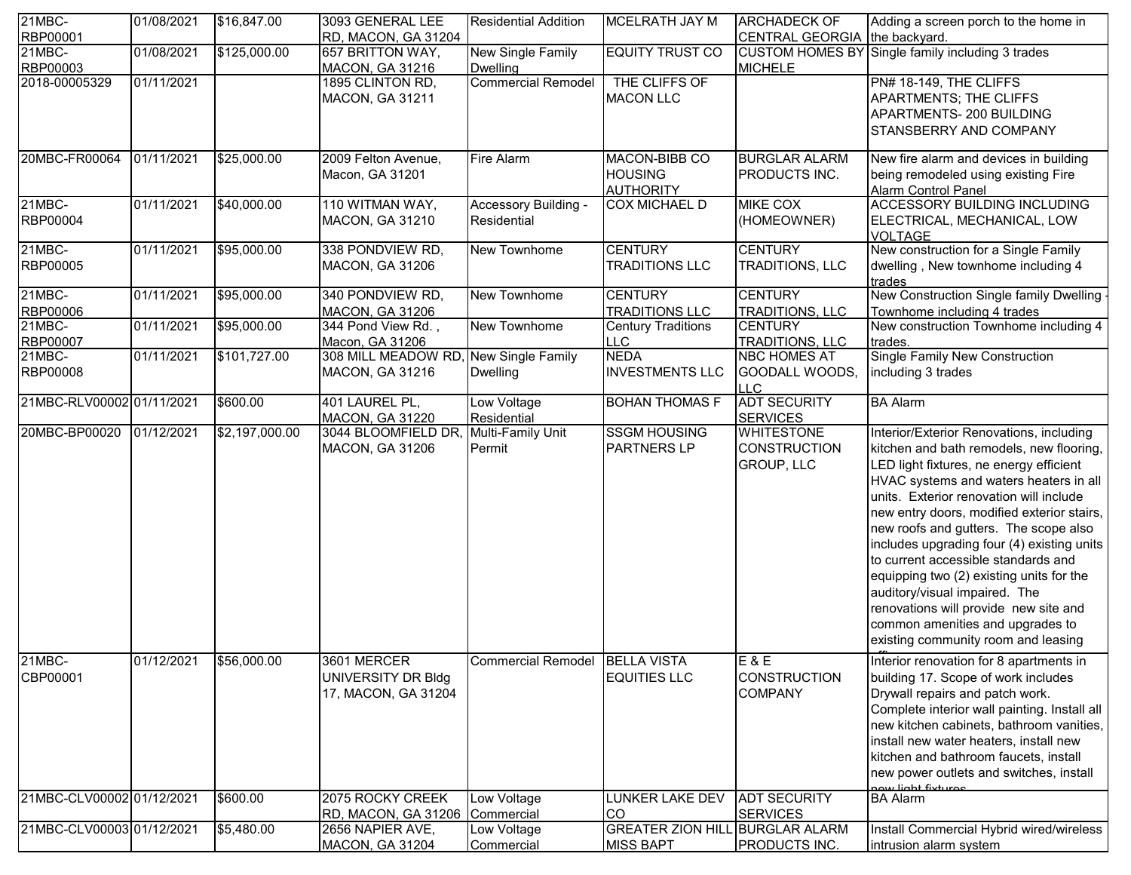| 21MBC-                    | 01/08/2021          | \$16,847.00    | 3093 GENERAL LEE       | <b>Residential Addition</b>     | <b>MCELRATH JAY M</b>                  | <b>ARCHADECK OF</b>           | Adding a screen porch to the home in             |
|---------------------------|---------------------|----------------|------------------------|---------------------------------|----------------------------------------|-------------------------------|--------------------------------------------------|
| RBP00001                  |                     |                | RD, MACON, GA 31204    |                                 |                                        | CENTRAL GEORGIA the backyard. |                                                  |
| $21MBC -$                 | 01/08/2021          | \$125,000.00   | 657 BRITTON WAY,       | <b>New Single Family</b>        | <b>EQUITY TRUST CO</b>                 |                               | CUSTOM HOMES BY Single family including 3 trades |
| RBP00003                  |                     |                | <b>MACON, GA 31216</b> | <b>Dwelling</b>                 |                                        | <b>MICHELE</b>                |                                                  |
| 2018-00005329             | 01/11/2021          |                | 1895 CLINTON RD,       | <b>Commercial Remodel</b>       | THE CLIFFS OF                          |                               | PN# 18-149, THE CLIFFS                           |
|                           |                     |                | <b>MACON, GA 31211</b> |                                 | <b>MACON LLC</b>                       |                               | <b>APARTMENTS; THE CLIFFS</b>                    |
|                           |                     |                |                        |                                 |                                        |                               | APARTMENTS-200 BUILDING                          |
|                           |                     |                |                        |                                 |                                        |                               | STANSBERRY AND COMPANY                           |
|                           |                     |                |                        |                                 |                                        |                               |                                                  |
| 20MBC-FR00064             | 01/11/2021          | \$25,000.00    | 2009 Felton Avenue,    | Fire Alarm                      | MACON-BIBB CO                          | <b>BURGLAR ALARM</b>          | New fire alarm and devices in building           |
|                           |                     |                | Macon, GA 31201        |                                 | <b>HOUSING</b>                         | PRODUCTS INC.                 | being remodeled using existing Fire              |
|                           |                     |                |                        |                                 | <b>AUTHORITY</b>                       |                               | <b>Alarm Control Panel</b>                       |
| 21MBC-                    | 01/11/2021          | \$40,000.00    | 110 WITMAN WAY,        | Accessory Building -            | <b>COX MICHAEL D</b>                   | <b>MIKE COX</b>               | <b>ACCESSORY BUILDING INCLUDING</b>              |
| RBP00004                  |                     |                | <b>MACON, GA 31210</b> | Residential                     |                                        | (HOMEOWNER)                   | ELECTRICAL, MECHANICAL, LOW                      |
|                           |                     |                |                        |                                 |                                        |                               | <b>VOLTAGE</b>                                   |
| $21MBC -$                 | 01/11/2021          | \$95,000.00    | 338 PONDVIEW RD,       | New Townhome                    | <b>CENTURY</b>                         | <b>CENTURY</b>                | New construction for a Single Family             |
| RBP00005                  |                     |                | MACON, GA 31206        |                                 | <b>TRADITIONS LLC</b>                  | TRADITIONS, LLC               | dwelling, New townhome including 4               |
|                           |                     |                |                        |                                 |                                        |                               | trades                                           |
| 21MBC-                    | 01/11/2021          | \$95,000.00    | 340 PONDVIEW RD,       | New Townhome                    | <b>CENTURY</b>                         | <b>CENTURY</b>                | New Construction Single family Dwelling          |
| RBP00006                  |                     |                | <b>MACON, GA 31206</b> |                                 | <b>TRADITIONS LLC</b>                  | <b>TRADITIONS, LLC</b>        | Townhome including 4 trades                      |
| $21MBC -$                 | 01/11/2021          | \$95,000.00    | 344 Pond View Rd.,     | New Townhome                    | <b>Century Traditions</b>              | <b>CENTURY</b>                | New construction Townhome including 4            |
| RBP00007                  |                     |                | Macon, GA 31206        |                                 | <b>LLC</b>                             | TRADITIONS, LLC               | trades.                                          |
| 21MBC-                    | 01/11/2021          | \$101,727.00   | 308 MILL MEADOW RD     | New Single Family               | <b>NEDA</b>                            | <b>NBC HOMES AT</b>           | <b>Single Family New Construction</b>            |
| RBP00008                  |                     |                | MACON, GA 31216        | <b>Dwelling</b>                 | <b>INVESTMENTS LLC</b>                 | GOODALL WOODS,                | including 3 trades                               |
|                           |                     |                |                        |                                 |                                        | <b>ILLC</b>                   |                                                  |
| 21MBC-RLV00002 01/11/2021 |                     | \$600.00       | 401 LAUREL PL,         | Low Voltage                     | <b>BOHAN THOMAS F</b>                  | <b>ADT SECURITY</b>           | <b>BA Alarm</b>                                  |
|                           |                     |                | <b>MACON, GA 31220</b> | Residential                     |                                        | <b>SERVICES</b>               |                                                  |
| 20MBC-BP00020             | $\sqrt{01/12/2021}$ | \$2,197,000.00 | 3044 BLOOMFIELD DR     | Multi-Family Unit               | <b>SSGM HOUSING</b>                    | <b>WHITESTONE</b>             | Interior/Exterior Renovations, including         |
|                           |                     |                | <b>MACON, GA 31206</b> | Permit                          | <b>PARTNERS LP</b>                     | <b>CONSTRUCTION</b>           | kitchen and bath remodels, new flooring,         |
|                           |                     |                |                        |                                 |                                        | <b>GROUP, LLC</b>             | LED light fixtures, ne energy efficient          |
|                           |                     |                |                        |                                 |                                        |                               | HVAC systems and waters heaters in all           |
|                           |                     |                |                        |                                 |                                        |                               | units. Exterior renovation will include          |
|                           |                     |                |                        |                                 |                                        |                               |                                                  |
|                           |                     |                |                        |                                 |                                        |                               | new entry doors, modified exterior stairs,       |
|                           |                     |                |                        |                                 |                                        |                               | new roofs and gutters. The scope also            |
|                           |                     |                |                        |                                 |                                        |                               | includes upgrading four (4) existing units       |
|                           |                     |                |                        |                                 |                                        |                               | to current accessible standards and              |
|                           |                     |                |                        |                                 |                                        |                               | equipping two (2) existing units for the         |
|                           |                     |                |                        |                                 |                                        |                               | auditory/visual impaired. The                    |
|                           |                     |                |                        |                                 |                                        |                               | renovations will provide new site and            |
|                           |                     |                |                        |                                 |                                        |                               | common amenities and upgrades to                 |
|                           |                     |                |                        |                                 |                                        |                               | existing community room and leasing              |
| 21MBC-                    | 01/12/2021          | \$56,000.00    | 3601 MERCER            | Commercial Remodel  BELLA VISTA |                                        | $E$ & E                       | Interior renovation for 8 apartments in          |
| CBP00001                  |                     |                |                        |                                 | <b>EQUITIES LLC</b>                    | <b>CONSTRUCTION</b>           |                                                  |
|                           |                     |                | UNIVERSITY DR Bldg     |                                 |                                        |                               | building 17. Scope of work includes              |
|                           |                     |                | 17, MACON, GA 31204    |                                 |                                        | <b>COMPANY</b>                | Drywall repairs and patch work.                  |
|                           |                     |                |                        |                                 |                                        |                               | Complete interior wall painting. Install all     |
|                           |                     |                |                        |                                 |                                        |                               | new kitchen cabinets, bathroom vanities,         |
|                           |                     |                |                        |                                 |                                        |                               | install new water heaters, install new           |
|                           |                     |                |                        |                                 |                                        |                               | kitchen and bathroom faucets, install            |
|                           |                     |                |                        |                                 |                                        |                               | new power outlets and switches, install          |
|                           |                     |                |                        |                                 |                                        |                               | now light fixtures                               |
| 21MBC-CLV00002 01/12/2021 |                     | \$600.00       | 2075 ROCKY CREEK       | Low Voltage                     | <b>LUNKER LAKE DEV</b>                 | <b>ADT SECURITY</b>           | <b>BA Alarm</b>                                  |
|                           |                     |                | RD, MACON, GA 31206    | Commercial                      | <b>CO</b>                              | <b>SERVICES</b>               |                                                  |
| 21MBC-CLV00003 01/12/2021 |                     | \$5,480.00     | 2656 NAPIER AVE,       | Low Voltage                     | <b>GREATER ZION HILL BURGLAR ALARM</b> |                               | Install Commercial Hybrid wired/wireless         |
|                           |                     |                | <b>MACON, GA 31204</b> | Commercial                      | <b>MISS BAPT</b>                       | PRODUCTS INC.                 | intrusion alarm system                           |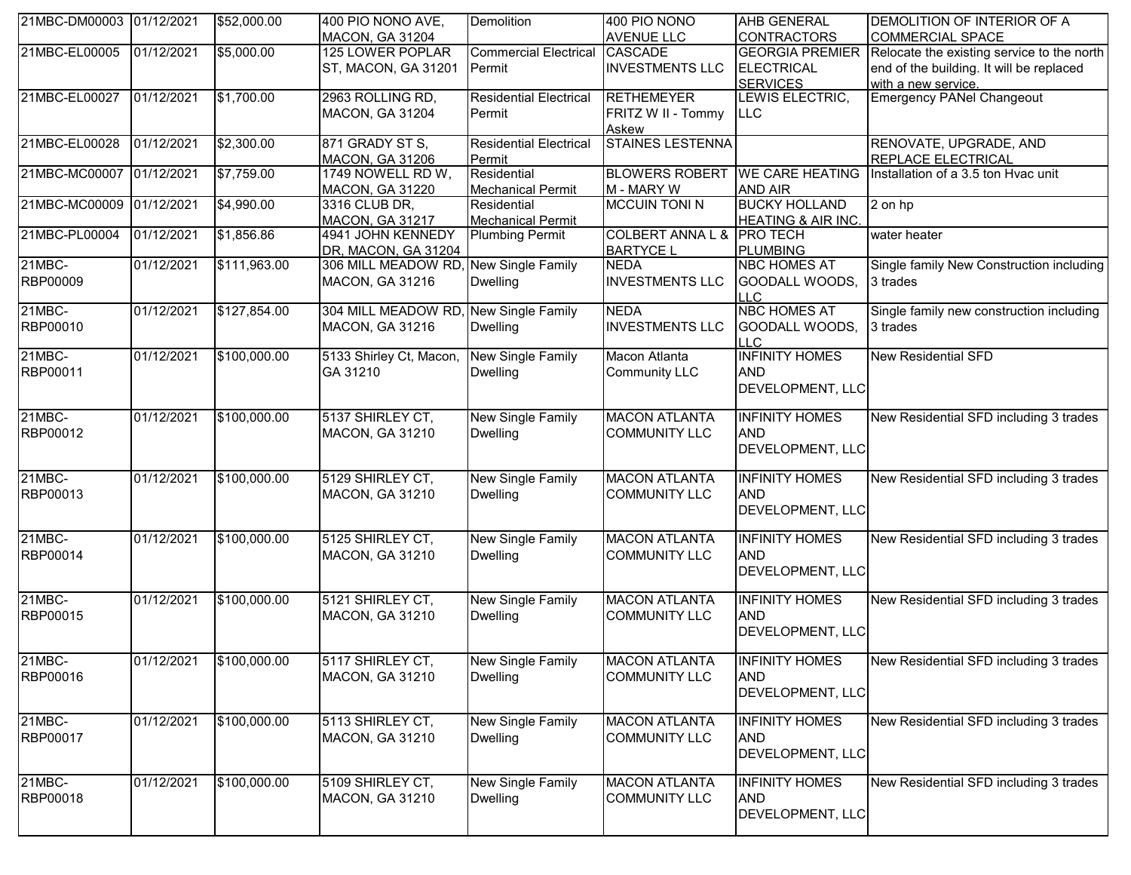| 21MBC-DM00003 01/12/2021 |            | \$52,000.00  | 400 PIO NONO AVE,                         | Demolition                    | 400 PIO NONO                    | <b>AHB GENERAL</b>                     | DEMOLITION OF INTERIOR OF A                |
|--------------------------|------------|--------------|-------------------------------------------|-------------------------------|---------------------------------|----------------------------------------|--------------------------------------------|
|                          |            |              | <b>MACON, GA 31204</b>                    |                               | <b>AVENUE LLC</b>               | <b>CONTRACTORS</b>                     | <b>COMMERCIAL SPACE</b>                    |
| 21MBC-EL00005            | 01/12/2021 | \$5,000.00   | 125 LOWER POPLAR                          | <b>Commercial Electrical</b>  | <b>CASCADE</b>                  | <b>GEORGIA PREMIER</b>                 | Relocate the existing service to the north |
|                          |            |              | ST, MACON, GA 31201                       | Permit                        | <b>INVESTMENTS LLC</b>          | <b>ELECTRICAL</b>                      | end of the building. It will be replaced   |
|                          |            |              |                                           |                               |                                 | <b>SERVICES</b>                        | with a new service.                        |
| 21MBC-EL00027            | 01/12/2021 | \$1,700.00   | 2963 ROLLING RD,                          | <b>Residential Electrical</b> | <b>RETHEMEYER</b>               | LEWIS ELECTRIC,                        | <b>Emergency PANel Changeout</b>           |
|                          |            |              | <b>MACON, GA 31204</b>                    | Permit                        | FRITZ W II - Tommy              | LLC.                                   |                                            |
|                          |            |              |                                           |                               | Askew                           |                                        |                                            |
| 21MBC-EL00028            | 01/12/2021 | \$2,300.00   | 871 GRADY ST S,                           | <b>Residential Electrical</b> | <b>STAINES LESTENNA</b>         |                                        | RENOVATE, UPGRADE, AND                     |
|                          |            |              | MACON, GA 31206                           | Permit                        |                                 |                                        | REPLACE ELECTRICAL                         |
| 21MBC-MC00007            | 01/12/2021 | \$7,759.00   | 1749 NOWELL RD W,                         | Residential                   | <b>BLOWERS ROBERT</b>           | <b>WE CARE HEATING</b>                 | Installation of a 3.5 ton Hvac unit        |
|                          |            |              | <b>MACON, GA 31220</b>                    | <b>Mechanical Permit</b>      | M - MARY W                      | <b>AND AIR</b>                         |                                            |
| 21MBC-MC00009            | 01/12/2021 | \$4,990.00   | 3316 CLUB DR,                             | Residential                   | <b>MCCUIN TONI N</b>            | <b>BUCKY HOLLAND</b>                   | 2 on hp                                    |
| 21MBC-PL00004            |            |              | <b>MACON, GA 31217</b>                    | <b>Mechanical Permit</b>      | COLBERT ANNA L & PRO TECH       | <b>HEATING &amp; AIR INC.</b>          |                                            |
|                          | 01/12/2021 | \$1,856.86   | 4941 JOHN KENNEDY                         | <b>Plumbing Permit</b>        |                                 |                                        | water heater                               |
| 21MBC-                   | 01/12/2021 | \$111,963.00 | DR, MACON, GA 31204<br>306 MILL MEADOW RD | New Single Family             | <b>BARTYCE L</b><br><b>NEDA</b> | <b>PLUMBING</b><br><b>NBC HOMES AT</b> | Single family New Construction including   |
| RBP00009                 |            |              |                                           | <b>Dwelling</b>               | <b>INVESTMENTS LLC</b>          | GOODALL WOODS,                         | 3 trades                                   |
|                          |            |              | MACON, GA 31216                           |                               |                                 | LLC.                                   |                                            |
| 21MBC-                   | 01/12/2021 | \$127,854.00 | 304 MILL MEADOW RD,                       | New Single Family             | <b>NEDA</b>                     | <b>NBC HOMES AT</b>                    | Single family new construction including   |
| RBP00010                 |            |              | MACON, GA 31216                           | <b>Dwelling</b>               | <b>INVESTMENTS LLC</b>          | GOODALL WOODS,                         | 3 trades                                   |
|                          |            |              |                                           |                               |                                 | LLC.                                   |                                            |
| 21MBC-                   | 01/12/2021 | \$100,000.00 | 5133 Shirley Ct, Macon,                   | New Single Family             | Macon Atlanta                   | <b>INFINITY HOMES</b>                  | <b>New Residential SFD</b>                 |
| RBP00011                 |            |              | GA 31210                                  | <b>Dwelling</b>               | <b>Community LLC</b>            | <b>AND</b>                             |                                            |
|                          |            |              |                                           |                               |                                 | DEVELOPMENT, LLC                       |                                            |
|                          |            |              |                                           |                               |                                 |                                        |                                            |
| 21MBC-                   | 01/12/2021 | \$100,000.00 | 5137 SHIRLEY CT,                          | <b>New Single Family</b>      | <b>MACON ATLANTA</b>            | <b>INFINITY HOMES</b>                  | New Residential SFD including 3 trades     |
| RBP00012                 |            |              | MACON, GA 31210                           | <b>Dwelling</b>               | <b>COMMUNITY LLC</b>            | <b>AND</b>                             |                                            |
|                          |            |              |                                           |                               |                                 | DEVELOPMENT, LLC                       |                                            |
|                          |            |              |                                           |                               |                                 |                                        |                                            |
| 21MBC-                   | 01/12/2021 | \$100,000.00 | 5129 SHIRLEY CT,                          | <b>New Single Family</b>      | <b>MACON ATLANTA</b>            | <b>INFINITY HOMES</b>                  | New Residential SFD including 3 trades     |
| RBP00013                 |            |              | MACON, GA 31210                           | <b>Dwelling</b>               | <b>COMMUNITY LLC</b>            | <b>AND</b>                             |                                            |
|                          |            |              |                                           |                               |                                 | DEVELOPMENT, LLC                       |                                            |
|                          |            |              |                                           |                               |                                 |                                        |                                            |
| 21MBC-                   | 01/12/2021 | \$100,000.00 | 5125 SHIRLEY CT,                          | <b>New Single Family</b>      | <b>MACON ATLANTA</b>            | <b>INFINITY HOMES</b>                  | New Residential SFD including 3 trades     |
| RBP00014                 |            |              | MACON, GA 31210                           | <b>Dwelling</b>               | <b>COMMUNITY LLC</b>            | <b>AND</b>                             |                                            |
|                          |            |              |                                           |                               |                                 | DEVELOPMENT, LLC                       |                                            |
| 21MBC-                   | 01/12/2021 |              | 5121 SHIRLEY CT.                          |                               | <b>MACON ATLANTA</b>            | <b>INFINITY HOMES</b>                  |                                            |
| RBP00015                 |            | \$100,000.00 |                                           | <b>New Single Family</b>      | <b>COMMUNITY LLC</b>            | <b>AND</b>                             | New Residential SFD including 3 trades     |
|                          |            |              | MACON, GA 31210                           | <b>Dwelling</b>               |                                 |                                        |                                            |
|                          |            |              |                                           |                               |                                 | DEVELOPMENT, LLC                       |                                            |
| 21MBC-                   | 01/12/2021 | \$100,000.00 | 5117 SHIRLEY CT,                          | New Single Family             | <b>MACON ATLANTA</b>            | <b>INFINITY HOMES</b>                  | New Residential SFD including 3 trades     |
| RBP00016                 |            |              | MACON, GA 31210                           | <b>Dwelling</b>               | <b>COMMUNITY LLC</b>            | <b>AND</b>                             |                                            |
|                          |            |              |                                           |                               |                                 | DEVELOPMENT, LLC                       |                                            |
|                          |            |              |                                           |                               |                                 |                                        |                                            |
| 21MBC-                   | 01/12/2021 | \$100,000.00 | 5113 SHIRLEY CT,                          | New Single Family             | <b>MACON ATLANTA</b>            | <b>INFINITY HOMES</b>                  | New Residential SFD including 3 trades     |
| RBP00017                 |            |              | <b>MACON, GA 31210</b>                    | <b>Dwelling</b>               | <b>COMMUNITY LLC</b>            | <b>AND</b>                             |                                            |
|                          |            |              |                                           |                               |                                 | DEVELOPMENT, LLC                       |                                            |
|                          |            |              |                                           |                               |                                 |                                        |                                            |
| 21MBC-                   | 01/12/2021 | \$100,000.00 | 5109 SHIRLEY CT,                          | New Single Family             | <b>MACON ATLANTA</b>            | <b>INFINITY HOMES</b>                  | New Residential SFD including 3 trades     |
| RBP00018                 |            |              | MACON, GA 31210                           | <b>Dwelling</b>               | <b>COMMUNITY LLC</b>            | <b>AND</b>                             |                                            |
|                          |            |              |                                           |                               |                                 | DEVELOPMENT, LLC                       |                                            |
|                          |            |              |                                           |                               |                                 |                                        |                                            |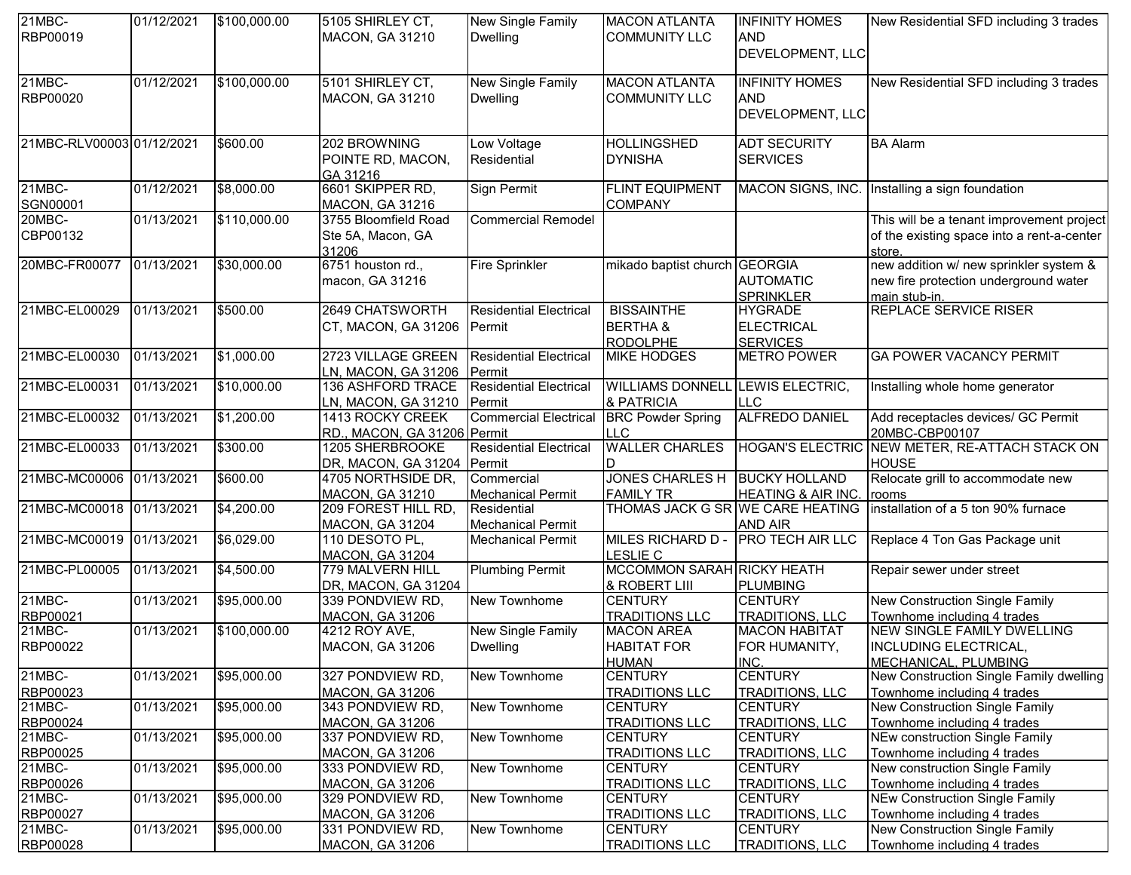| $21MBC -$<br>01/12/2021<br>\$100,000.00<br>5105 SHIRLEY CT,<br>New Single Family<br><b>MACON ATLANTA</b><br><b>INFINITY HOMES</b>                                                             | New Residential SFD including 3 trades                        |
|-----------------------------------------------------------------------------------------------------------------------------------------------------------------------------------------------|---------------------------------------------------------------|
| RBP00019<br><b>AND</b><br><b>MACON, GA 31210</b><br><b>COMMUNITY LLC</b><br><b>Dwelling</b>                                                                                                   |                                                               |
| DEVELOPMENT, LLC                                                                                                                                                                              |                                                               |
| 21MBC-<br>01/12/2021<br>\$100,000.00<br>5101 SHIRLEY CT,<br>New Single Family<br><b>MACON ATLANTA</b><br><b>INFINITY HOMES</b>                                                                | New Residential SFD including 3 trades                        |
| RBP00020<br>MACON, GA 31210<br><b>COMMUNITY LLC</b><br><b>AND</b><br><b>Dwelling</b>                                                                                                          |                                                               |
| DEVELOPMENT, LLC                                                                                                                                                                              |                                                               |
|                                                                                                                                                                                               |                                                               |
| 21MBC-RLV00003 01/12/2021<br><b>HOLLINGSHED</b><br><b>ADT SECURITY</b><br>\$600.00<br>202 BROWNING<br>Low Voltage                                                                             | <b>BA Alarm</b>                                               |
| <b>DYNISHA</b><br>Residential<br><b>SERVICES</b><br>POINTE RD, MACON,                                                                                                                         |                                                               |
| GA 31216                                                                                                                                                                                      |                                                               |
| 21MBC-<br>\$8,000.00<br>6601 SKIPPER RD,<br>Sign Permit<br><b>FLINT EQUIPMENT</b><br>MACON SIGNS, INC.<br>01/12/2021                                                                          | Installing a sign foundation                                  |
| SGN00001<br>20MBC-<br><b>COMPANY</b><br><b>MACON, GA 31216</b>                                                                                                                                |                                                               |
| \$110,000.00<br><b>Commercial Remodel</b><br>01/13/2021<br>3755 Bloomfield Road                                                                                                               | This will be a tenant improvement project                     |
| CBP00132<br>Ste 5A, Macon, GA                                                                                                                                                                 | of the existing space into a rent-a-center                    |
| 31206                                                                                                                                                                                         | store.                                                        |
| 6751 houston rd.,<br>\$30,000.00<br><b>Fire Sprinkler</b><br>20MBC-FR00077<br>01/13/2021<br>mikado baptist church GEORGIA                                                                     | new addition w/ new sprinkler system &                        |
| <b>AUTOMATIC</b><br>macon, GA 31216                                                                                                                                                           | new fire protection underground water                         |
| <b>SPRINKLER</b>                                                                                                                                                                              | main stub-in.                                                 |
| 21MBC-EL00029<br><b>2649 CHATSWORTH</b><br><b>BISSAINTHE</b><br>01/13/2021<br>\$500.00<br><b>HYGRADE</b><br><b>Residential Electrical</b>                                                     | <b>REPLACE SERVICE RISER</b>                                  |
| <b>BERTHA &amp;</b><br><b>ELECTRICAL</b><br>CT, MACON, GA 31206<br>Permit                                                                                                                     |                                                               |
| <b>RODOLPHE</b><br><b>SERVICES</b><br>21MBC-EL00030<br>2723 VILLAGE GREEN<br>01/13/2021<br><b>Residential Electrical</b>                                                                      |                                                               |
| \$1,000.00<br><b>MIKE HODGES</b><br><b>METRO POWER</b>                                                                                                                                        | <b>GA POWER VACANCY PERMIT</b>                                |
| LN, MACON, GA 31206<br>Permit<br>21MBC-EL00031<br>01/13/2021<br>\$10,000.00<br><b>136 ASHFORD TRACE</b><br><b>Residential Electrical</b><br><b>WILLIAMS DONNELL LEWIS ELECTRIC,</b>           | Installing whole home generator                               |
| & PATRICIA<br>Permit<br><b>LLC</b>                                                                                                                                                            |                                                               |
| LN, MACON, GA 31210<br>21MBC-EL00032<br><b>ALFREDO DANIEL</b><br>\$1,200.00<br><b>Commercial Electrical</b><br>01/13/2021<br><b>BRC Powder Spring</b><br>1413 ROCKY CREEK                     | Add receptacles devices/ GC Permit                            |
| RD., MACON, GA 31206 Permit<br><b>LLC</b>                                                                                                                                                     | 20MBC-CBP00107                                                |
| 21MBC-EL00033<br><b>WALLER CHARLES</b><br>\$300.00<br>01/13/2021<br>1205 SHERBROOKE<br><b>Residential Electrical</b>                                                                          | HOGAN'S ELECTRIC NEW METER, RE-ATTACH STACK ON                |
| Permit<br>DR, MACON, GA 31204<br>D                                                                                                                                                            | <b>HOUSE</b>                                                  |
| 21MBC-MC00006<br>JONES CHARLES H BUCKY HOLLAND<br>\$600.00<br>01/13/2021<br>Commercial<br>4705 NORTHSIDE DR,                                                                                  | Relocate grill to accommodate new                             |
| MACON, GA 31210<br><b>FAMILY TR</b><br><b>HEATING &amp; AIR INC.</b><br><b>Mechanical Permit</b>                                                                                              | rooms                                                         |
| 21MBC-MC00018<br>\$4,200.00<br>THOMAS JACK G SR WE CARE HEATING<br>01/13/2021<br>209 FOREST HILL RD,<br>Residential                                                                           | installation of a 5 ton 90% furnace                           |
| <b>AND AIR</b><br><b>MACON, GA 31204</b><br><b>Mechanical Permit</b>                                                                                                                          |                                                               |
| 21MBC-MC00019<br><b>MILES RICHARD D -</b><br><b>PRO TECH AIR LLC</b><br>01/13/2021<br>\$6,029.00<br>110 DESOTO PL,<br><b>Mechanical Permit</b>                                                | Replace 4 Ton Gas Package unit                                |
| <b>LESLIE C</b><br><b>MACON, GA 31204</b>                                                                                                                                                     |                                                               |
| 21MBC-PL00005<br>\$4,500.00<br>MCCOMMON SARAH RICKY HEATH<br>779 MALVERN HILL<br><b>Plumbing Permit</b><br>01/13/2021                                                                         | Repair sewer under street                                     |
| & ROBERT LIII<br>DR, MACON, GA 31204<br>PLUMBING                                                                                                                                              |                                                               |
| 21MBC-<br>\$95,000.00<br>New Townhome<br><b>CENTURY</b><br><b>CENTURY</b><br>01/13/2021<br>339 PONDVIEW RD,                                                                                   | New Construction Single Family                                |
| RBP00021<br><b>MACON, GA 31206</b><br><b>TRADITIONS LLC</b><br><b>TRADITIONS, LLC</b>                                                                                                         | Townhome including 4 trades                                   |
| 21MBC-<br>01/13/2021<br>\$100,000.00<br><b>New Single Family</b><br><b>MACON AREA</b><br><b>MACON HABITAT</b><br>4212 ROY AVE,                                                                | NEW SINGLE FAMILY DWELLING                                    |
| RBP00022<br><b>HABITAT FOR</b><br>FOR HUMANITY,<br><b>MACON, GA 31206</b><br>Dwelling                                                                                                         | <b>INCLUDING ELECTRICAL,</b>                                  |
| <b>HUMAN</b><br>INC.                                                                                                                                                                          | MECHANICAL, PLUMBING                                          |
| 21MBC-<br>01/13/2021<br><b>CENTURY</b><br><b>CENTURY</b><br>\$95,000.00<br>327 PONDVIEW RD,<br>New Townhome                                                                                   | New Construction Single Family dwelling                       |
| RBP00023<br>MACON, GA 31206<br><b>TRADITIONS LLC</b><br><b>TRADITIONS, LLC</b><br>21MBC-                                                                                                      | Townhome including 4 trades                                   |
| \$95,000.00<br>01/13/2021<br><b>CENTURY</b><br>343 PONDVIEW RD,<br>New Townhome<br><b>CENTURY</b>                                                                                             | <b>New Construction Single Family</b>                         |
| RBP00024<br><b>MACON, GA 31206</b><br><b>TRADITIONS LLC</b><br><b>TRADITIONS, LLC</b><br>21MBC-<br>New Townhome                                                                               | Townhome including 4 trades<br>NEw construction Single Family |
| 01/13/2021<br>\$95,000.00<br>337 PONDVIEW RD,<br><b>CENTURY</b><br><b>CENTURY</b>                                                                                                             |                                                               |
| RBP00025<br>TRADITIONS, LLC<br><b>MACON, GA 31206</b><br><b>TRADITIONS LLC</b><br>21MBC-<br>\$95,000.00<br>01/13/2021<br>New Townhome<br><b>CENTURY</b><br>333 PONDVIEW RD,<br><b>CENTURY</b> | Townhome including 4 trades<br>New construction Single Family |
| RBP00026<br><b>MACON, GA 31206</b><br><b>TRADITIONS LLC</b><br><b>TRADITIONS, LLC</b>                                                                                                         | Townhome including 4 trades                                   |
| $21MBC -$<br>01/13/2021<br>\$95,000.00<br>329 PONDVIEW RD,<br><b>CENTURY</b><br><b>CENTURY</b><br>New Townhome                                                                                | <b>NEw Construction Single Family</b>                         |
| <b>TRADITIONS, LLC</b>                                                                                                                                                                        | Townhome including 4 trades                                   |
|                                                                                                                                                                                               |                                                               |
| RBP00027<br><b>MACON, GA 31206</b><br><b>TRADITIONS LLC</b><br>21MBC-<br>01/13/2021<br>\$95,000.00<br>331 PONDVIEW RD,<br>New Townhome<br><b>CENTURY</b><br><b>CENTURY</b>                    | New Construction Single Family                                |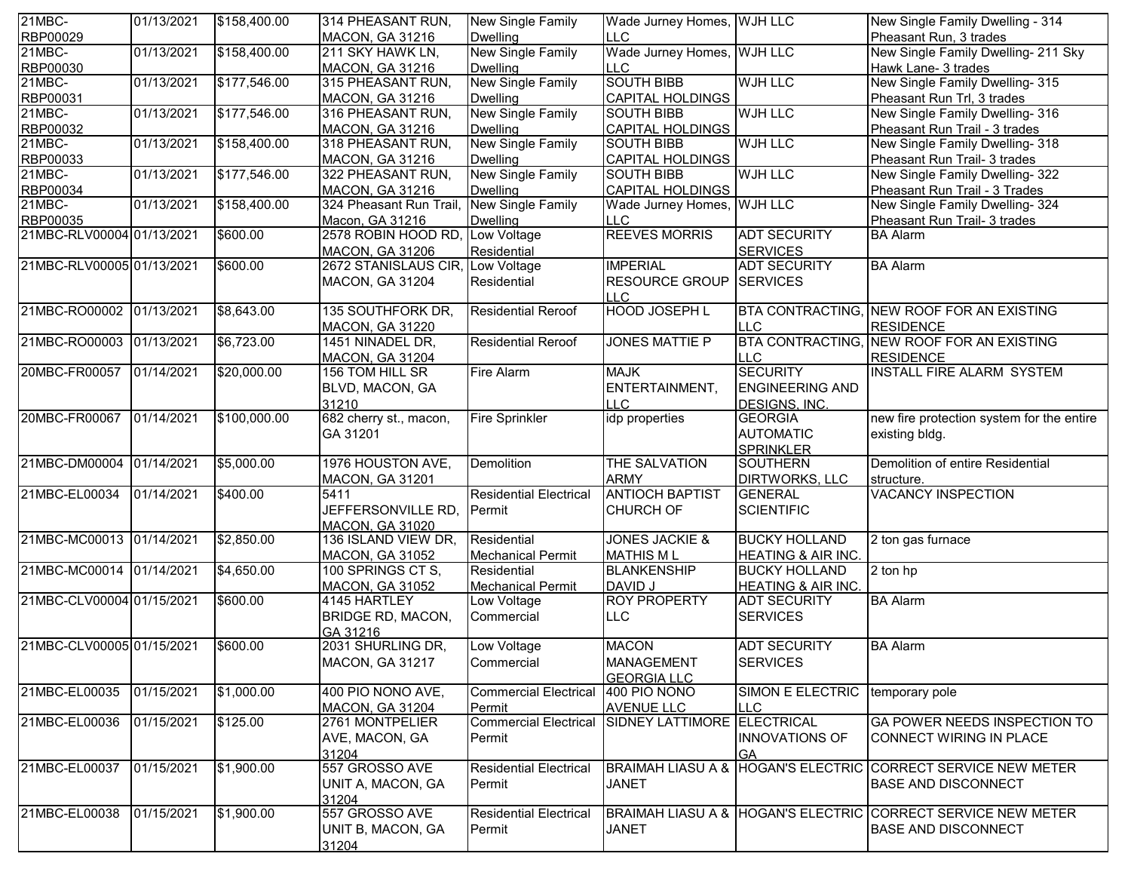| 21MBC-                    | 01/13/2021 | \$158,400.00 | 314 PHEASANT RUN,                             | New Single Family             | Wade Jurney Homes, WJH LLC             |                                         | New Single Family Dwelling - 314                             |
|---------------------------|------------|--------------|-----------------------------------------------|-------------------------------|----------------------------------------|-----------------------------------------|--------------------------------------------------------------|
| RBP00029                  |            |              | MACON, GA 31216                               | <b>Dwelling</b>               | <b>LLC</b>                             |                                         | Pheasant Run, 3 trades                                       |
| $21MBC -$                 | 01/13/2021 | \$158,400.00 | 211 SKY HAWK LN,                              | New Single Family             | Wade Jurney Homes, WJH LLC             |                                         | New Single Family Dwelling- 211 Sky                          |
| RBP00030                  |            |              | <b>MACON, GA 31216</b>                        | <b>Dwelling</b>               | LLC                                    |                                         | Hawk Lane- 3 trades                                          |
| 21MBC-                    | 01/13/2021 | \$177,546.00 | 315 PHEASANT RUN,                             | New Single Family             | <b>SOUTH BIBB</b>                      | <b>WJH LLC</b>                          | New Single Family Dwelling- 315                              |
| RBP00031                  |            |              | <b>MACON, GA 31216</b>                        | <b>Dwelling</b>               | <b>CAPITAL HOLDINGS</b>                |                                         | Pheasant Run Trl, 3 trades                                   |
| 21MBC-                    | 01/13/2021 | \$177,546.00 | 316 PHEASANT RUN,                             | <b>New Single Family</b>      | <b>SOUTH BIBB</b>                      | <b>WJH LLC</b>                          | New Single Family Dwelling- 316                              |
| RBP00032                  |            |              | MACON, GA 31216                               | <b>Dwelling</b>               | <b>CAPITAL HOLDINGS</b>                |                                         | Pheasant Run Trail - 3 trades                                |
| 21MBC-                    | 01/13/2021 | \$158,400.00 | 318 PHEASANT RUN,                             | New Single Family             | <b>SOUTH BIBB</b>                      | <b>WJH LLC</b>                          | New Single Family Dwelling- 318                              |
| RBP00033                  |            |              | <b>MACON, GA 31216</b>                        | <b>Dwelling</b>               | <b>CAPITAL HOLDINGS</b>                |                                         | Pheasant Run Trail- 3 trades                                 |
| 21MBC-                    | 01/13/2021 | \$177,546.00 | 322 PHEASANT RUN,                             | <b>New Single Family</b>      | <b>SOUTH BIBB</b>                      | <b>WJH LLC</b>                          | New Single Family Dwelling- 322                              |
| RBP00034                  |            |              | MACON, GA 31216                               | <b>Dwelling</b>               | CAPITAL HOLDINGS                       |                                         | Pheasant Run Trail - 3 Trades                                |
| 21MBC-                    | 01/13/2021 | \$158,400.00 | 324 Pheasant Run Trail                        | New Single Family             | Wade Jurney Homes, WJH LLC             |                                         | New Single Family Dwelling- 324                              |
| RBP00035                  |            |              | Macon, GA 31216                               | <b>Dwelling</b>               | <b>LLC</b>                             |                                         | Pheasant Run Trail- 3 trades                                 |
| 21MBC-RLV00004 01/13/2021 |            | \$600.00     | 2578 ROBIN HOOD RD                            | Low Voltage                   | <b>REEVES MORRIS</b>                   | <b>ADT SECURITY</b>                     | <b>BA Alarm</b>                                              |
|                           |            |              | <b>MACON, GA 31206</b>                        | Residential                   |                                        | <b>SERVICES</b>                         |                                                              |
| 21MBC-RLV00005 01/13/2021 |            | \$600.00     | 2672 STANISLAUS CIR,                          | Low Voltage                   | <b>IMPERIAL</b>                        | <b>ADT SECURITY</b>                     | <b>BA Alarm</b>                                              |
|                           |            |              | MACON, GA 31204                               | Residential                   | <b>RESOURCE GROUP SERVICES</b>         |                                         |                                                              |
|                           |            |              |                                               |                               | <b>LLC</b>                             |                                         |                                                              |
| 21MBC-RO00002 01/13/2021  |            | \$8,643.00   | 135 SOUTHFORK DR.                             | <b>Residential Reroof</b>     | <b>HOOD JOSEPH L</b>                   |                                         | <b>BTA CONTRACTING, NEW ROOF FOR AN EXISTING</b>             |
|                           |            |              | <b>MACON, GA 31220</b>                        |                               |                                        | <b>ILLC</b>                             | <b>RESIDENCE</b>                                             |
| 21MBC-RO00003             | 01/13/2021 | \$6,723.00   | 1451 NINADEL DR,                              | <b>Residential Reroof</b>     | <b>JONES MATTIE P</b>                  |                                         | BTA CONTRACTING, NEW ROOF FOR AN EXISTING                    |
|                           |            |              | <b>MACON, GA 31204</b>                        |                               |                                        | <b>LLC</b>                              | <b>RESIDENCE</b>                                             |
| 20MBC-FR00057             | 01/14/2021 | \$20,000.00  | 156 TOM HILL SR                               | <b>Fire Alarm</b>             | <b>MAJK</b>                            | <b>SECURITY</b>                         | <b>INSTALL FIRE ALARM SYSTEM</b>                             |
|                           |            |              | BLVD, MACON, GA                               |                               | ENTERTAINMENT,                         | <b>ENGINEERING AND</b>                  |                                                              |
|                           |            |              | 31210                                         |                               | <b>LLC</b>                             |                                         |                                                              |
| 20MBC-FR00067             | 01/14/2021 | \$100,000.00 | 682 cherry st., macon,                        | <b>Fire Sprinkler</b>         | idp properties                         | <b>DESIGNS, INC.</b><br><b>GEORGIA</b>  | new fire protection system for the entire                    |
|                           |            |              |                                               |                               |                                        |                                         |                                                              |
|                           |            |              | GA 31201                                      |                               |                                        | <b>AUTOMATIC</b>                        | existing bldg.                                               |
| 21MBC-DM00004             | 01/14/2021 | \$5,000.00   | 1976 HOUSTON AVE,                             | Demolition                    | THE SALVATION                          | <b>SPRINKLER</b><br><b>SOUTHERN</b>     | Demolition of entire Residential                             |
|                           |            |              |                                               |                               |                                        |                                         |                                                              |
| 21MBC-EL00034             | 01/14/2021 | \$400.00     | <b>MACON, GA 31201</b><br>5411                | <b>Residential Electrical</b> | <b>ARMY</b><br><b>ANTIOCH BAPTIST</b>  | <b>DIRTWORKS, LLC</b><br><b>GENERAL</b> | structure.<br><b>VACANCY INSPECTION</b>                      |
|                           |            |              |                                               |                               |                                        |                                         |                                                              |
|                           |            |              | JEFFERSONVILLE RD,                            | Permit                        | <b>CHURCH OF</b>                       | <b>SCIENTIFIC</b>                       |                                                              |
| 21MBC-MC00013             | 01/14/2021 |              | <b>MACON, GA 31020</b><br>136 ISLAND VIEW DR, | Residential                   | <b>JONES JACKIE &amp;</b>              | <b>BUCKY HOLLAND</b>                    |                                                              |
|                           |            | \$2,850.00   |                                               |                               |                                        |                                         | 2 ton gas furnace                                            |
| 21MBC-MC00014 01/14/2021  |            |              | <b>MACON, GA 31052</b>                        | <b>Mechanical Permit</b>      | <b>MATHIS ML</b><br><b>BLANKENSHIP</b> | <b>HEATING &amp; AIR INC.</b>           |                                                              |
|                           |            | \$4,650.00   | 100 SPRINGS CT S,                             | Residential                   |                                        | <b>BUCKY HOLLAND</b>                    | 2 ton hp                                                     |
|                           |            |              | <b>MACON, GA 31052</b>                        | <b>Mechanical Permit</b>      | DAVID J                                | HEATING & AIR INC.                      |                                                              |
| 21MBC-CLV00004 01/15/2021 |            | \$600.00     | 4145 HARTLEY                                  | Low Voltage                   | <b>ROY PROPERTY</b>                    | <b>ADT SECURITY</b>                     | <b>BA Alarm</b>                                              |
|                           |            |              | BRIDGE RD, MACON,                             | Commercial                    | <b>LLC</b>                             | <b>SERVICES</b>                         |                                                              |
|                           |            |              | GA 31216                                      |                               |                                        |                                         |                                                              |
| 21MBC-CLV00005 01/15/2021 |            | \$600.00     | 2031 SHURLING DR,                             | Low Voltage                   | <b>MACON</b>                           | <b>ADT SECURITY</b>                     | <b>BA Alarm</b>                                              |
|                           |            |              | MACON, GA 31217                               | Commercial                    | <b>MANAGEMENT</b>                      | <b>SERVICES</b>                         |                                                              |
|                           |            |              |                                               |                               | <b>GEORGIA LLC</b>                     |                                         |                                                              |
| 21MBC-EL00035             | 01/15/2021 | \$1,000.00   | 400 PIO NONO AVE,                             | <b>Commercial Electrical</b>  | 400 PIO NONO                           | SIMON E ELECTRIC                        | temporary pole                                               |
|                           |            |              | <b>MACON, GA 31204</b>                        | Permit                        | <b>AVENUE LLC</b>                      | <b>LLC</b>                              |                                                              |
| 21MBC-EL00036             | 01/15/2021 | \$125.00     | 2761 MONTPELIER                               | <b>Commercial Electrical</b>  | SIDNEY LATTIMORE ELECTRICAL            |                                         | GA POWER NEEDS INSPECTION TO                                 |
|                           |            |              | AVE, MACON, GA                                | Permit                        |                                        | <b>INNOVATIONS OF</b>                   | CONNECT WIRING IN PLACE                                      |
|                           |            |              | 31204                                         |                               |                                        | <b>GA</b>                               |                                                              |
| 21MBC-EL00037             | 01/15/2021 | \$1,900.00   | 557 GROSSO AVE                                | <b>Residential Electrical</b> |                                        |                                         | BRAIMAH LIASU A & HOGAN'S ELECTRIC CORRECT SERVICE NEW METER |
|                           |            |              | UNIT A, MACON, GA                             | Permit                        | <b>JANET</b>                           |                                         | <b>BASE AND DISCONNECT</b>                                   |
|                           |            |              | 31204                                         |                               |                                        |                                         |                                                              |
| 21MBC-EL00038             | 01/15/2021 | \$1,900.00   | 557 GROSSO AVE                                | <b>Residential Electrical</b> |                                        |                                         | BRAIMAH LIASU A & HOGAN'S ELECTRIC CORRECT SERVICE NEW METER |
|                           |            |              | UNIT B, MACON, GA                             | Permit                        | <b>JANET</b>                           |                                         | <b>BASE AND DISCONNECT</b>                                   |
|                           |            |              | 31204                                         |                               |                                        |                                         |                                                              |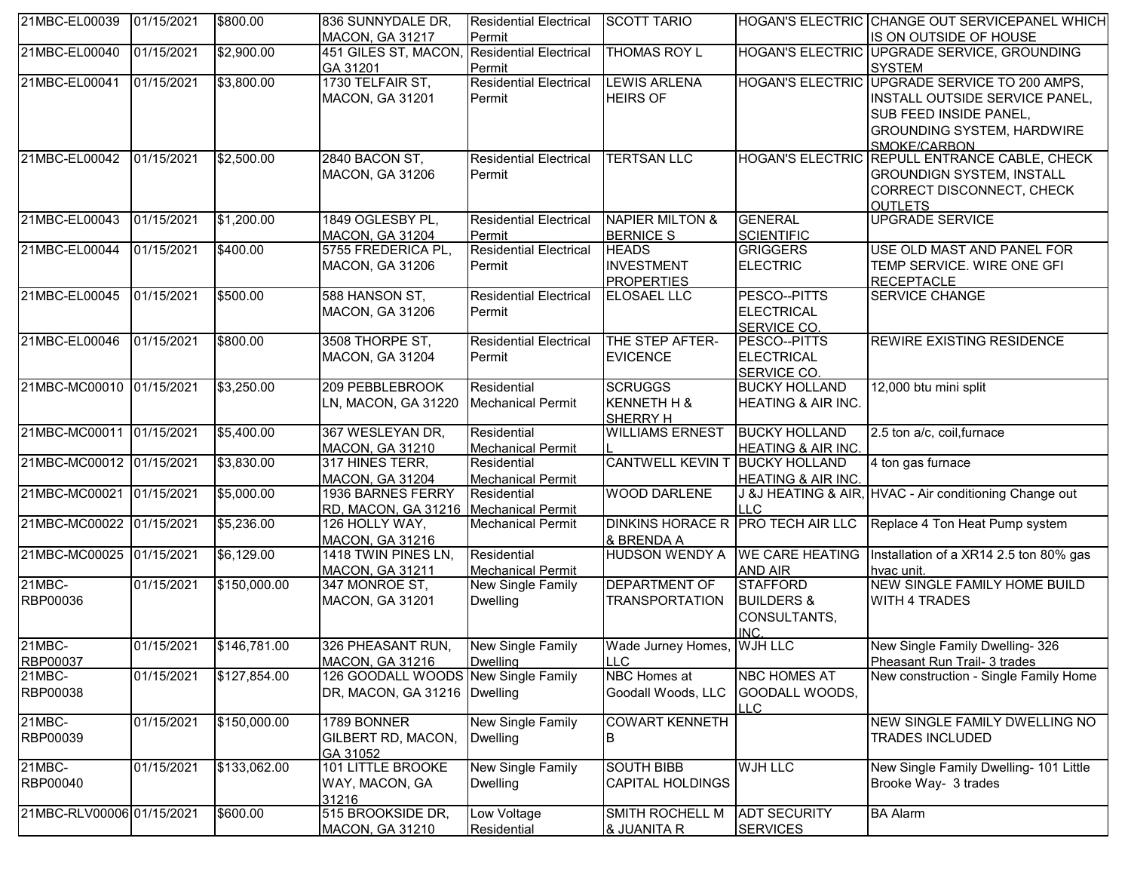| 21MBC-EL00039             | 01/15/2021 | \$800.00     | 836 SUNNYDALE DR,                            | <b>Residential Electrical</b>           | <b>SCOTT TARIO</b>                |                                   | HOGAN'S ELECTRIC CHANGE OUT SERVICEPANEL WHICH         |
|---------------------------|------------|--------------|----------------------------------------------|-----------------------------------------|-----------------------------------|-----------------------------------|--------------------------------------------------------|
|                           |            |              | <b>MACON, GA 31217</b>                       | Permit                                  |                                   |                                   | IS ON OUTSIDE OF HOUSE                                 |
| 21MBC-EL00040             | 01/15/2021 | \$2,900.00   | 451 GILES ST, MACON,                         | <b>Residential Electrical</b>           | <b>THOMAS ROY L</b>               |                                   | HOGAN'S ELECTRIC UPGRADE SERVICE, GROUNDING            |
|                           |            |              | GA 31201                                     | Permit                                  |                                   |                                   | <b>SYSTEM</b>                                          |
| 21MBC-EL00041             | 01/15/2021 | \$3,800.00   | 1730 TELFAIR ST,                             | <b>Residential Electrical</b>           | <b>LEWIS ARLENA</b>               |                                   | HOGAN'S ELECTRIC UPGRADE SERVICE TO 200 AMPS,          |
|                           |            |              | <b>MACON, GA 31201</b>                       | Permit                                  | <b>HEIRS OF</b>                   |                                   | INSTALL OUTSIDE SERVICE PANEL,                         |
|                           |            |              |                                              |                                         |                                   |                                   | SUB FEED INSIDE PANEL,                                 |
|                           |            |              |                                              |                                         |                                   |                                   | <b>GROUNDING SYSTEM, HARDWIRE</b>                      |
|                           |            |              |                                              |                                         |                                   |                                   | SMOKF/CARBON                                           |
| 21MBC-EL00042             | 01/15/2021 | \$2,500.00   | 2840 BACON ST,                               | <b>Residential Electrical</b>           | <b>TERTSAN LLC</b>                |                                   | HOGAN'S ELECTRIC REPULL ENTRANCE CABLE, CHECK          |
|                           |            |              | <b>MACON, GA 31206</b>                       | Permit                                  |                                   |                                   | <b>GROUNDIGN SYSTEM, INSTALL</b>                       |
|                           |            |              |                                              |                                         |                                   |                                   | CORRECT DISCONNECT, CHECK                              |
|                           | 01/15/2021 |              |                                              |                                         | <b>NAPIER MILTON &amp;</b>        | <b>GENERAL</b>                    | <b>OUTLETS</b>                                         |
| 21MBC-EL00043             |            | \$1,200.00   | 1849 OGLESBY PL,                             | <b>Residential Electrical</b>           | <b>BERNICE S</b>                  | <b>SCIENTIFIC</b>                 | UPGRADE SERVICE                                        |
| 21MBC-EL00044             | 01/15/2021 | \$400.00     | <b>MACON, GA 31204</b><br>5755 FREDERICA PL, | Permit<br><b>Residential Electrical</b> | <b>HEADS</b>                      | <b>GRIGGERS</b>                   | USE OLD MAST AND PANEL FOR                             |
|                           |            |              | <b>MACON, GA 31206</b>                       | Permit                                  | <b>INVESTMENT</b>                 | <b>ELECTRIC</b>                   | TEMP SERVICE. WIRE ONE GFI                             |
|                           |            |              |                                              |                                         | <b>PROPERTIES</b>                 |                                   | <b>RECEPTACLE</b>                                      |
| 21MBC-EL00045             | 01/15/2021 | \$500.00     | 588 HANSON ST,                               | <b>Residential Electrical</b>           | <b>ELOSAEL LLC</b>                | PESCO--PITTS                      | <b>SERVICE CHANGE</b>                                  |
|                           |            |              | <b>MACON, GA 31206</b>                       | Permit                                  |                                   | <b>ELECTRICAL</b>                 |                                                        |
|                           |            |              |                                              |                                         |                                   | SERVICE CO.                       |                                                        |
| 21MBC-EL00046             | 01/15/2021 | \$800.00     | 3508 THORPE ST,                              | <b>Residential Electrical</b>           | THE STEP AFTER-                   | PESCO--PITTS                      | REWIRE EXISTING RESIDENCE                              |
|                           |            |              | <b>MACON, GA 31204</b>                       | Permit                                  | <b>EVICENCE</b>                   | <b>ELECTRICAL</b>                 |                                                        |
|                           |            |              |                                              |                                         |                                   | SERVICE CO.                       |                                                        |
| 21MBC-MC00010 01/15/2021  |            | \$3,250.00   | 209 PEBBLEBROOK                              | Residential                             | <b>SCRUGGS</b>                    | <b>BUCKY HOLLAND</b>              | 12,000 btu mini split                                  |
|                           |            |              | LN, MACON, GA 31220                          | <b>Mechanical Permit</b>                | KENNETH H &                       | <b>HEATING &amp; AIR INC.</b>     |                                                        |
|                           |            |              |                                              |                                         | SHERRY H                          |                                   |                                                        |
| 21MBC-MC00011 01/15/2021  |            | \$5,400.00   | 367 WESLEYAN DR,                             | Residential                             | <b>WILLIAMS ERNEST</b>            | <b>BUCKY HOLLAND</b>              | 2.5 ton a/c, coil, furnace                             |
|                           |            |              | <b>MACON, GA 31210</b>                       | <b>Mechanical Permit</b>                |                                   | <b>HEATING &amp; AIR INC.</b>     |                                                        |
| 21MBC-MC00012 01/15/2021  |            | \$3,830.00   | 317 HINES TERR,                              | Residential                             | <b>CANTWELL KEVIN T</b>           | <b>BUCKY HOLLAND</b>              | 4 ton gas furnace                                      |
|                           |            |              | <b>MACON, GA 31204</b>                       | <b>Mechanical Permit</b>                |                                   | <b>HEATING &amp; AIR INC.</b>     |                                                        |
| 21MBC-MC00021             | 01/15/2021 | \$5,000.00   | 1936 BARNES FERRY                            | Residential                             | <b>WOOD DARLENE</b>               |                                   | J &J HEATING & AIR, HVAC - Air conditioning Change out |
|                           |            |              | RD, MACON, GA 31216   Mechanical Permit      |                                         |                                   | <b>LLC</b>                        |                                                        |
| 21MBC-MC00022 01/15/2021  |            | \$5,236.00   | 126 HOLLY WAY,                               | <b>Mechanical Permit</b>                | DINKINS HORACE R PRO TECH AIR LLC |                                   | Replace 4 Ton Heat Pump system                         |
|                           |            |              | <b>MACON, GA 31216</b>                       |                                         | & BRENDA A                        |                                   |                                                        |
| 21MBC-MC00025 01/15/2021  |            | \$6,129.00   | 1418 TWIN PINES LN,                          | Residential                             | HUDSON WENDY A WE CARE HEATING    |                                   | Installation of a XR14 2.5 ton 80% gas                 |
| 21MBC-                    | 01/15/2021 | \$150,000.00 | <b>MACON, GA 31211</b>                       | <b>Mechanical Permit</b>                | <b>DEPARTMENT OF</b>              | <b>AND AIR</b><br><b>STAFFORD</b> | hvac unit.<br>NEW SINGLE FAMILY HOME BUILD             |
| RBP00036                  |            |              | 347 MONROE ST,                               | New Single Family                       |                                   | <b>BUILDERS &amp;</b>             | <b>WITH 4 TRADES</b>                                   |
|                           |            |              | <b>MACON, GA 31201</b>                       | <b>Dwelling</b>                         | <b>TRANSPORTATION</b>             | CONSULTANTS,                      |                                                        |
|                           |            |              |                                              |                                         |                                   | INC.                              |                                                        |
| 21MBC-                    | 01/15/2021 | \$146,781.00 | 326 PHEASANT RUN,                            | New Single Family                       | Wade Jurney Homes, WJH LLC        |                                   | New Single Family Dwelling- 326                        |
| <b>RBP00037</b>           |            |              | MACON, GA 31216                              | <b>Dwelling</b>                         | <b>LLC</b>                        |                                   | Pheasant Run Trail- 3 trades                           |
| 21MBC-                    | 01/15/2021 | \$127,854.00 | 126 GOODALL WOODS New Single Family          |                                         | NBC Homes at                      | <b>NBC HOMES AT</b>               | New construction - Single Family Home                  |
| RBP00038                  |            |              | DR, MACON, GA 31216   Dwelling               |                                         | Goodall Woods, LLC                | GOODALL WOODS,                    |                                                        |
|                           |            |              |                                              |                                         |                                   | LLC.                              |                                                        |
| 21MBC-                    | 01/15/2021 | \$150,000.00 | 1789 BONNER                                  | <b>New Single Family</b>                | <b>COWART KENNETH</b>             |                                   | NEW SINGLE FAMILY DWELLING NO                          |
| RBP00039                  |            |              | GILBERT RD, MACON,                           | Dwelling                                | B                                 |                                   | TRADES INCLUDED                                        |
|                           |            |              | GA 31052                                     |                                         |                                   |                                   |                                                        |
| 21MBC-                    | 01/15/2021 | \$133,062.00 | <b>101 LITTLE BROOKE</b>                     | New Single Family                       | <b>SOUTH BIBB</b>                 | <b>WJH LLC</b>                    | New Single Family Dwelling- 101 Little                 |
| RBP00040                  |            |              | WAY, MACON, GA                               | Dwelling                                | <b>CAPITAL HOLDINGS</b>           |                                   | Brooke Way- 3 trades                                   |
|                           |            |              | 31216                                        |                                         |                                   |                                   |                                                        |
| 21MBC-RLV00006 01/15/2021 |            | \$600.00     | 515 BROOKSIDE DR,                            | Low Voltage                             | SMITH ROCHELL M                   | <b>ADT SECURITY</b>               | <b>BA Alarm</b>                                        |
|                           |            |              | <b>MACON, GA 31210</b>                       | Residential                             | & JUANITA R                       | <b>SERVICES</b>                   |                                                        |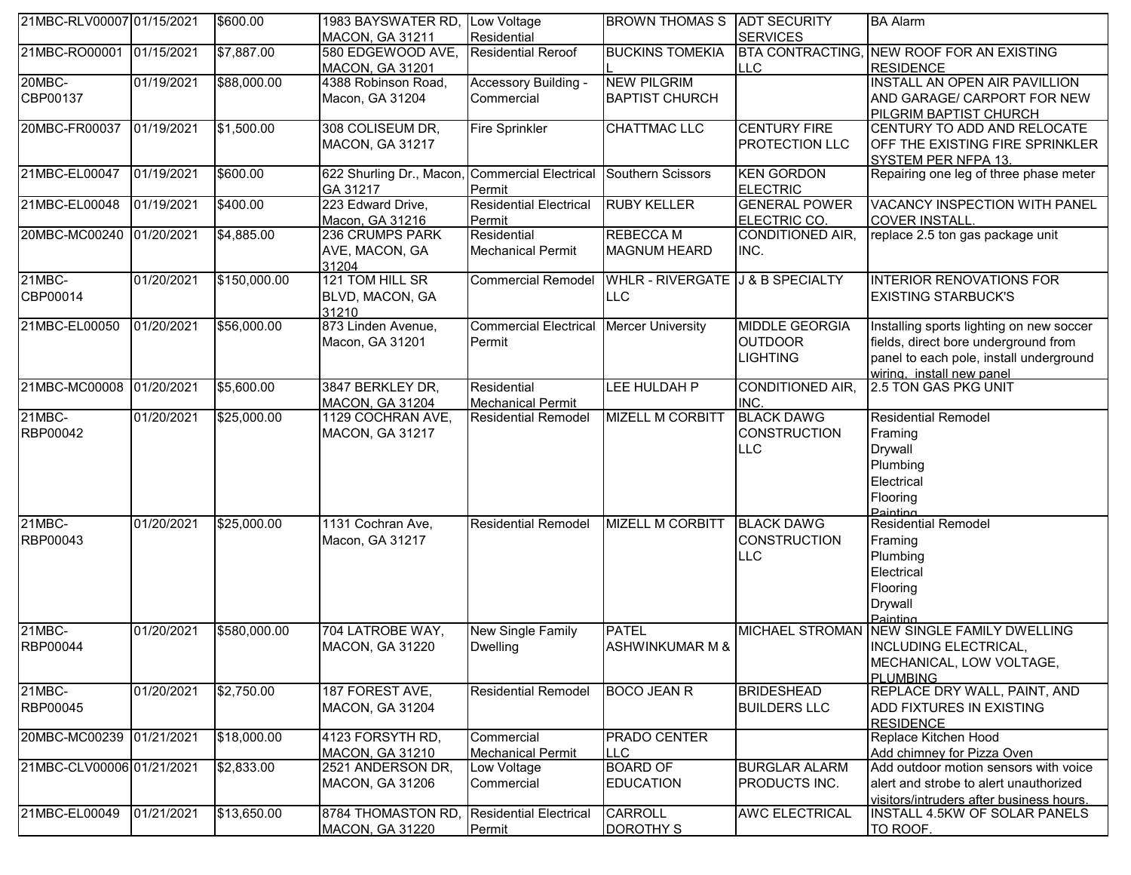| 21MBC-RLV00007 01/15/2021 |            | \$600.00     | 1983 BAYSWATER RD, Low Voltage                 |                               | <b>BROWN THOMAS S</b>            | <b>ADT SECURITY</b>     | <b>BA Alarm</b>                                   |
|---------------------------|------------|--------------|------------------------------------------------|-------------------------------|----------------------------------|-------------------------|---------------------------------------------------|
|                           |            |              | <b>MACON, GA 31211</b>                         | Residential                   |                                  | <b>SERVICES</b>         |                                                   |
| 21MBC-RO00001             | 01/15/2021 | \$7,887.00   | 580 EDGEWOOD AVE,                              | <b>Residential Reroof</b>     | <b>BUCKINS TOMEKIA</b>           | <b>BTA CONTRACTING,</b> | <b>NEW ROOF FOR AN EXISTING</b>                   |
|                           |            |              | MACON, GA 31201                                |                               |                                  | <b>LLC</b>              | <b>RESIDENCE</b>                                  |
| 20MBC-                    | 01/19/2021 | \$88,000.00  | 4388 Robinson Road,                            | Accessory Building -          | <b>NEW PILGRIM</b>               |                         | INSTALL AN OPEN AIR PAVILLION                     |
| CBP00137                  |            |              | Macon, GA 31204                                | Commercial                    | <b>BAPTIST CHURCH</b>            |                         | AND GARAGE/ CARPORT FOR NEW                       |
|                           |            |              |                                                |                               |                                  |                         | PILGRIM BAPTIST CHURCH                            |
| 20MBC-FR00037             | 01/19/2021 | \$1,500.00   | 308 COLISEUM DR,                               | <b>Fire Sprinkler</b>         | CHATTMAC LLC                     | <b>CENTURY FIRE</b>     | CENTURY TO ADD AND RELOCATE                       |
|                           |            |              | <b>MACON, GA 31217</b>                         |                               |                                  | PROTECTION LLC          | OFF THE EXISTING FIRE SPRINKLER                   |
|                           |            |              |                                                |                               |                                  |                         | SYSTEM PER NFPA 13.                               |
| 21MBC-EL00047             | 01/19/2021 | \$600.00     | 622 Shurling Dr., Macon, Commercial Electrical |                               | Southern Scissors                | <b>KEN GORDON</b>       | Repairing one leg of three phase meter            |
|                           |            |              | GA 31217                                       | Permit                        |                                  | <b>ELECTRIC</b>         |                                                   |
| 21MBC-EL00048             | 01/19/2021 | \$400.00     | 223 Edward Drive,                              | <b>Residential Electrical</b> | <b>RUBY KELLER</b>               | <b>GENERAL POWER</b>    | VACANCY INSPECTION WITH PANEL                     |
|                           |            |              | Macon, GA 31216                                | Permit                        |                                  | ELECTRIC CO.            | <b>COVER INSTALL</b>                              |
| 20MBC-MC00240             | 01/20/2021 | \$4,885.00   | 236 CRUMPS PARK                                | Residential                   | <b>REBECCA M</b>                 | <b>CONDITIONED AIR,</b> | replace 2.5 ton gas package unit                  |
|                           |            |              | AVE, MACON, GA                                 | <b>Mechanical Permit</b>      | <b>MAGNUM HEARD</b>              | INC.                    |                                                   |
|                           |            |              | 31204                                          |                               |                                  |                         |                                                   |
| 21MBC-                    | 01/20/2021 | \$150,000.00 | 121 TOM HILL SR                                | <b>Commercial Remodel</b>     | WHLR - RIVERGATE J & B SPECIALTY |                         | <b>INTERIOR RENOVATIONS FOR</b>                   |
| CBP00014                  |            |              | BLVD, MACON, GA                                |                               | LLC                              |                         | <b>EXISTING STARBUCK'S</b>                        |
| 21MBC-EL00050             | 01/20/2021 | \$56,000.00  | 31210<br>873 Linden Avenue,                    | <b>Commercial Electrical</b>  | <b>Mercer University</b>         | <b>MIDDLE GEORGIA</b>   |                                                   |
|                           |            |              |                                                |                               |                                  |                         | Installing sports lighting on new soccer          |
|                           |            |              | Macon, GA 31201                                | <b>Permit</b>                 |                                  | <b>OUTDOOR</b>          | fields, direct bore underground from              |
|                           |            |              |                                                |                               |                                  | <b>LIGHTING</b>         | panel to each pole, install underground           |
| 21MBC-MC00008             | 01/20/2021 | \$5,600.00   | 3847 BERKLEY DR,                               | Residential                   | LEE HULDAH P                     | <b>CONDITIONED AIR.</b> | wiring. install new panel<br>2.5 TON GAS PKG UNIT |
|                           |            |              | MACON, GA 31204                                | <b>Mechanical Permit</b>      |                                  | INC.                    |                                                   |
| 21MBC-                    | 01/20/2021 | \$25,000.00  | 1129 COCHRAN AVE,                              | <b>Residential Remodel</b>    | <b>MIZELL M CORBITT</b>          | <b>BLACK DAWG</b>       | <b>Residential Remodel</b>                        |
| RBP00042                  |            |              | MACON, GA 31217                                |                               |                                  | <b>CONSTRUCTION</b>     | Framing                                           |
|                           |            |              |                                                |                               |                                  | <b>LLC</b>              | Drywall                                           |
|                           |            |              |                                                |                               |                                  |                         | Plumbing                                          |
|                           |            |              |                                                |                               |                                  |                         | Electrical                                        |
|                           |            |              |                                                |                               |                                  |                         |                                                   |
|                           |            |              |                                                |                               |                                  |                         | Flooring<br>Painting                              |
| 21MBC-                    | 01/20/2021 | \$25,000.00  | 1131 Cochran Ave,                              | <b>Residential Remodel</b>    | <b>MIZELL M CORBITT</b>          | <b>BLACK DAWG</b>       | <b>Residential Remodel</b>                        |
| RBP00043                  |            |              | Macon, GA 31217                                |                               |                                  | <b>CONSTRUCTION</b>     | Framing                                           |
|                           |            |              |                                                |                               |                                  | <b>LLC</b>              | Plumbing                                          |
|                           |            |              |                                                |                               |                                  |                         | Electrical                                        |
|                           |            |              |                                                |                               |                                  |                         | Flooring                                          |
|                           |            |              |                                                |                               |                                  |                         | <b>Drywall</b>                                    |
|                           |            |              |                                                |                               |                                  |                         | Painting                                          |
| $21MBC -$                 | 01/20/2021 | \$580,000.00 | 704 LATROBE WAY,                               | New Single Family             | <b>PATEL</b>                     |                         | MICHAEL STROMAN NEW SINGLE FAMILY DWELLING        |
| RBP00044                  |            |              | <b>MACON, GA 31220</b>                         | <b>Dwelling</b>               | <b>ASHWINKUMAR M &amp;</b>       |                         | <b>INCLUDING ELECTRICAL,</b>                      |
|                           |            |              |                                                |                               |                                  |                         | MECHANICAL, LOW VOLTAGE,                          |
|                           |            |              |                                                |                               |                                  |                         | <b>PLUMBING</b>                                   |
| $21MBC -$                 | 01/20/2021 | \$2,750.00   | 187 FOREST AVE,                                | <b>Residential Remodel</b>    | <b>BOCO JEAN R</b>               | <b>BRIDESHEAD</b>       | REPLACE DRY WALL, PAINT, AND                      |
| <b>RBP00045</b>           |            |              | MACON, GA 31204                                |                               |                                  | <b>BUILDERS LLC</b>     | ADD FIXTURES IN EXISTING                          |
|                           |            |              |                                                |                               |                                  |                         | <b>RESIDENCE</b>                                  |
| 20MBC-MC00239             | 01/21/2021 | \$18,000.00  | 4123 FORSYTH RD,                               | Commercial                    | PRADO CENTER                     |                         | Replace Kitchen Hood                              |
|                           |            |              | <b>MACON, GA 31210</b>                         | <b>Mechanical Permit</b>      | LLC                              |                         | Add chimney for Pizza Oven                        |
| 21MBC-CLV00006 01/21/2021 |            | \$2,833.00   | 2521 ANDERSON DR.                              | Low Voltage                   | <b>BOARD OF</b>                  | <b>BURGLAR ALARM</b>    | Add outdoor motion sensors with voice             |
|                           |            |              | <b>MACON, GA 31206</b>                         | Commercial                    | <b>EDUCATION</b>                 | PRODUCTS INC.           | alert and strobe to alert unauthorized            |
|                           |            |              |                                                |                               |                                  |                         | visitors/intruders after business hours.          |
| 21MBC-EL00049             | 01/21/2021 | \$13,650.00  | 8784 THOMASTON RD.                             | <b>Residential Electrical</b> | <b>CARROLL</b>                   | <b>AWC ELECTRICAL</b>   | <b>INSTALL 4.5KW OF SOLAR PANELS</b>              |
|                           |            |              | MACON, GA 31220                                | Permit                        | <b>DOROTHY S</b>                 |                         | TO ROOF.                                          |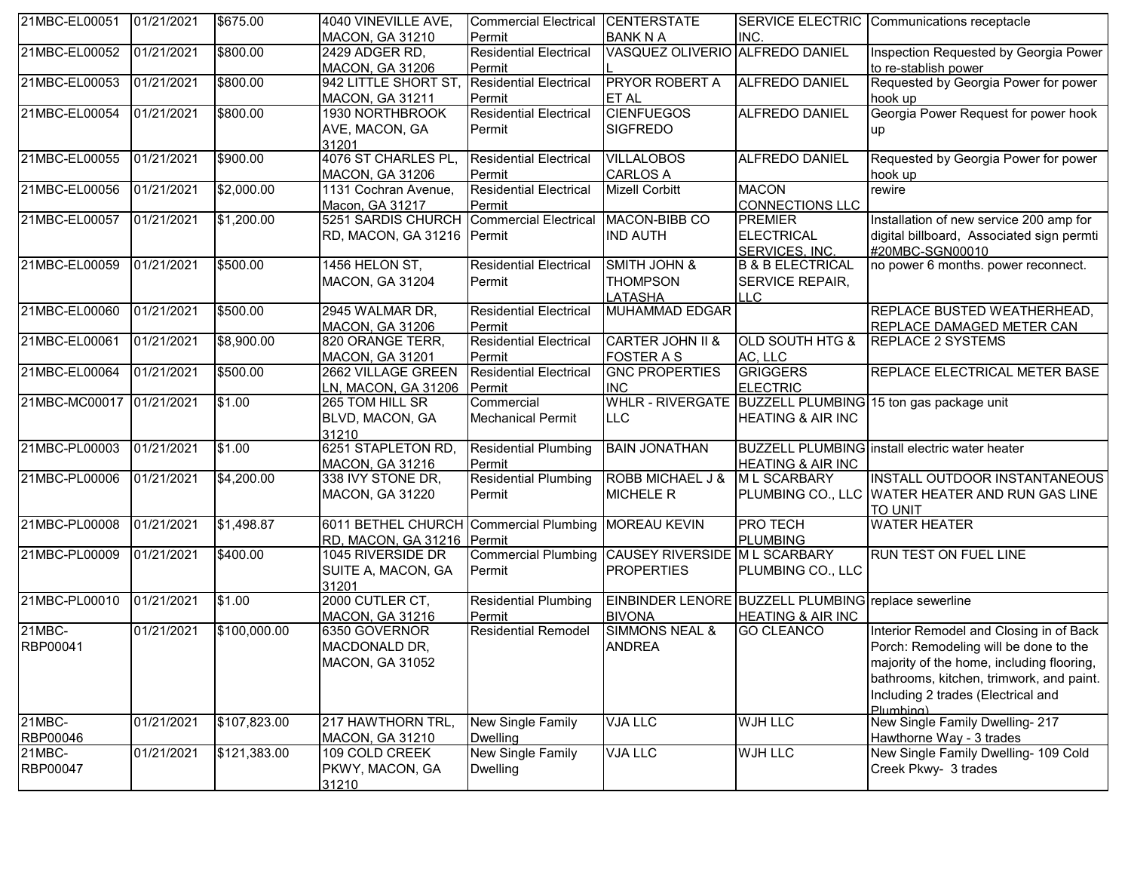| 21MBC-EL00051            | 01/21/2021 | \$675.00     | 4040 VINEVILLE AVE,                                 | Commercial Electrical                             | <b>CENTERSTATE</b>                         |                                                     | SERVICE ELECTRIC Communications receptacle                |
|--------------------------|------------|--------------|-----------------------------------------------------|---------------------------------------------------|--------------------------------------------|-----------------------------------------------------|-----------------------------------------------------------|
|                          |            |              | <b>MACON, GA 31210</b>                              | Permit                                            | <b>BANK N A</b>                            | INC.                                                |                                                           |
| 21MBC-EL00052            | 01/21/2021 | \$800.00     | 2429 ADGER RD,                                      | <b>Residential Electrical</b>                     | VASQUEZ OLIVERIO ALFREDO DANIEL            |                                                     | Inspection Requested by Georgia Power                     |
|                          |            |              | <b>MACON, GA 31206</b>                              | Permit                                            |                                            |                                                     | to re-stablish power                                      |
| 21MBC-EL00053            | 01/21/2021 | \$800.00     | 942 LITTLE SHORT ST,                                | <b>Residential Electrical</b>                     | <b>PRYOR ROBERT A</b>                      | <b>ALFREDO DANIEL</b>                               | Requested by Georgia Power for power                      |
|                          |            |              | <b>MACON, GA 31211</b>                              | Permit                                            | <b>ET AL</b>                               |                                                     | hook up                                                   |
| 21MBC-EL00054            | 01/21/2021 | \$800.00     | 1930 NORTHBROOK                                     | <b>Residential Electrical</b>                     | <b>CIENFUEGOS</b>                          | <b>ALFREDO DANIEL</b>                               | Georgia Power Request for power hook                      |
|                          |            |              | AVE, MACON, GA                                      | Permit                                            | <b>SIGFREDO</b>                            |                                                     | up                                                        |
|                          |            |              | 31201                                               |                                                   |                                            |                                                     |                                                           |
| 21MBC-EL00055            | 01/21/2021 | \$900.00     | 4076 ST CHARLES PL,                                 | <b>Residential Electrical</b>                     | <b>VILLALOBOS</b>                          | ALFREDO DANIEL                                      | Requested by Georgia Power for power                      |
|                          |            |              | <b>MACON, GA 31206</b>                              | Permit                                            | <b>CARLOS A</b>                            |                                                     | hook up                                                   |
| 21MBC-EL00056            | 01/21/2021 | \$2,000.00   | 1131 Cochran Avenue,                                | <b>Residential Electrical</b>                     | <b>Mizell Corbitt</b>                      | <b>MACON</b>                                        | rewire                                                    |
|                          |            |              | Macon, GA 31217                                     | Permit                                            |                                            | <b>CONNECTIONS LLC</b>                              |                                                           |
| 21MBC-EL00057            | 01/21/2021 | \$1,200.00   | 5251 SARDIS CHURCH                                  | <b>Commercial Electrical</b>                      | MACON-BIBB CO                              | <b>PREMIER</b>                                      | Installation of new service 200 amp for                   |
|                          |            |              | RD, MACON, GA 31216 Permit                          |                                                   | <b>IND AUTH</b>                            | <b>ELECTRICAL</b>                                   | digital billboard, Associated sign permti                 |
|                          |            |              |                                                     |                                                   |                                            | SERVICES, INC.                                      | #20MBC-SGN00010                                           |
| 21MBC-EL00059            | 01/21/2021 | \$500.00     | 1456 HELON ST,                                      | <b>Residential Electrical</b>                     | <b>SMITH JOHN &amp;</b>                    | <b>B &amp; B ELECTRICAL</b>                         | no power 6 months. power reconnect.                       |
|                          |            |              | <b>MACON, GA 31204</b>                              | Permit                                            | <b>THOMPSON</b>                            | SERVICE REPAIR,                                     |                                                           |
|                          |            |              |                                                     |                                                   | <b>LATASHA</b>                             | LLC                                                 |                                                           |
| 21MBC-EL00060            | 01/21/2021 | \$500.00     | 2945 WALMAR DR,                                     | <b>Residential Electrical</b>                     | <b>MUHAMMAD EDGAR</b>                      |                                                     | <b>REPLACE BUSTED WEATHERHEAD,</b>                        |
| 21MBC-EL00061            | 01/21/2021 |              | <b>MACON, GA 31206</b>                              | Permit                                            |                                            |                                                     | REPLACE DAMAGED METER CAN<br><b>REPLACE 2 SYSTEMS</b>     |
|                          |            | \$8,900.00   | 820 ORANGE TERR,                                    | <b>Residential Electrical</b>                     | <b>CARTER JOHN II &amp;</b>                | <b>OLD SOUTH HTG &amp;</b>                          |                                                           |
| 21MBC-EL00064            | 01/21/2021 | \$500.00     | <b>MACON, GA 31201</b><br>2662 VILLAGE GREEN        | Permit<br><b>Residential Electrical</b>           | <b>FOSTER A S</b><br><b>GNC PROPERTIES</b> | AC, LLC<br><b>GRIGGERS</b>                          | REPLACE ELECTRICAL METER BASE                             |
|                          |            |              |                                                     |                                                   | <b>INC</b>                                 |                                                     |                                                           |
| 21MBC-MC00017 01/21/2021 |            | \$1.00       | LN, MACON, GA 31206<br>265 TOM HILL SR              | Permit<br>Commercial                              |                                            | <b>ELECTRIC</b>                                     | WHLR - RIVERGATE BUZZELL PLUMBING 15 ton gas package unit |
|                          |            |              | BLVD, MACON, GA                                     | <b>Mechanical Permit</b>                          | <b>LLC</b>                                 | <b>HEATING &amp; AIR INC</b>                        |                                                           |
|                          |            |              | 31210                                               |                                                   |                                            |                                                     |                                                           |
| 21MBC-PL00003            | 01/21/2021 | \$1.00       | 6251 STAPLETON RD                                   | <b>Residential Plumbing</b>                       | <b>BAIN JONATHAN</b>                       |                                                     | <b>BUZZELL PLUMBING</b> install electric water heater     |
|                          |            |              | <b>MACON, GA 31216</b>                              | Permit                                            |                                            | <b>HEATING &amp; AIR INC</b>                        |                                                           |
| 21MBC-PL00006            | 01/21/2021 | \$4,200.00   | 338 IVY STONE DR,                                   | <b>Residential Plumbing</b>                       | ROBB MICHAEL J &                           | <b>ML SCARBARY</b>                                  | <b>INSTALL OUTDOOR INSTANTANEOUS</b>                      |
|                          |            |              | <b>MACON, GA 31220</b>                              | Permit                                            | <b>MICHELE R</b>                           |                                                     | PLUMBING CO., LLC WATER HEATER AND RUN GAS LINE           |
|                          |            |              |                                                     |                                                   |                                            |                                                     | <b>TO UNIT</b>                                            |
| 21MBC-PL00008            | 01/21/2021 | \$1,498.87   | 6011 BETHEL CHURCH Commercial Plumbing MOREAU KEVIN |                                                   |                                            | <b>PRO TECH</b>                                     | <b>WATER HEATER</b>                                       |
|                          |            |              | RD, MACON, GA 31216 Permit                          |                                                   |                                            | <b>PLUMBING</b>                                     |                                                           |
| 21MBC-PL00009            | 01/21/2021 | \$400.00     | 1045 RIVERSIDE DR                                   | Commercial Plumbing CAUSEY RIVERSIDE M L SCARBARY |                                            |                                                     | <b>RUN TEST ON FUEL LINE</b>                              |
|                          |            |              | SUITE A, MACON, GA                                  | Permit                                            | <b>PROPERTIES</b>                          | PLUMBING CO., LLC                                   |                                                           |
|                          |            |              | 31201                                               |                                                   |                                            |                                                     |                                                           |
| 21MBC-PL00010            | 01/21/2021 | \$1.00       | 2000 CUTLER CT,                                     | Residential Plumbing                              |                                            | EINBINDER LENORE BUZZELL PLUMBING replace sewerline |                                                           |
|                          |            |              | <b>MACON, GA 31216</b>                              | Permit                                            | <b>BIVONA</b>                              | <b>HEATING &amp; AIR INC</b>                        |                                                           |
| 21MBC-                   | 01/21/2021 | \$100,000.00 | 6350 GOVERNOR                                       | <b>Residential Remodel</b>                        | <b>SIMMONS NEAL &amp;</b>                  | <b>GO CLEANCO</b>                                   | Interior Remodel and Closing in of Back                   |
| RBP00041                 |            |              | MACDONALD DR,                                       |                                                   | <b>ANDREA</b>                              |                                                     | Porch: Remodeling will be done to the                     |
|                          |            |              | MACON, GA 31052                                     |                                                   |                                            |                                                     | majority of the home, including flooring,                 |
|                          |            |              |                                                     |                                                   |                                            |                                                     | bathrooms, kitchen, trimwork, and paint.                  |
|                          |            |              |                                                     |                                                   |                                            |                                                     | Including 2 trades (Electrical and                        |
|                          |            |              |                                                     |                                                   |                                            |                                                     | Plumhina)                                                 |
| $21MBC -$                | 01/21/2021 | \$107,823.00 | 217 HAWTHORN TRL,                                   | New Single Family                                 | <b>VJA LLC</b>                             | <b>WJH LLC</b>                                      | New Single Family Dwelling- 217                           |
| RBP00046                 |            |              | <b>MACON, GA 31210</b>                              | Dwelling                                          |                                            |                                                     | Hawthorne Way - 3 trades                                  |
| 21MBC-                   | 01/21/2021 | \$121,383.00 | 109 COLD CREEK                                      | New Single Family                                 | <b>VJA LLC</b>                             | <b>WJH LLC</b>                                      | New Single Family Dwelling- 109 Cold                      |
| RBP00047                 |            |              | PKWY, MACON, GA                                     | <b>Dwelling</b>                                   |                                            |                                                     | Creek Pkwy- 3 trades                                      |
|                          |            |              | 31210                                               |                                                   |                                            |                                                     |                                                           |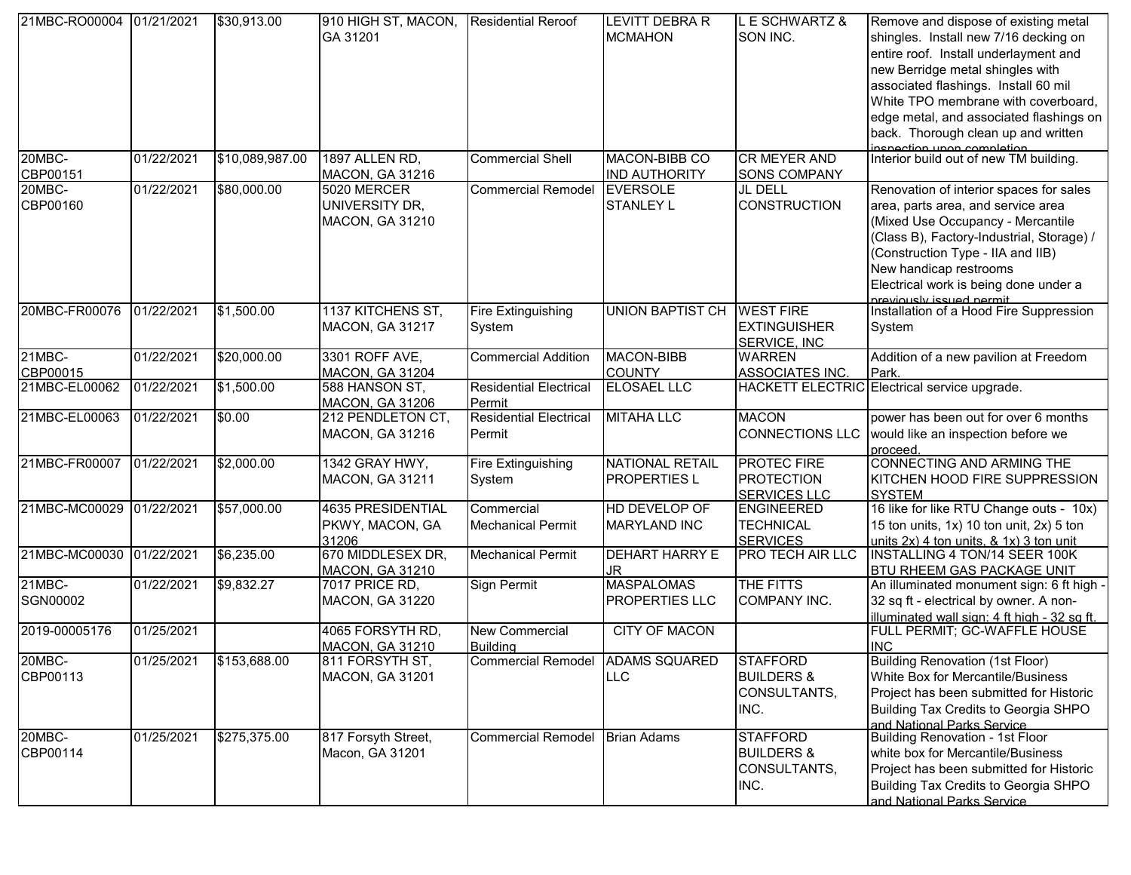| 21MBC-RO00004 01/21/2021 |            | \$30,913.00     | 910 HIGH ST, MACON,<br>GA 31201                      | <b>Residential Reroof</b>               | <b>LEVITT DEBRA R</b><br><b>MCMAHON</b>       | E SCHWARTZ &<br>SON INC.                                         | Remove and dispose of existing metal<br>shingles. Install new 7/16 decking on<br>entire roof. Install underlayment and<br>new Berridge metal shingles with<br>associated flashings. Install 60 mil<br>White TPO membrane with coverboard,<br>edge metal, and associated flashings on<br>back. Thorough clean up and written |
|--------------------------|------------|-----------------|------------------------------------------------------|-----------------------------------------|-----------------------------------------------|------------------------------------------------------------------|-----------------------------------------------------------------------------------------------------------------------------------------------------------------------------------------------------------------------------------------------------------------------------------------------------------------------------|
| 20MBC-                   | 01/22/2021 | \$10,089,987.00 | 1897 ALLEN RD,                                       | <b>Commercial Shell</b>                 | MACON-BIBB CO                                 | <b>CR MEYER AND</b>                                              | inspection upon completion<br>Interior build out of new TM building.                                                                                                                                                                                                                                                        |
| CBP00151                 |            |                 | <b>MACON, GA 31216</b>                               |                                         | <b>IND AUTHORITY</b>                          | <b>SONS COMPANY</b>                                              |                                                                                                                                                                                                                                                                                                                             |
| 20MBC-                   | 01/22/2021 | \$80,000.00     | 5020 MERCER                                          | <b>Commercial Remodel</b>               | <b>EVERSOLE</b>                               | JL DELL                                                          | Renovation of interior spaces for sales                                                                                                                                                                                                                                                                                     |
| CBP00160                 |            |                 | UNIVERSITY DR,<br><b>MACON, GA 31210</b>             |                                         | <b>STANLEY L</b>                              | <b>CONSTRUCTION</b>                                              | area, parts area, and service area<br>(Mixed Use Occupancy - Mercantile<br>(Class B), Factory-Industrial, Storage) /<br>(Construction Type - IIA and IIB)<br>New handicap restrooms<br>Electrical work is being done under a                                                                                                |
| 20MBC-FR00076            | 01/22/2021 | \$1,500.00      | 1137 KITCHENS ST,                                    | <b>Fire Extinguishing</b>               | <b>UNION BAPTIST CH</b>                       | <b>WEST FIRE</b>                                                 | Inreviously issued permit<br> Installation of a Hood Fire Suppression                                                                                                                                                                                                                                                       |
|                          |            |                 | <b>MACON, GA 31217</b>                               | System                                  |                                               | <b>EXTINGUISHER</b><br>SERVICE, INC                              | System                                                                                                                                                                                                                                                                                                                      |
| 21MBC-                   | 01/22/2021 | \$20,000.00     | 3301 ROFF AVE,                                       | <b>Commercial Addition</b>              | <b>MACON-BIBB</b>                             | <b>WARREN</b>                                                    | Addition of a new pavilion at Freedom                                                                                                                                                                                                                                                                                       |
| CBP00015                 |            |                 | <b>MACON, GA 31204</b>                               |                                         | <b>COUNTY</b>                                 | ASSOCIATES INC.                                                  | Park.                                                                                                                                                                                                                                                                                                                       |
| 21MBC-EL00062            | 01/22/2021 | \$1,500.00      | 588 HANSON ST,<br><b>MACON, GA 31206</b>             | <b>Residential Electrical</b><br>Permit | <b>ELOSAEL LLC</b>                            |                                                                  | HACKETT ELECTRIC Electrical service upgrade.                                                                                                                                                                                                                                                                                |
| 21MBC-EL00063            | 01/22/2021 | \$0.00          | 212 PENDLETON CT,<br><b>MACON, GA 31216</b>          | <b>Residential Electrical</b><br>Permit | <b>MITAHA LLC</b>                             | <b>MACON</b><br><b>CONNECTIONS LLC</b>                           | power has been out for over 6 months<br>would like an inspection before we<br>proceed                                                                                                                                                                                                                                       |
| 21MBC-FR00007            | 01/22/2021 | \$2,000.00      | 1342 GRAY HWY,<br><b>MACON, GA 31211</b>             | Fire Extinguishing<br>System            | <b>NATIONAL RETAIL</b><br><b>PROPERTIES L</b> | <b>PROTEC FIRE</b><br><b>PROTECTION</b><br><b>SERVICES LLC</b>   | CONNECTING AND ARMING THE<br>KITCHEN HOOD FIRE SUPPRESSION<br><b>SYSTEM</b>                                                                                                                                                                                                                                                 |
| 21MBC-MC00029 01/22/2021 |            | \$57,000.00     | 4635 PRESIDENTIAL<br>PKWY, MACON, GA                 | Commercial<br><b>Mechanical Permit</b>  | HD DEVELOP OF<br><b>MARYLAND INC</b>          | <b>ENGINEERED</b><br><b>TECHNICAL</b>                            | 16 like for like RTU Change outs - 10x)<br>15 ton units, 1x) 10 ton unit, 2x) 5 ton                                                                                                                                                                                                                                         |
| 21MBC-MC00030 01/22/2021 |            | \$6,235.00      | 31206<br>670 MIDDLESEX DR,<br><b>MACON, GA 31210</b> | <b>Mechanical Permit</b>                | <b>DEHART HARRY E</b><br>JR                   | <b>SERVICES</b><br><b>PRO TECH AIR LLC</b>                       | units 2x) 4 ton units, & 1x) 3 ton unit<br>INSTALLING 4 TON/14 SEER 100K<br><b>BTU RHEEM GAS PACKAGE UNIT</b>                                                                                                                                                                                                               |
| 21MBC-                   | 01/22/2021 | \$9,832.27      | 7017 PRICE RD,                                       | Sign Permit                             | <b>MASPALOMAS</b>                             | THE FITTS                                                        | An illuminated monument sign: 6 ft high -                                                                                                                                                                                                                                                                                   |
| SGN00002                 |            |                 | <b>MACON, GA 31220</b>                               |                                         | <b>PROPERTIES LLC</b>                         | COMPANY INC.                                                     | 32 sq ft - electrical by owner. A non-<br>illuminated wall sign: 4 ft high - 32 sg ft.                                                                                                                                                                                                                                      |
| 2019-00005176            | 01/25/2021 |                 | 4065 FORSYTH RD,<br><b>MACON, GA 31210</b>           | New Commercial<br><b>Building</b>       | CITY OF MACON                                 |                                                                  | FULL PERMIT; GC-WAFFLE HOUSE<br><b>INC</b>                                                                                                                                                                                                                                                                                  |
| 20MBC-<br>CBP00113       | 01/25/2021 | \$153,688.00    | 811 FORSYTH ST,<br><b>MACON, GA 31201</b>            | <b>Commercial Remodel</b>               | <b>ADAMS SQUARED</b><br><b>LLC</b>            | STAFFORD<br><b>BUILDERS &amp;</b><br>CONSULTANTS,<br>INC.        | Building Renovation (1st Floor)<br>White Box for Mercantile/Business<br>Project has been submitted for Historic<br>Building Tax Credits to Georgia SHPO<br>and National Parks Service                                                                                                                                       |
| 20MBC-<br>CBP00114       | 01/25/2021 | \$275,375.00    | 817 Forsyth Street,<br>Macon, GA 31201               | <b>Commercial Remodel</b>               | <b>Brian Adams</b>                            | <b>STAFFORD</b><br><b>BUILDERS &amp;</b><br>CONSULTANTS,<br>INC. | Building Renovation - 1st Floor<br>white box for Mercantile/Business<br>Project has been submitted for Historic<br>Building Tax Credits to Georgia SHPO<br>and National Parks Service                                                                                                                                       |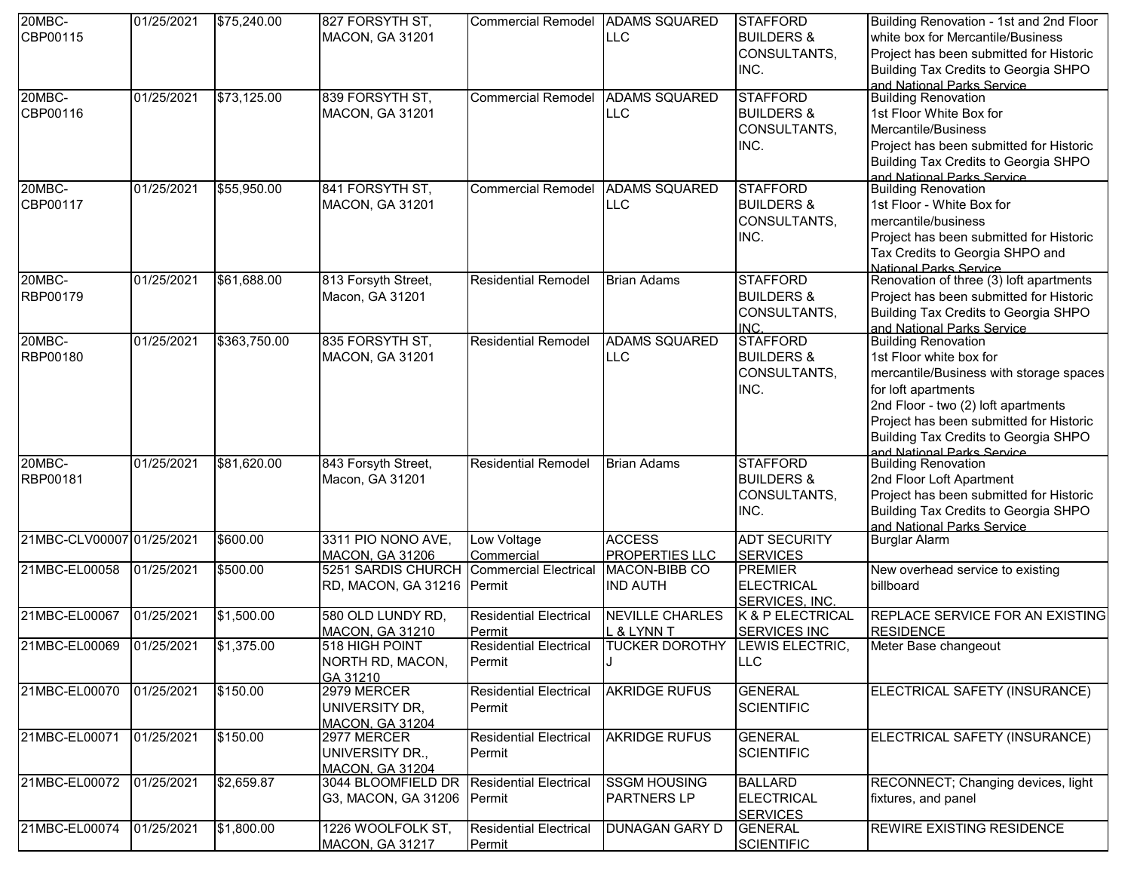| 20MBC-                    | 01/25/2021 | \$75,240.00  | 827 FORSYTH ST,                              | Commercial Remodel ADAMS SQUARED           |                                 | <b>STAFFORD</b>                   | Building Renovation - 1st and 2nd Floor                  |
|---------------------------|------------|--------------|----------------------------------------------|--------------------------------------------|---------------------------------|-----------------------------------|----------------------------------------------------------|
| CBP00115                  |            |              | <b>MACON, GA 31201</b>                       |                                            | <b>LLC</b>                      | <b>BUILDERS &amp;</b>             | white box for Mercantile/Business                        |
|                           |            |              |                                              |                                            |                                 | CONSULTANTS,                      | Project has been submitted for Historic                  |
|                           |            |              |                                              |                                            |                                 | INC.                              | Building Tax Credits to Georgia SHPO                     |
|                           |            |              |                                              |                                            |                                 |                                   | and National Parks Service                               |
| 20MBC-                    | 01/25/2021 | \$73,125.00  | 839 FORSYTH ST,                              | <b>Commercial Remodel</b>                  | <b>ADAMS SQUARED</b>            | <b>STAFFORD</b>                   | <b>Building Renovation</b>                               |
| CBP00116                  |            |              | <b>MACON, GA 31201</b>                       |                                            | LLC                             | <b>BUILDERS &amp;</b>             | 1st Floor White Box for                                  |
|                           |            |              |                                              |                                            |                                 | CONSULTANTS,                      | Mercantile/Business                                      |
|                           |            |              |                                              |                                            |                                 | INC.                              | Project has been submitted for Historic                  |
|                           |            |              |                                              |                                            |                                 |                                   | Building Tax Credits to Georgia SHPO                     |
|                           |            |              |                                              |                                            |                                 |                                   | and National Parks Service                               |
| 20MBC-                    | 01/25/2021 | \$55,950.00  | 841 FORSYTH ST,                              | <b>Commercial Remodel</b>                  | <b>ADAMS SQUARED</b>            | <b>STAFFORD</b>                   | <b>Building Renovation</b>                               |
| CBP00117                  |            |              | MACON, GA 31201                              |                                            | LLC                             | <b>BUILDERS &amp;</b>             | 1st Floor - White Box for                                |
|                           |            |              |                                              |                                            |                                 | CONSULTANTS,                      | mercantile/business                                      |
|                           |            |              |                                              |                                            |                                 | INC.                              | Project has been submitted for Historic                  |
|                           |            |              |                                              |                                            |                                 |                                   | Tax Credits to Georgia SHPO and                          |
|                           |            |              |                                              |                                            |                                 |                                   | National Parks Service                                   |
| $20MBC -$                 | 01/25/2021 | \$61,688.00  | 813 Forsyth Street,                          | <b>Residential Remodel</b>                 | <b>Brian Adams</b>              | <b>STAFFORD</b>                   | Renovation of three (3) loft apartments                  |
| RBP00179                  |            |              | Macon, GA 31201                              |                                            |                                 | <b>BUILDERS &amp;</b>             | Project has been submitted for Historic                  |
|                           |            |              |                                              |                                            |                                 |                                   | Building Tax Credits to Georgia SHPO                     |
|                           |            |              |                                              |                                            |                                 | CONSULTANTS,<br>INC.              |                                                          |
| 20MBC-                    | 01/25/2021 | \$363,750.00 | 835 FORSYTH ST,                              | <b>Residential Remodel</b>                 | <b>ADAMS SQUARED</b>            | <b>STAFFORD</b>                   | and National Parks Service<br><b>Building Renovation</b> |
| RBP00180                  |            |              | MACON, GA 31201                              |                                            | LLC.                            | <b>BUILDERS &amp;</b>             | 1st Floor white box for                                  |
|                           |            |              |                                              |                                            |                                 |                                   |                                                          |
|                           |            |              |                                              |                                            |                                 | CONSULTANTS,                      | mercantile/Business with storage spaces                  |
|                           |            |              |                                              |                                            |                                 | INC.                              | for loft apartments                                      |
|                           |            |              |                                              |                                            |                                 |                                   | 2nd Floor - two (2) loft apartments                      |
|                           |            |              |                                              |                                            |                                 |                                   | Project has been submitted for Historic                  |
|                           |            |              |                                              |                                            |                                 |                                   | Building Tax Credits to Georgia SHPO                     |
| 20MBC-                    | 01/25/2021 | \$81,620.00  | 843 Forsyth Street,                          | <b>Residential Remodel</b>                 | <b>Brian Adams</b>              | <b>STAFFORD</b>                   | and National Parks Service<br><b>Building Renovation</b> |
|                           |            |              |                                              |                                            |                                 |                                   |                                                          |
| RBP00181                  |            |              | Macon, GA 31201                              |                                            |                                 | <b>BUILDERS &amp;</b>             | 2nd Floor Loft Apartment                                 |
|                           |            |              |                                              |                                            |                                 | CONSULTANTS,                      | Project has been submitted for Historic                  |
|                           |            |              |                                              |                                            |                                 | INC.                              | Building Tax Credits to Georgia SHPO                     |
| 21MBC-CLV00007 01/25/2021 |            | \$600.00     | 3311 PIO NONO AVE,                           | Low Voltage                                | <b>ACCESS</b>                   | <b>ADT SECURITY</b>               | and National Parks Service                               |
|                           |            |              |                                              |                                            |                                 |                                   | <b>Burglar Alarm</b>                                     |
| 21MBC-EL00058             | 01/25/2021 | \$500.00     | <b>MACON, GA 31206</b><br>5251 SARDIS CHURCH | Commercial<br><b>Commercial Electrical</b> | PROPERTIES LLC<br>MACON-BIBB CO | <b>SERVICES</b><br><b>PREMIER</b> | New overhead service to existing                         |
|                           |            |              |                                              |                                            |                                 |                                   |                                                          |
|                           |            |              | RD, MACON, GA 31216 Permit                   |                                            | <b>IND AUTH</b>                 | <b>ELECTRICAL</b>                 | billboard                                                |
|                           |            |              |                                              |                                            |                                 | SERVICES, INC.                    |                                                          |
| 21MBC-EL00067             | 01/25/2021 | \$1,500.00   | 580 OLD LUNDY RD,                            | <b>Residential Electrical</b>              | <b>NEVILLE CHARLES</b>          | K & P ELECTRICAL                  | REPLACE SERVICE FOR AN EXISTING                          |
|                           |            |              | <b>MACON, GA 31210</b>                       | Permit                                     | L & LYNN T                      | <b>SERVICES INC</b>               | <b>RESIDENCE</b>                                         |
| 21MBC-EL00069             | 01/25/2021 | \$1,375.00   | 518 HIGH POINT                               | <b>Residential Electrical</b>              | <b>TUCKER DOROTHY</b>           | LEWIS ELECTRIC,                   | Meter Base changeout                                     |
|                           |            |              | NORTH RD, MACON,                             | Permit                                     |                                 | <b>LLC</b>                        |                                                          |
|                           |            |              | GA 31210                                     |                                            |                                 |                                   |                                                          |
| 21MBC-EL00070             | 01/25/2021 | \$150.00     | 2979 MERCER                                  | <b>Residential Electrical</b>              | <b>AKRIDGE RUFUS</b>            | <b>GENERAL</b>                    | ELECTRICAL SAFETY (INSURANCE)                            |
|                           |            |              | UNIVERSITY DR,                               | Permit                                     |                                 | <b>SCIENTIFIC</b>                 |                                                          |
|                           |            |              | <b>MACON, GA 31204</b>                       |                                            |                                 |                                   |                                                          |
| 21MBC-EL00071             | 01/25/2021 | \$150.00     | 2977 MERCER                                  | <b>Residential Electrical</b>              | <b>AKRIDGE RUFUS</b>            | <b>GENERAL</b>                    | ELECTRICAL SAFETY (INSURANCE)                            |
|                           |            |              | UNIVERSITY DR.,                              | Permit                                     |                                 | <b>SCIENTIFIC</b>                 |                                                          |
|                           |            |              | <b>MACON, GA 31204</b>                       |                                            |                                 |                                   |                                                          |
| 21MBC-EL00072             | 01/25/2021 | \$2,659.87   | 3044 BLOOMFIELD DR                           | <b>Residential Electrical</b>              | <b>SSGM HOUSING</b>             | <b>BALLARD</b>                    | RECONNECT; Changing devices, light                       |
|                           |            |              | G3, MACON, GA 31206 Permit                   |                                            | <b>PARTNERS LP</b>              | <b>ELECTRICAL</b>                 | fixtures, and panel                                      |
|                           |            |              |                                              |                                            |                                 | <b>SERVICES</b>                   |                                                          |
| 21MBC-EL00074             | 01/25/2021 | \$1,800.00   | 1226 WOOLFOLK ST,                            | <b>Residential Electrical</b>              | <b>DUNAGAN GARY D</b>           | <b>GENERAL</b>                    | <b>REWIRE EXISTING RESIDENCE</b>                         |
|                           |            |              | <b>MACON, GA 31217</b>                       | Permit                                     |                                 | <b>SCIENTIFIC</b>                 |                                                          |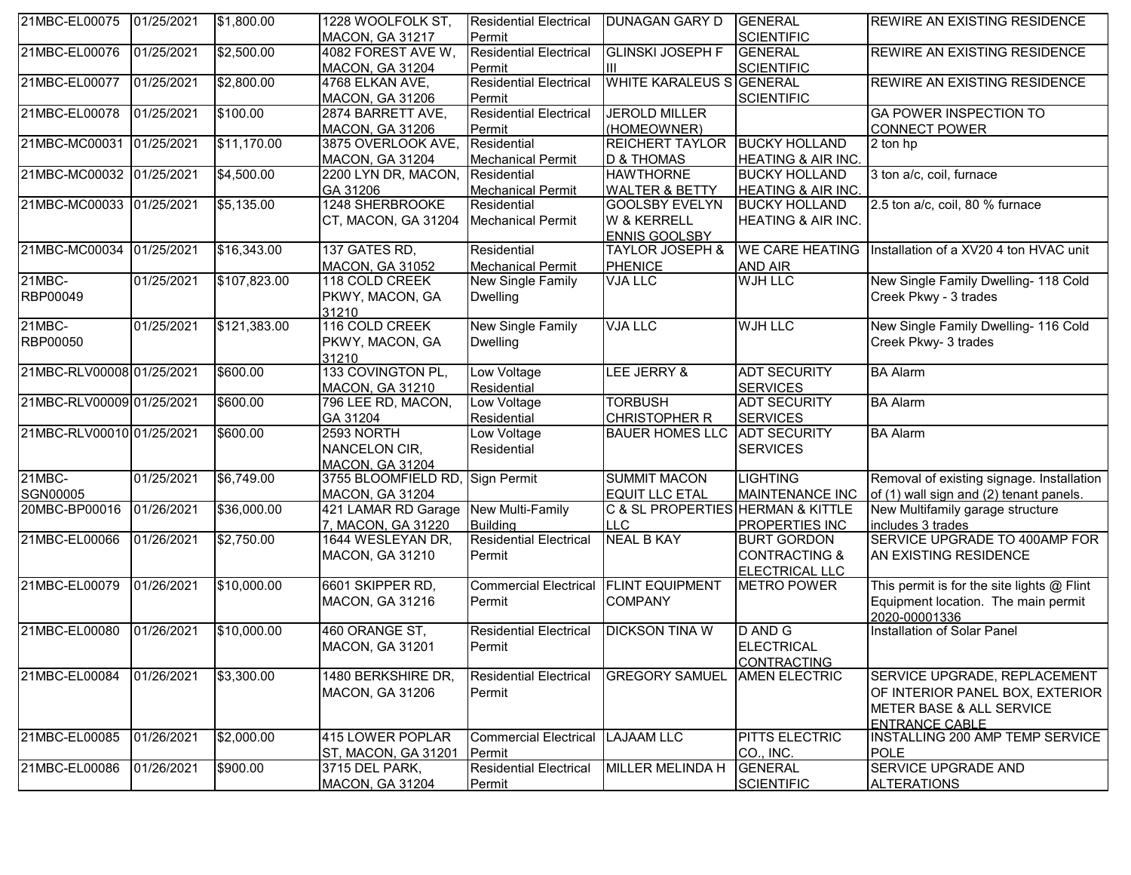| 21MBC-EL00075             | 01/25/2021 | \$1,800.00   | 1228 WOOLFOLK ST,                            | <b>Residential Electrical</b> | <b>IDUNAGAN GARY D</b>                         | <b>GENERAL</b>                         | <b>IREWIRE AN EXISTING RESIDENCE</b>         |
|---------------------------|------------|--------------|----------------------------------------------|-------------------------------|------------------------------------------------|----------------------------------------|----------------------------------------------|
|                           |            |              | <b>MACON, GA 31217</b>                       | Permit                        |                                                | <b>SCIENTIFIC</b>                      |                                              |
| 21MBC-EL00076             | 01/25/2021 | \$2,500.00   | 4082 FOREST AVE W,                           | <b>Residential Electrical</b> | <b>GLINSKI JOSEPH F</b>                        | <b>GENERAL</b>                         | <b>REWIRE AN EXISTING RESIDENCE</b>          |
|                           |            |              | <b>MACON, GA 31204</b>                       | Permit                        | Ш                                              | <b>SCIENTIFIC</b>                      |                                              |
| 21MBC-EL00077             | 01/25/2021 | \$2,800.00   | 4768 ELKAN AVE,                              | <b>Residential Electrical</b> | WHITE KARALEUS S GENERAL                       |                                        | <b>REWIRE AN EXISTING RESIDENCE</b>          |
|                           |            |              | <b>MACON, GA 31206</b>                       | Permit                        |                                                | <b>SCIENTIFIC</b>                      |                                              |
| 21MBC-EL00078             | 01/25/2021 | \$100.00     | 2874 BARRETT AVE,                            | <b>Residential Electrical</b> | <b>JEROLD MILLER</b>                           |                                        | <b>GA POWER INSPECTION TO</b>                |
|                           |            |              | <b>MACON, GA 31206</b>                       | Permit                        | (HOMEOWNER)                                    |                                        | <b>CONNECT POWER</b>                         |
| 21MBC-MC00031             | 01/25/2021 | \$11,170.00  | 3875 OVERLOOK AVE,                           | Residential                   | REICHERT TAYLOR                                | <b>BUCKY HOLLAND</b>                   | 2 ton hp                                     |
|                           |            |              | <b>MACON, GA 31204</b>                       | <b>Mechanical Permit</b>      | <b>D &amp; THOMAS</b>                          | <b>HEATING &amp; AIR INC.</b>          |                                              |
| 21MBC-MC00032             | 01/25/2021 | \$4,500.00   | 2200 LYN DR, MACON,                          | Residential                   | <b>HAWTHORNE</b>                               | <b>BUCKY HOLLAND</b>                   | 3 ton a/c, coil, furnace                     |
|                           |            |              | GA 31206                                     | <b>Mechanical Permit</b>      | <b>WALTER &amp; BETTY</b>                      | HEATING & AIR INC.                     |                                              |
| 21MBC-MC00033             | 01/25/2021 | \$5,135.00   | 1248 SHERBROOKE                              | Residential                   | <b>GOOLSBY EVELYN</b>                          | <b>BUCKY HOLLAND</b>                   | 2.5 ton a/c, coil, 80 % furnace              |
|                           |            |              | CT, MACON, GA 31204                          | Mechanical Permit             | W & KERRELL                                    | <b>HEATING &amp; AIR INC.</b>          |                                              |
|                           |            |              |                                              |                               | <b>ENNIS GOOLSBY</b>                           |                                        |                                              |
| 21MBC-MC00034             | 01/25/2021 | \$16,343.00  | 137 GATES RD,                                | Residential                   | <b>TAYLOR JOSEPH &amp;</b>                     | <b>WE CARE HEATING</b>                 | Installation of a XV20 4 ton HVAC unit       |
|                           |            |              | <b>MACON, GA 31052</b>                       | <b>Mechanical Permit</b>      | <b>PHENICE</b>                                 | <b>AND AIR</b>                         |                                              |
| 21MBC-                    | 01/25/2021 | \$107,823.00 | 118 COLD CREEK                               | New Single Family             | <b>VJA LLC</b>                                 | WJH LLC                                | New Single Family Dwelling- 118 Cold         |
| RBP00049                  |            |              | PKWY, MACON, GA                              | <b>Dwelling</b>               |                                                |                                        | Creek Pkwy - 3 trades                        |
|                           |            |              | 31210                                        |                               |                                                |                                        |                                              |
| $21MBC -$                 | 01/25/2021 | \$121,383.00 | 116 COLD CREEK                               | <b>New Single Family</b>      | <b>VJA LLC</b>                                 | <b>WJH LLC</b>                         | New Single Family Dwelling- 116 Cold         |
| RBP00050                  |            |              | PKWY, MACON, GA                              | <b>Dwelling</b>               |                                                |                                        | Creek Pkwy- 3 trades                         |
|                           |            |              | 31210                                        |                               |                                                |                                        |                                              |
| 21MBC-RLV00008 01/25/2021 |            | \$600.00     | 133 COVINGTON PL,                            | Low Voltage                   | LEE JERRY &                                    | <b>ADT SECURITY</b>                    | <b>BA Alarm</b>                              |
|                           |            |              | <b>MACON, GA 31210</b>                       | Residential                   |                                                | <b>SERVICES</b>                        |                                              |
| 21MBC-RLV00009 01/25/2021 |            | \$600.00     | 796 LEE RD, MACON,                           | Low Voltage                   | <b>TORBUSH</b>                                 | <b>ADT SECURITY</b>                    | <b>BA Alarm</b>                              |
| 21MBC-RLV00010 01/25/2021 |            | \$600.00     | GA 31204<br>2593 NORTH                       | Residential<br>Low Voltage    | <b>CHRISTOPHER R</b><br><b>BAUER HOMES LLC</b> | <b>SERVICES</b><br><b>ADT SECURITY</b> | <b>BA Alarm</b>                              |
|                           |            |              | NANCELON CIR,                                |                               |                                                | <b>SERVICES</b>                        |                                              |
|                           |            |              |                                              | Residential                   |                                                |                                        |                                              |
| 21MBC-                    | 01/25/2021 | \$6,749.00   | <b>MACON, GA 31204</b><br>3755 BLOOMFIELD RD | Sign Permit                   | <b>SUMMIT MACON</b>                            | <b>LIGHTING</b>                        | Removal of existing signage. Installation    |
| SGN00005                  |            |              | <b>MACON, GA 31204</b>                       |                               | <b>EQUIT LLC ETAL</b>                          | <b>MAINTENANCE INC</b>                 | of (1) wall sign and (2) tenant panels.      |
| 20MBC-BP00016             | 01/26/2021 | \$36,000.00  | 421 LAMAR RD Garage                          | New Multi-Family              | C & SL PROPERTIES HERMAN & KITTLE              |                                        | New Multifamily garage structure             |
|                           |            |              | 7, MACON, GA 31220                           | <b>Building</b>               | <b>LLC</b>                                     | PROPERTIES INC                         | includes 3 trades                            |
| 21MBC-EL00066             | 01/26/2021 | \$2,750.00   | 1644 WESLEYAN DR,                            | <b>Residential Electrical</b> | <b>NEAL B KAY</b>                              | <b>BURT GORDON</b>                     | SERVICE UPGRADE TO 400AMP FOR                |
|                           |            |              | <b>MACON, GA 31210</b>                       | Permit                        |                                                | <b>CONTRACTING &amp;</b>               | AN EXISTING RESIDENCE                        |
|                           |            |              |                                              |                               |                                                | <b>ELECTRICAL LLC</b>                  |                                              |
| 21MBC-EL00079             | 01/26/2021 | \$10,000.00  | 6601 SKIPPER RD,                             | <b>Commercial Electrical</b>  | <b>FLINT EQUIPMENT</b>                         | <b>METRO POWER</b>                     | This permit is for the site lights $@$ Flint |
|                           |            |              | MACON, GA 31216                              | Permit                        | <b>COMPANY</b>                                 |                                        | Equipment location. The main permit          |
|                           |            |              |                                              |                               |                                                |                                        | 2020-00001336                                |
| 21MBC-EL00080             | 01/26/2021 | \$10,000.00  | 460 ORANGE ST,                               | <b>Residential Electrical</b> | <b>DICKSON TINA W</b>                          | D AND G                                | Installation of Solar Panel                  |
|                           |            |              | <b>MACON, GA 31201</b>                       | Permit                        |                                                | <b>ELECTRICAL</b>                      |                                              |
|                           |            |              |                                              |                               |                                                | CONTRACTING                            |                                              |
| 21MBC-EL00084             | 01/26/2021 | \$3,300.00   | 1480 BERKSHIRE DR,                           | <b>Residential Electrical</b> | <b>GREGORY SAMUEL</b>                          | <b>AMEN ELECTRIC</b>                   | SERVICE UPGRADE, REPLACEMENT                 |
|                           |            |              | <b>MACON, GA 31206</b>                       | Permit                        |                                                |                                        | OF INTERIOR PANEL BOX, EXTERIOR              |
|                           |            |              |                                              |                               |                                                |                                        | <b>METER BASE &amp; ALL SERVICE</b>          |
|                           |            |              |                                              |                               |                                                |                                        | ENTRANCE CABLE                               |
| 21MBC-EL00085             | 01/26/2021 | \$2,000.00   | 415 LOWER POPLAR                             | <b>Commercial Electrical</b>  | <b>LAJAAM LLC</b>                              | PITTS ELECTRIC                         | INSTALLING 200 AMP TEMP SERVICE              |
|                           |            |              | ST, MACON, GA 31201                          | Permit                        |                                                | CO., INC.                              | <b>POLE</b>                                  |
| 21MBC-EL00086             | 01/26/2021 | \$900.00     | 3715 DEL PARK,                               | <b>Residential Electrical</b> | MILLER MELINDA H                               | <b>GENERAL</b>                         | <b>SERVICE UPGRADE AND</b>                   |
|                           |            |              | MACON, GA 31204                              | Permit                        |                                                | <b>SCIENTIFIC</b>                      | <b>ALTERATIONS</b>                           |
|                           |            |              |                                              |                               |                                                |                                        |                                              |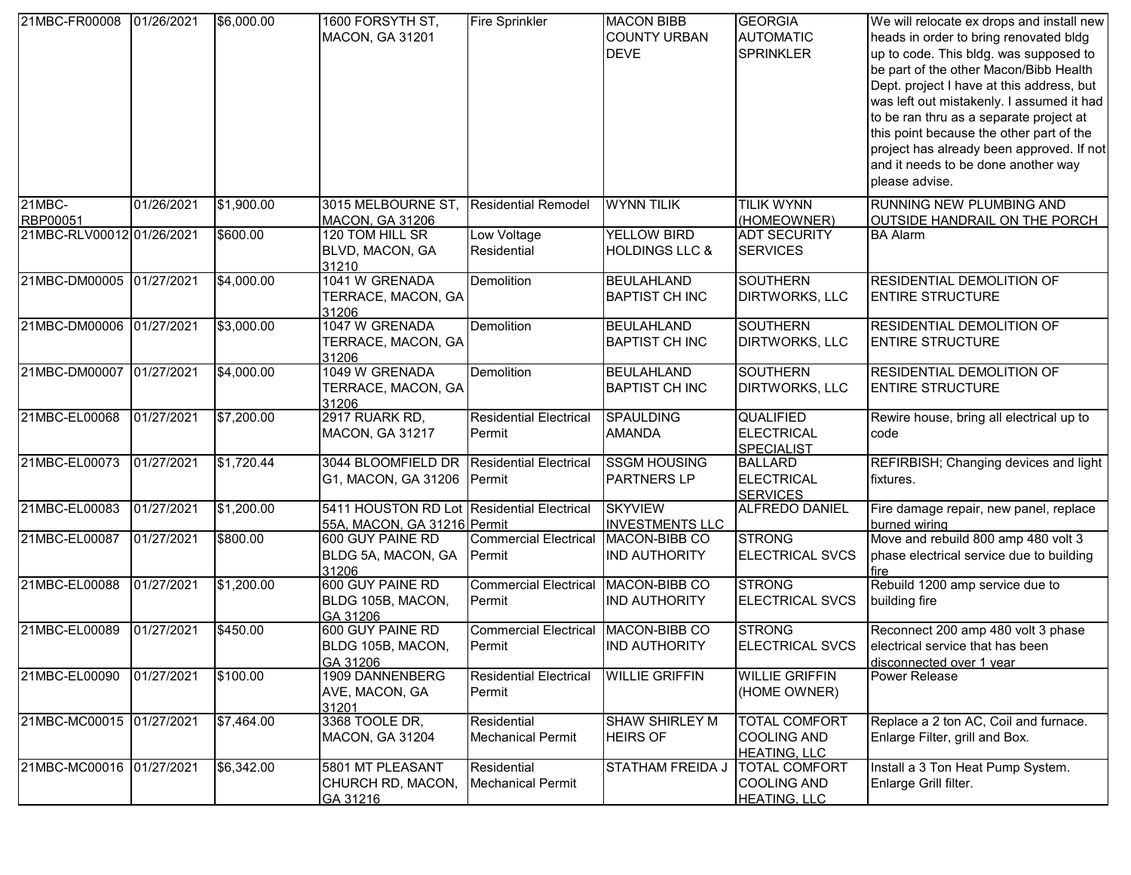| 21MBC-FR00008             | 01/26/2021 | \$6,000.00 | 1600 FORSYTH ST,<br><b>MACON, GA 31201</b>                                | Fire Sprinkler                          | <b>MACON BIBB</b><br><b>COUNTY URBAN</b><br><b>DEVE</b> | <b>GEORGIA</b><br><b>AUTOMATIC</b><br><b>SPRINKLER</b>            | We will relocate ex drops and install new<br>heads in order to bring renovated bldg<br>up to code. This bldg. was supposed to<br>be part of the other Macon/Bibb Health<br>Dept. project I have at this address, but<br>was left out mistakenly. I assumed it had<br>to be ran thru as a separate project at<br>this point because the other part of the<br>project has already been approved. If not<br>and it needs to be done another way<br>please advise. |
|---------------------------|------------|------------|---------------------------------------------------------------------------|-----------------------------------------|---------------------------------------------------------|-------------------------------------------------------------------|----------------------------------------------------------------------------------------------------------------------------------------------------------------------------------------------------------------------------------------------------------------------------------------------------------------------------------------------------------------------------------------------------------------------------------------------------------------|
| 21MBC-                    | 01/26/2021 | \$1,900.00 | 3015 MELBOURNE ST                                                         | <b>Residential Remodel</b>              | <b>WYNN TILIK</b>                                       | <b>TILIK WYNN</b>                                                 | <b>RUNNING NEW PLUMBING AND</b>                                                                                                                                                                                                                                                                                                                                                                                                                                |
| RBP00051                  |            |            | <b>MACON, GA 31206</b>                                                    |                                         |                                                         | (HOMEOWNER)                                                       | OUTSIDE HANDRAIL ON THE PORCH                                                                                                                                                                                                                                                                                                                                                                                                                                  |
| 21MBC-RLV00012 01/26/2021 |            | \$600.00   | 120 TOM HILL SR<br>BLVD, MACON, GA<br>31210                               | Low Voltage<br>Residential              | <b>YELLOW BIRD</b><br><b>HOLDINGS LLC &amp;</b>         | <b>ADT SECURITY</b><br><b>SERVICES</b>                            | <b>BA Alarm</b>                                                                                                                                                                                                                                                                                                                                                                                                                                                |
| 21MBC-DM00005 01/27/2021  |            | \$4,000.00 | 1041 W GRENADA<br>TERRACE, MACON, GA<br>31206                             | <b>Demolition</b>                       | <b>BEULAHLAND</b><br><b>BAPTIST CH INC</b>              | <b>SOUTHERN</b><br><b>DIRTWORKS, LLC</b>                          | <b>RESIDENTIAL DEMOLITION OF</b><br><b>ENTIRE STRUCTURE</b>                                                                                                                                                                                                                                                                                                                                                                                                    |
| 21MBC-DM00006 01/27/2021  |            | \$3,000.00 | 1047 W GRENADA<br>TERRACE, MACON, GA<br>31206                             | Demolition                              | <b>BEULAHLAND</b><br><b>BAPTIST CH INC</b>              | <b>SOUTHERN</b><br><b>DIRTWORKS, LLC</b>                          | <b>RESIDENTIAL DEMOLITION OF</b><br><b>ENTIRE STRUCTURE</b>                                                                                                                                                                                                                                                                                                                                                                                                    |
| 21MBC-DM00007             | 01/27/2021 | \$4,000.00 | 1049 W GRENADA<br>TERRACE, MACON, GA<br>31206                             | <b>Demolition</b>                       | <b>BEULAHLAND</b><br><b>BAPTIST CH INC</b>              | <b>SOUTHERN</b><br>DIRTWORKS, LLC                                 | <b>RESIDENTIAL DEMOLITION OF</b><br><b>ENTIRE STRUCTURE</b>                                                                                                                                                                                                                                                                                                                                                                                                    |
| 21MBC-EL00068             | 01/27/2021 | \$7,200.00 | 2917 RUARK RD,<br><b>MACON, GA 31217</b>                                  | <b>Residential Electrical</b><br>Permit | <b>SPAULDING</b><br><b>AMANDA</b>                       | <b>QUALIFIED</b><br><b>ELECTRICAL</b><br><b>SPECIALIST</b>        | Rewire house, bring all electrical up to<br>code                                                                                                                                                                                                                                                                                                                                                                                                               |
| 21MBC-EL00073             | 01/27/2021 | \$1,720.44 | 3044 BLOOMFIELD DR<br>G1, MACON, GA 31206                                 | <b>Residential Electrical</b><br>Permit | <b>SSGM HOUSING</b><br><b>PARTNERS LP</b>               | <b>BALLARD</b><br><b>ELECTRICAL</b><br><b>SERVICES</b>            | REFIRBISH; Changing devices and light<br>fixtures.                                                                                                                                                                                                                                                                                                                                                                                                             |
| 21MBC-EL00083             | 01/27/2021 | \$1,200.00 | 5411 HOUSTON RD Lot Residential Electrical<br>55A, MACON, GA 31216 Permit |                                         | <b>SKYVIEW</b><br><b>INVESTMENTS LLC</b>                | ALFREDO DANIEL                                                    | Fire damage repair, new panel, replace<br>burned wiring                                                                                                                                                                                                                                                                                                                                                                                                        |
| 21MBC-EL00087             | 01/27/2021 | \$800.00   | 600 GUY PAINE RD<br>BLDG 5A, MACON, GA<br>31206                           | <b>Commercial Electrical</b><br>Permit  | MACON-BIBB CO<br><b>IND AUTHORITY</b>                   | <b>STRONG</b><br><b>ELECTRICAL SVCS</b>                           | Move and rebuild 800 amp 480 volt 3<br>phase electrical service due to building<br>fire                                                                                                                                                                                                                                                                                                                                                                        |
| 21MBC-EL00088             | 01/27/2021 | \$1,200.00 | 600 GUY PAINE RD<br>BLDG 105B, MACON,<br>GA 31206                         | <b>Commercial Electrical</b><br>Permit  | MACON-BIBB CO<br><b>IND AUTHORITY</b>                   | <b>STRONG</b><br><b>ELECTRICAL SVCS</b>                           | Rebuild 1200 amp service due to<br>building fire                                                                                                                                                                                                                                                                                                                                                                                                               |
| 21MBC-EL00089             | 01/27/2021 | \$450.00   | 600 GUY PAINE RD<br>BLDG 105B, MACON,<br>GA 31206                         | <b>Commercial Electrical</b><br>Permit  | MACON-BIBB CO<br><b>IND AUTHORITY</b>                   | <b>STRONG</b><br><b>ELECTRICAL SVCS</b>                           | Reconnect 200 amp 480 volt 3 phase<br>electrical service that has been<br>disconnected over 1 year                                                                                                                                                                                                                                                                                                                                                             |
| 21MBC-EL00090             | 01/27/2021 | \$100.00   | 1909 DANNENBERG<br>AVE, MACON, GA<br>31201                                | <b>Residential Electrical</b><br>Permit | <b>WILLIE GRIFFIN</b>                                   | <b>WILLIE GRIFFIN</b><br>(HOME OWNER)                             | Power Release                                                                                                                                                                                                                                                                                                                                                                                                                                                  |
| 21MBC-MC00015 01/27/2021  |            | \$7,464.00 | 3368 TOOLE DR,<br>MACON, GA 31204                                         | Residential<br><b>Mechanical Permit</b> | <b>SHAW SHIRLEY M</b><br><b>HEIRS OF</b>                | <b>TOTAL COMFORT</b><br><b>COOLING AND</b><br><b>HEATING, LLC</b> | Replace a 2 ton AC, Coil and furnace.<br>Enlarge Filter, grill and Box.                                                                                                                                                                                                                                                                                                                                                                                        |
| 21MBC-MC00016 01/27/2021  |            | \$6,342.00 | 5801 MT PLEASANT<br>CHURCH RD, MACON,<br>GA 31216                         | Residential<br><b>Mechanical Permit</b> | <b>STATHAM FREIDA J</b>                                 | <b>TOTAL COMFORT</b><br><b>COOLING AND</b><br><b>HEATING, LLC</b> | Install a 3 Ton Heat Pump System.<br>Enlarge Grill filter.                                                                                                                                                                                                                                                                                                                                                                                                     |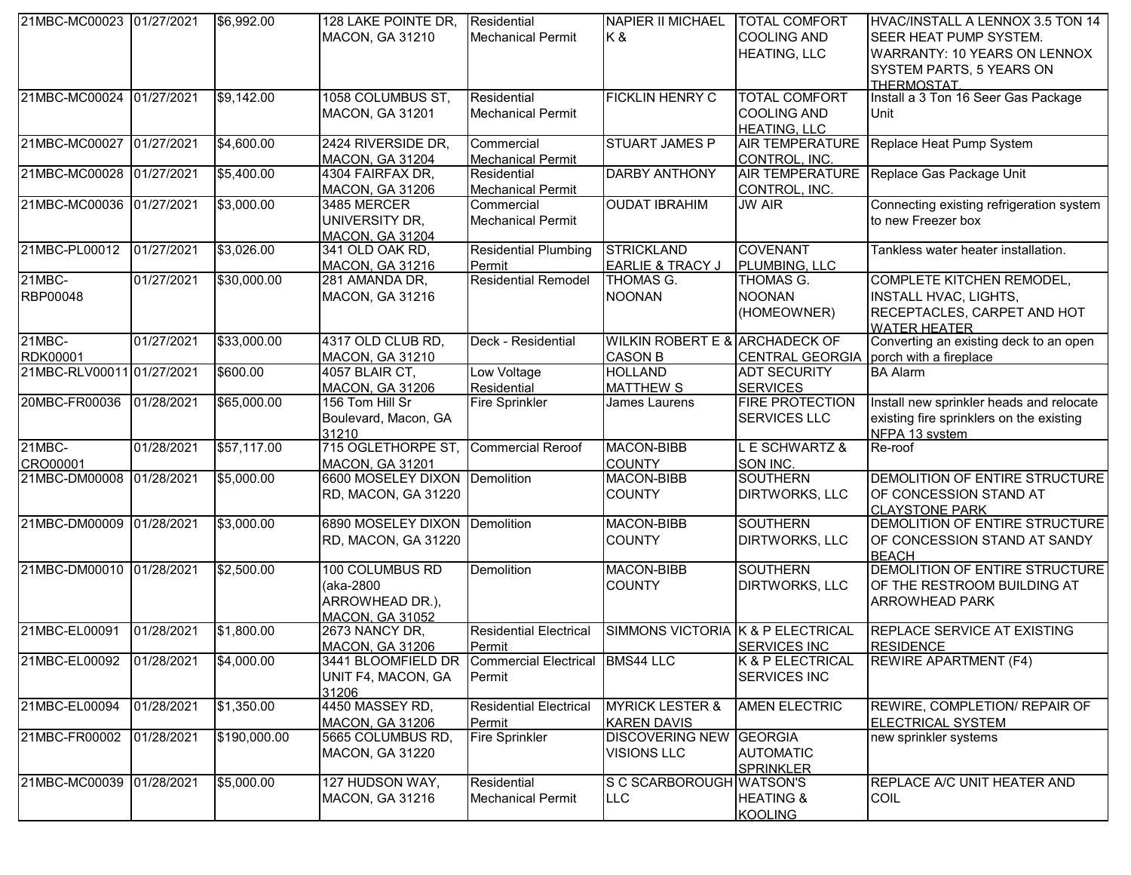| 21MBC-MC00023 01/27/2021  |            | \$6,992.00   | 128 LAKE POINTE DR,                          | Residential                               | NAPIER II MICHAEL   TOTAL COMFORT |                                          | HVAC/INSTALL A LENNOX 3.5 TON 14         |
|---------------------------|------------|--------------|----------------------------------------------|-------------------------------------------|-----------------------------------|------------------------------------------|------------------------------------------|
|                           |            |              | <b>MACON, GA 31210</b>                       | <b>Mechanical Permit</b>                  | K&                                | <b>COOLING AND</b>                       | <b>SEER HEAT PUMP SYSTEM.</b>            |
|                           |            |              |                                              |                                           |                                   | <b>HEATING, LLC</b>                      | <b>WARRANTY: 10 YEARS ON LENNOX</b>      |
|                           |            |              |                                              |                                           |                                   |                                          | SYSTEM PARTS, 5 YEARS ON                 |
|                           |            |              |                                              |                                           |                                   |                                          | <b>THERMOSTAT</b>                        |
| 21MBC-MC00024 01/27/2021  |            | \$9,142.00   | 1058 COLUMBUS ST,                            | Residential                               | <b>FICKLIN HENRY C</b>            | <b>TOTAL COMFORT</b>                     | Install a 3 Ton 16 Seer Gas Package      |
|                           |            |              | <b>MACON, GA 31201</b>                       | <b>Mechanical Permit</b>                  |                                   | <b>COOLING AND</b>                       | Unit                                     |
|                           |            |              |                                              |                                           |                                   | <b>HEATING, LLC</b>                      |                                          |
| 21MBC-MC00027             | 01/27/2021 | \$4,600.00   | 2424 RIVERSIDE DR,                           | Commercial                                | <b>STUART JAMES P</b>             | <b>AIR TEMPERATURE</b>                   | Replace Heat Pump System                 |
|                           |            |              | <b>MACON, GA 31204</b>                       |                                           |                                   | CONTROL, INC.                            |                                          |
| 21MBC-MC00028             | 01/27/2021 | \$5,400.00   | 4304 FAIRFAX DR,                             | <b>Mechanical Permit</b><br>Residential   | <b>DARBY ANTHONY</b>              | <b>AIR TEMPERATURE</b>                   | Replace Gas Package Unit                 |
|                           |            |              |                                              |                                           |                                   |                                          |                                          |
|                           |            |              | <b>MACON, GA 31206</b>                       | <b>Mechanical Permit</b>                  |                                   | CONTROL, INC.                            |                                          |
| 21MBC-MC00036             | 01/27/2021 | \$3,000.00   | 3485 MERCER                                  | Commercial                                | <b>OUDAT IBRAHIM</b>              | <b>JW AIR</b>                            | Connecting existing refrigeration system |
|                           |            |              | UNIVERSITY DR,                               | <b>Mechanical Permit</b>                  |                                   |                                          | to new Freezer box                       |
|                           |            |              | <b>MACON. GA 31204</b>                       |                                           |                                   |                                          |                                          |
| 21MBC-PL00012             | 01/27/2021 | \$3,026.00   | 341 OLD OAK RD,                              | <b>Residential Plumbing</b>               | <b>STRICKLAND</b>                 | <b>COVENANT</b>                          | Tankless water heater installation.      |
|                           |            |              | <b>MACON, GA 31216</b>                       | Permit                                    | <b>EARLIE &amp; TRACY J</b>       | PLUMBING, LLC                            |                                          |
| 21MBC-                    | 01/27/2021 | \$30,000.00  | 281 AMANDA DR,                               | <b>Residential Remodel</b>                | THOMAS G.                         | THOMAS G.                                | COMPLETE KITCHEN REMODEL,                |
| RBP00048                  |            |              | <b>MACON, GA 31216</b>                       |                                           | <b>NOONAN</b>                     | <b>NOONAN</b>                            | <b>INSTALL HVAC, LIGHTS,</b>             |
|                           |            |              |                                              |                                           |                                   | (HOMEOWNER)                              | RECEPTACLES, CARPET AND HOT              |
|                           |            |              |                                              |                                           |                                   |                                          | <b>WATER HEATER</b>                      |
| 21MBC-                    | 01/27/2021 | \$33,000.00  | 4317 OLD CLUB RD,                            | Deck - Residential                        | WILKIN ROBERT E & ARCHADECK OF    |                                          | Converting an existing deck to an open   |
| RDK00001                  |            |              | <b>MACON, GA 31210</b>                       |                                           | <b>CASON B</b>                    | CENTRAL GEORGIA   porch with a fireplace |                                          |
| 21MBC-RLV00011 01/27/2021 |            | \$600.00     | 4057 BLAIR CT,                               | Low Voltage                               | <b>HOLLAND</b>                    | <b>ADT SECURITY</b>                      | <b>BA Alarm</b>                          |
|                           |            |              | <b>MACON, GA 31206</b>                       | Residential                               | <b>MATTHEW S</b>                  | <b>SERVICES</b>                          |                                          |
| 20MBC-FR00036             | 01/28/2021 | \$65,000.00  | 156 Tom Hill Sr                              | Fire Sprinkler                            | James Laurens                     | <b>FIRE PROTECTION</b>                   | Install new sprinkler heads and relocate |
|                           |            |              | Boulevard, Macon, GA                         |                                           |                                   | <b>SERVICES LLC</b>                      | existing fire sprinklers on the existing |
|                           |            |              | 31210                                        |                                           |                                   |                                          | NFPA 13 system                           |
| 21MBC-                    | 01/28/2021 | \$57,117.00  | 715 OGLETHORPE ST,                           | <b>Commercial Reroof</b>                  | <b>MACON-BIBB</b>                 | <b>E SCHWARTZ &amp;</b>                  | Re-roof                                  |
| CRO00001                  |            |              | <b>MACON, GA 31201</b>                       |                                           | <b>COUNTY</b>                     | SON INC.                                 |                                          |
| 21MBC-DM00008             | 01/28/2021 | \$5,000.00   | 6600 MOSELEY DIXON Demolition                |                                           | <b>MACON-BIBB</b>                 | <b>SOUTHERN</b>                          | DEMOLITION OF ENTIRE STRUCTURE           |
|                           |            |              | RD, MACON, GA 31220                          |                                           | <b>COUNTY</b>                     | <b>DIRTWORKS, LLC</b>                    | OF CONCESSION STAND AT                   |
|                           |            |              |                                              |                                           |                                   |                                          | <b>CLAYSTONE PARK</b>                    |
| 21MBC-DM00009 01/28/2021  |            | \$3,000.00   | 6890 MOSELEY DIXON Demolition                |                                           | <b>MACON-BIBB</b>                 | <b>SOUTHERN</b>                          | DEMOLITION OF ENTIRE STRUCTURE           |
|                           |            |              | RD, MACON, GA 31220                          |                                           | <b>COUNTY</b>                     | <b>DIRTWORKS, LLC</b>                    | OF CONCESSION STAND AT SANDY             |
|                           |            |              |                                              |                                           |                                   |                                          | <b>BEACH</b>                             |
| 21MBC-DM00010 01/28/2021  |            | \$2,500.00   | 100 COLUMBUS RD                              | Demolition                                | <b>MACON-BIBB</b>                 | <b>SOUTHERN</b>                          | DEMOLITION OF ENTIRE STRUCTURE           |
|                           |            |              | (aka-2800                                    |                                           | <b>COUNTY</b>                     | <b>DIRTWORKS, LLC</b>                    | OF THE RESTROOM BUILDING AT              |
|                           |            |              | ARROWHEAD DR.),                              |                                           |                                   |                                          | <b>ARROWHEAD PARK</b>                    |
|                           |            |              |                                              |                                           |                                   |                                          |                                          |
| 21MBC-EL00091             | 01/28/2021 | \$1,800.00   | <b>MACON. GA 31052</b><br>2673 NANCY DR,     | <b>Residential Electrical</b>             | SIMMONS VICTORIA K & P ELECTRICAL |                                          | REPLACE SERVICE AT EXISTING              |
|                           |            |              |                                              |                                           |                                   | <b>SERVICES INC</b>                      | <b>RESIDENCE</b>                         |
|                           |            |              | <b>MACON, GA 31206</b><br>3441 BLOOMFIELD DR | Permit<br>Commercial Electrical BMS44 LLC |                                   |                                          | <b>REWIRE APARTMENT (F4)</b>             |
| 21MBC-EL00092 01/28/2021  |            | \$4,000.00   |                                              |                                           |                                   | K & P ELECTRICAL                         |                                          |
|                           |            |              | UNIT F4, MACON, GA                           | Permit                                    |                                   | <b>SERVICES INC</b>                      |                                          |
|                           |            |              | 31206                                        |                                           |                                   |                                          |                                          |
| 21MBC-EL00094             | 01/28/2021 | \$1,350.00   | 4450 MASSEY RD,                              | <b>Residential Electrical</b>             | <b>MYRICK LESTER &amp;</b>        | <b>AMEN ELECTRIC</b>                     | REWIRE, COMPLETION/ REPAIR OF            |
|                           |            |              | <b>MACON, GA 31206</b>                       | Permit                                    | <b>KAREN DAVIS</b>                |                                          | <b>ELECTRICAL SYSTEM</b>                 |
| 21MBC-FR00002             | 01/28/2021 | \$190,000.00 | 5665 COLUMBUS RD,                            | Fire Sprinkler                            | <b>DISCOVERING NEW GEORGIA</b>    |                                          | new sprinkler systems                    |
|                           |            |              | <b>MACON, GA 31220</b>                       |                                           | <b>VISIONS LLC</b>                | <b>AUTOMATIC</b>                         |                                          |
|                           |            |              |                                              |                                           |                                   | <b>SPRINKLER</b>                         |                                          |
| 21MBC-MC00039 01/28/2021  |            | \$5,000.00   | 127 HUDSON WAY,                              | Residential                               | S C SCARBOROUGH WATSON'S          |                                          | REPLACE A/C UNIT HEATER AND              |
|                           |            |              | <b>MACON, GA 31216</b>                       | <b>Mechanical Permit</b>                  | <b>LLC</b>                        | <b>HEATING &amp;</b>                     | <b>COIL</b>                              |
|                           |            |              |                                              |                                           |                                   | <b>KOOLING</b>                           |                                          |